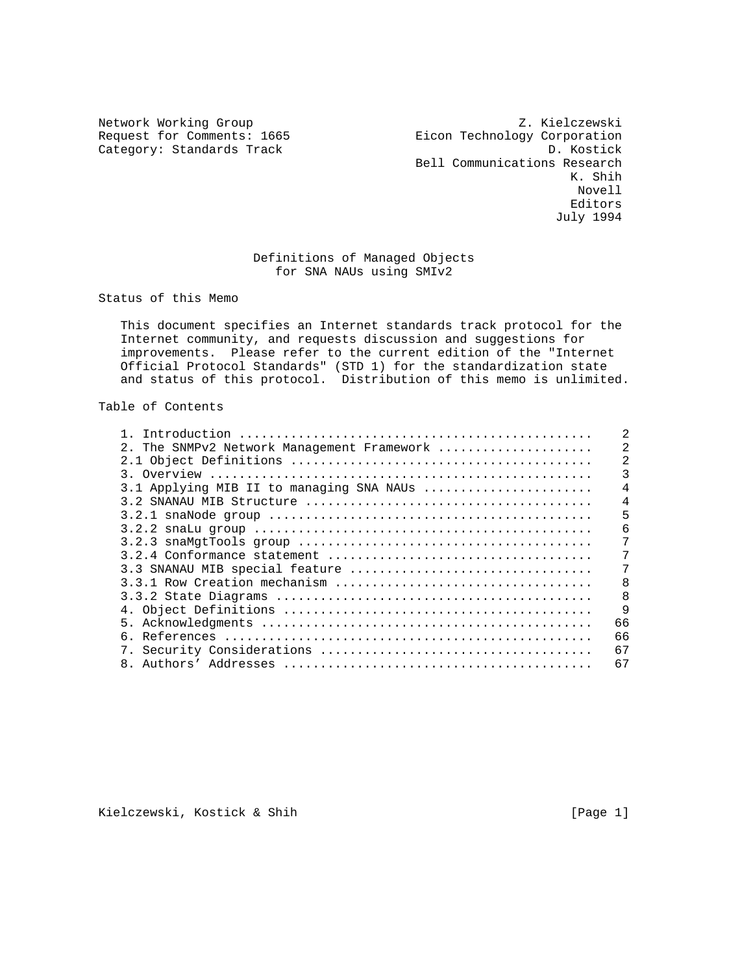Category: Standards Track

Network Working Group<br>Request for Comments: 1665<br>Request for Comments: 1665<br>Details Eicon Technology Corporation<br>D. Kostick Bell Communications Research<br>K. Shih K. Shih Novell experiences and the contract of the contract of the contract of the contract of the contract of the contract of the contract of the contract of the contract of the contract of the contract of the contract of the contract o July 1994

# Definitions of Managed Objects for SNA NAUs using SMIv2

Status of this Memo

 This document specifies an Internet standards track protocol for the Internet community, and requests discussion and suggestions for improvements. Please refer to the current edition of the "Internet Official Protocol Standards" (STD 1) for the standardization state and status of this protocol. Distribution of this memo is unlimited.

# Table of Contents

| 2. The SNMPv2 Network Management Framework | $\mathfrak{D}$ |
|--------------------------------------------|----------------|
|                                            |                |
|                                            |                |
| 3.1 Applying MIB II to managing SNA NAUs   | $\overline{4}$ |
|                                            | 4              |
|                                            | 5              |
|                                            | 6              |
|                                            |                |
|                                            |                |
| 3.3 SNANAU MIB special feature             | 7              |
|                                            | 8              |
|                                            | 8              |
|                                            | $\mathsf{Q}$   |
|                                            | 66             |
|                                            | 66             |
|                                            | 67             |
|                                            | 67             |

Kielczewski, Kostick & Shih [Page 1]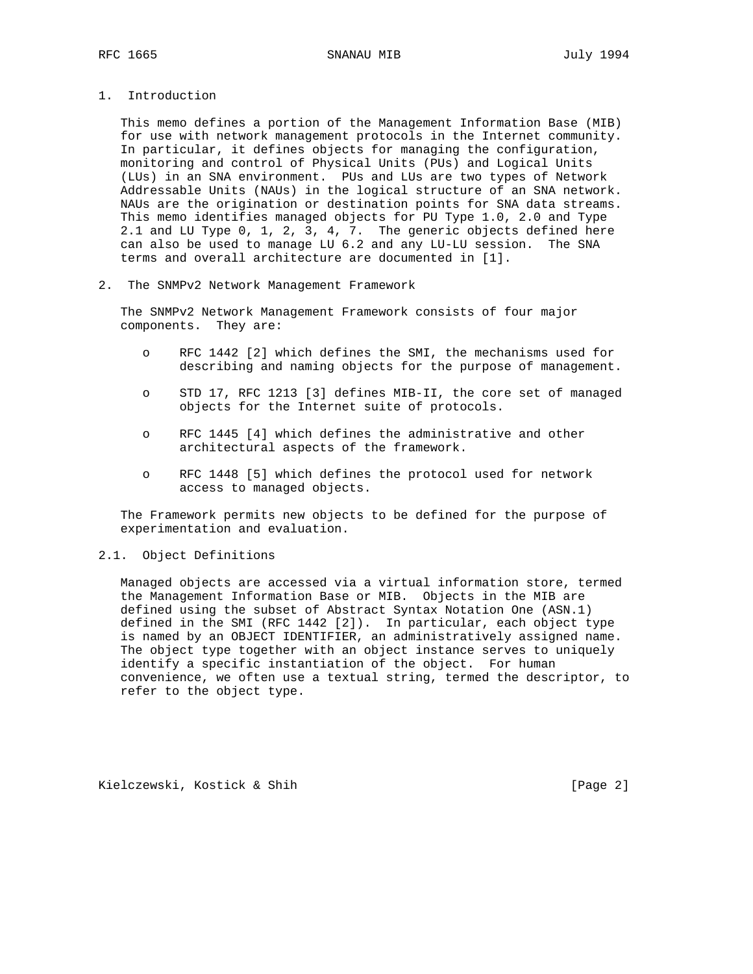- 
- 1. Introduction

 This memo defines a portion of the Management Information Base (MIB) for use with network management protocols in the Internet community. In particular, it defines objects for managing the configuration, monitoring and control of Physical Units (PUs) and Logical Units (LUs) in an SNA environment. PUs and LUs are two types of Network Addressable Units (NAUs) in the logical structure of an SNA network. NAUs are the origination or destination points for SNA data streams. This memo identifies managed objects for PU Type 1.0, 2.0 and Type 2.1 and LU Type 0, 1, 2, 3, 4, 7. The generic objects defined here can also be used to manage LU 6.2 and any LU-LU session. The SNA terms and overall architecture are documented in [1].

2. The SNMPv2 Network Management Framework

 The SNMPv2 Network Management Framework consists of four major components. They are:

- o RFC 1442 [2] which defines the SMI, the mechanisms used for describing and naming objects for the purpose of management.
- o STD 17, RFC 1213 [3] defines MIB-II, the core set of managed objects for the Internet suite of protocols.
- o RFC 1445 [4] which defines the administrative and other architectural aspects of the framework.
- o RFC 1448 [5] which defines the protocol used for network access to managed objects.

 The Framework permits new objects to be defined for the purpose of experimentation and evaluation.

## 2.1. Object Definitions

 Managed objects are accessed via a virtual information store, termed the Management Information Base or MIB. Objects in the MIB are defined using the subset of Abstract Syntax Notation One (ASN.1) defined in the SMI (RFC 1442 [2]). In particular, each object type is named by an OBJECT IDENTIFIER, an administratively assigned name. The object type together with an object instance serves to uniquely identify a specific instantiation of the object. For human convenience, we often use a textual string, termed the descriptor, to refer to the object type.

Kielczewski, Kostick & Shih [Page 2]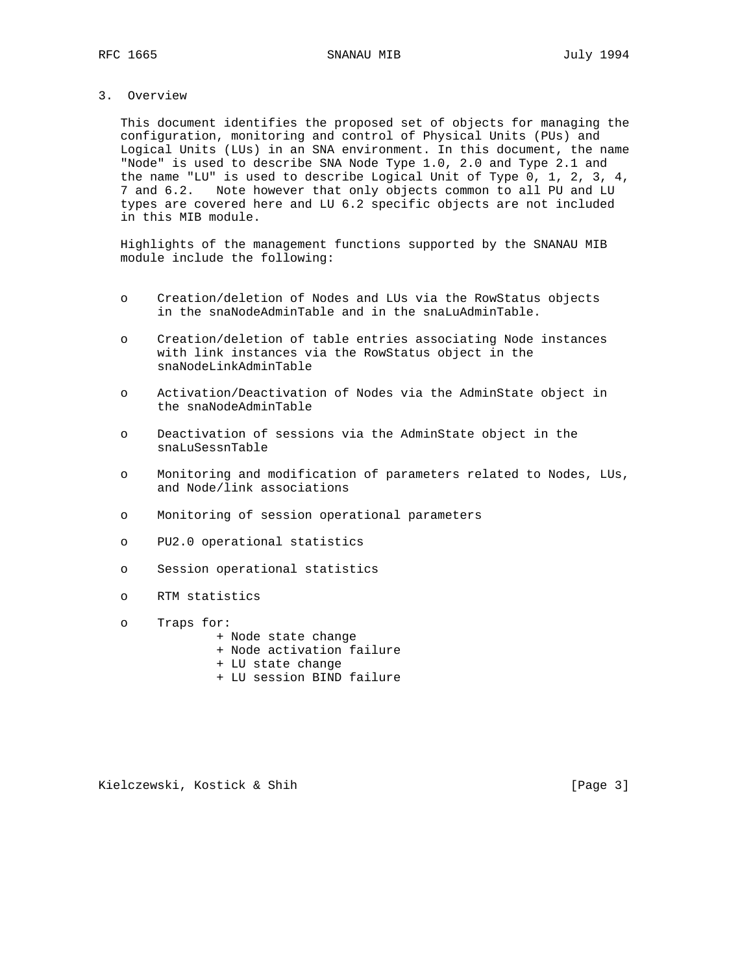# 3. Overview

 This document identifies the proposed set of objects for managing the configuration, monitoring and control of Physical Units (PUs) and Logical Units (LUs) in an SNA environment. In this document, the name "Node" is used to describe SNA Node Type 1.0, 2.0 and Type 2.1 and the name "LU" is used to describe Logical Unit of Type 0, 1, 2, 3, 4, 7 and 6.2. Note however that only objects common to all PU and LU types are covered here and LU 6.2 specific objects are not included in this MIB module.

 Highlights of the management functions supported by the SNANAU MIB module include the following:

- o Creation/deletion of Nodes and LUs via the RowStatus objects in the snaNodeAdminTable and in the snaLuAdminTable.
- o Creation/deletion of table entries associating Node instances with link instances via the RowStatus object in the snaNodeLinkAdminTable
- o Activation/Deactivation of Nodes via the AdminState object in the snaNodeAdminTable
- o Deactivation of sessions via the AdminState object in the snaLuSessnTable
- o Monitoring and modification of parameters related to Nodes, LUs, and Node/link associations
- o Monitoring of session operational parameters
- o PU2.0 operational statistics
- o Session operational statistics
- o RTM statistics
- o Traps for:
	- + Node state change
	- + Node activation failure
	- + LU state change
	- + LU session BIND failure

Kielczewski, Kostick & Shih [Page 3]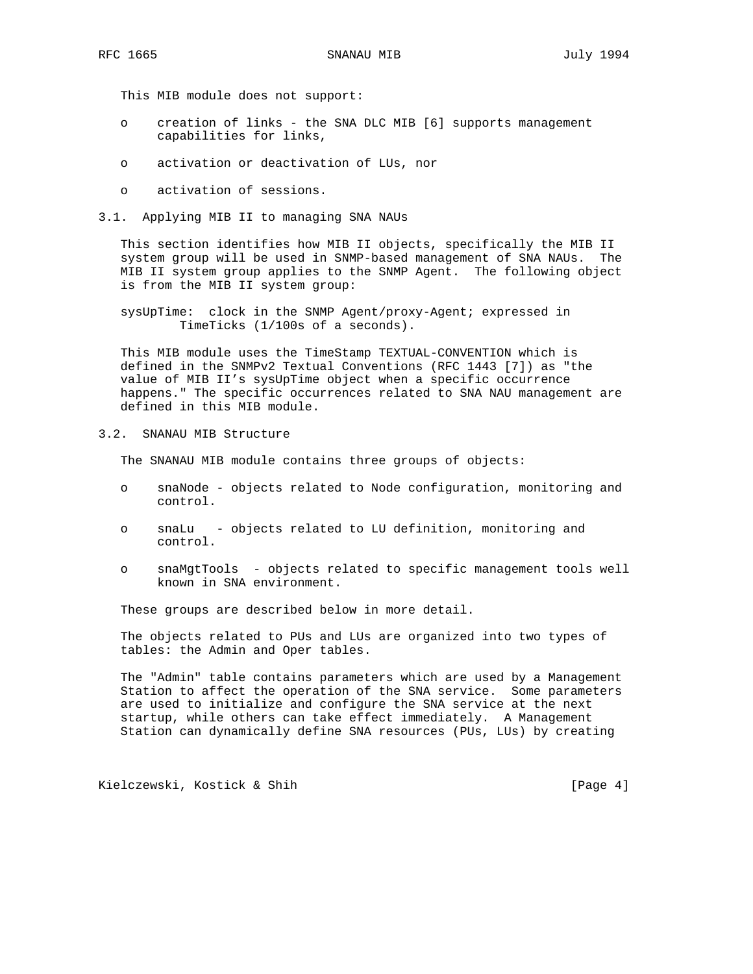This MIB module does not support:

- o creation of links the SNA DLC MIB [6] supports management capabilities for links,
- o activation or deactivation of LUs, nor
- o activation of sessions.
- 3.1. Applying MIB II to managing SNA NAUs

 This section identifies how MIB II objects, specifically the MIB II system group will be used in SNMP-based management of SNA NAUs. The MIB II system group applies to the SNMP Agent. The following object is from the MIB II system group:

 sysUpTime: clock in the SNMP Agent/proxy-Agent; expressed in TimeTicks (1/100s of a seconds).

 This MIB module uses the TimeStamp TEXTUAL-CONVENTION which is defined in the SNMPv2 Textual Conventions (RFC 1443 [7]) as "the value of MIB II's sysUpTime object when a specific occurrence happens." The specific occurrences related to SNA NAU management are defined in this MIB module.

3.2. SNANAU MIB Structure

The SNANAU MIB module contains three groups of objects:

- o snaNode objects related to Node configuration, monitoring and control.
- o snaLu objects related to LU definition, monitoring and control.
- o snaMgtTools objects related to specific management tools well known in SNA environment.

These groups are described below in more detail.

 The objects related to PUs and LUs are organized into two types of tables: the Admin and Oper tables.

 The "Admin" table contains parameters which are used by a Management Station to affect the operation of the SNA service. Some parameters are used to initialize and configure the SNA service at the next startup, while others can take effect immediately. A Management Station can dynamically define SNA resources (PUs, LUs) by creating

Kielczewski, Kostick & Shih [Page 4]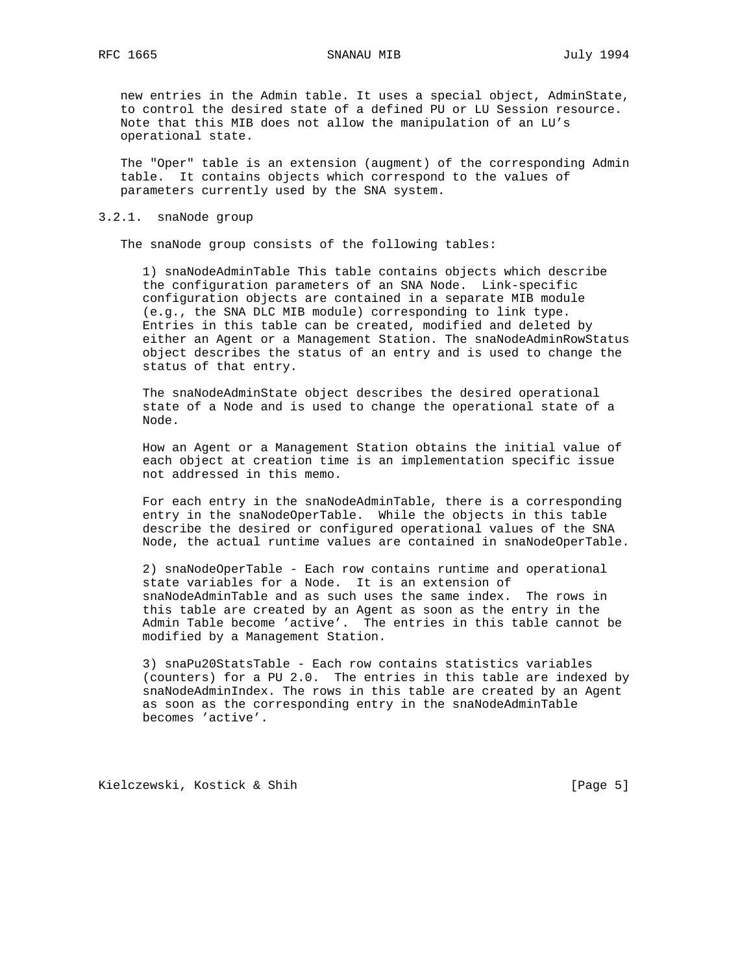new entries in the Admin table. It uses a special object, AdminState, to control the desired state of a defined PU or LU Session resource. Note that this MIB does not allow the manipulation of an LU's operational state.

 The "Oper" table is an extension (augment) of the corresponding Admin table. It contains objects which correspond to the values of parameters currently used by the SNA system.

## 3.2.1. snaNode group

The snaNode group consists of the following tables:

 1) snaNodeAdminTable This table contains objects which describe the configuration parameters of an SNA Node. Link-specific configuration objects are contained in a separate MIB module (e.g., the SNA DLC MIB module) corresponding to link type. Entries in this table can be created, modified and deleted by either an Agent or a Management Station. The snaNodeAdminRowStatus object describes the status of an entry and is used to change the status of that entry.

 The snaNodeAdminState object describes the desired operational state of a Node and is used to change the operational state of a Node.

 How an Agent or a Management Station obtains the initial value of each object at creation time is an implementation specific issue not addressed in this memo.

 For each entry in the snaNodeAdminTable, there is a corresponding entry in the snaNodeOperTable. While the objects in this table describe the desired or configured operational values of the SNA Node, the actual runtime values are contained in snaNodeOperTable.

 2) snaNodeOperTable - Each row contains runtime and operational state variables for a Node. It is an extension of snaNodeAdminTable and as such uses the same index. The rows in this table are created by an Agent as soon as the entry in the Admin Table become 'active'. The entries in this table cannot be modified by a Management Station.

 3) snaPu20StatsTable - Each row contains statistics variables (counters) for a PU 2.0. The entries in this table are indexed by snaNodeAdminIndex. The rows in this table are created by an Agent as soon as the corresponding entry in the snaNodeAdminTable becomes 'active'.

Kielczewski, Kostick & Shih [Page 5]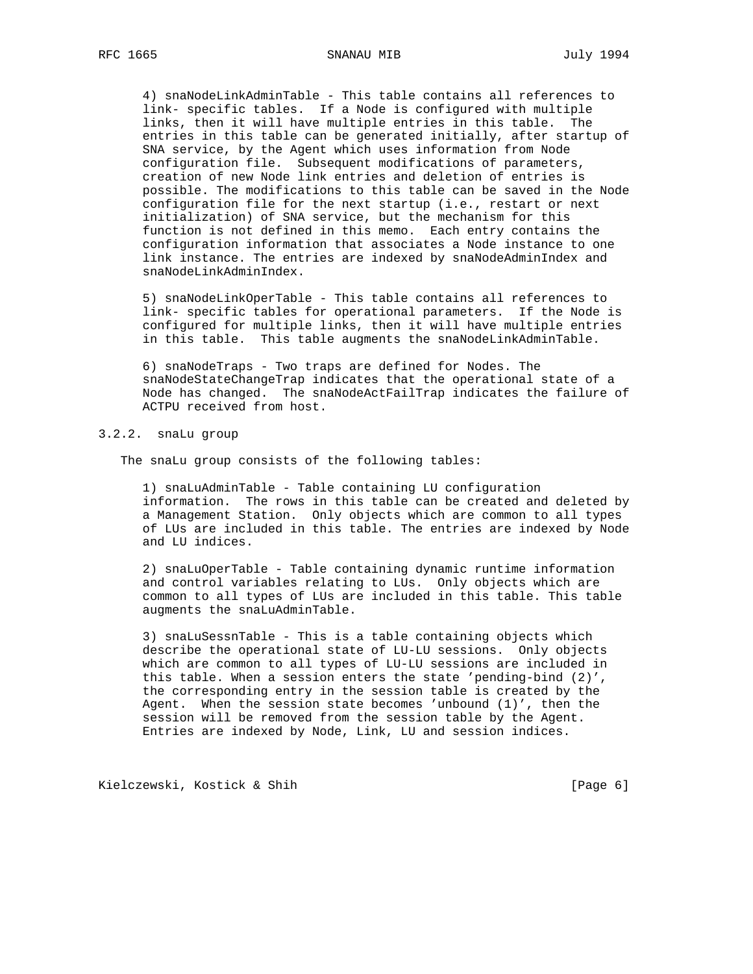4) snaNodeLinkAdminTable - This table contains all references to link- specific tables. If a Node is configured with multiple links, then it will have multiple entries in this table. The entries in this table can be generated initially, after startup of SNA service, by the Agent which uses information from Node configuration file. Subsequent modifications of parameters, creation of new Node link entries and deletion of entries is possible. The modifications to this table can be saved in the Node configuration file for the next startup (i.e., restart or next initialization) of SNA service, but the mechanism for this function is not defined in this memo. Each entry contains the configuration information that associates a Node instance to one link instance. The entries are indexed by snaNodeAdminIndex and snaNodeLinkAdminIndex.

 5) snaNodeLinkOperTable - This table contains all references to link- specific tables for operational parameters. If the Node is configured for multiple links, then it will have multiple entries in this table. This table augments the snaNodeLinkAdminTable.

 6) snaNodeTraps - Two traps are defined for Nodes. The snaNodeStateChangeTrap indicates that the operational state of a Node has changed. The snaNodeActFailTrap indicates the failure of ACTPU received from host.

## 3.2.2. snaLu group

The snaLu group consists of the following tables:

 1) snaLuAdminTable - Table containing LU configuration information. The rows in this table can be created and deleted by a Management Station. Only objects which are common to all types of LUs are included in this table. The entries are indexed by Node and LU indices.

 2) snaLuOperTable - Table containing dynamic runtime information and control variables relating to LUs. Only objects which are common to all types of LUs are included in this table. This table augments the snaLuAdminTable.

 3) snaLuSessnTable - This is a table containing objects which describe the operational state of LU-LU sessions. Only objects which are common to all types of LU-LU sessions are included in this table. When a session enters the state 'pending-bind (2)', the corresponding entry in the session table is created by the Agent. When the session state becomes 'unbound (1)', then the session will be removed from the session table by the Agent. Entries are indexed by Node, Link, LU and session indices.

Kielczewski, Kostick & Shih [Page 6]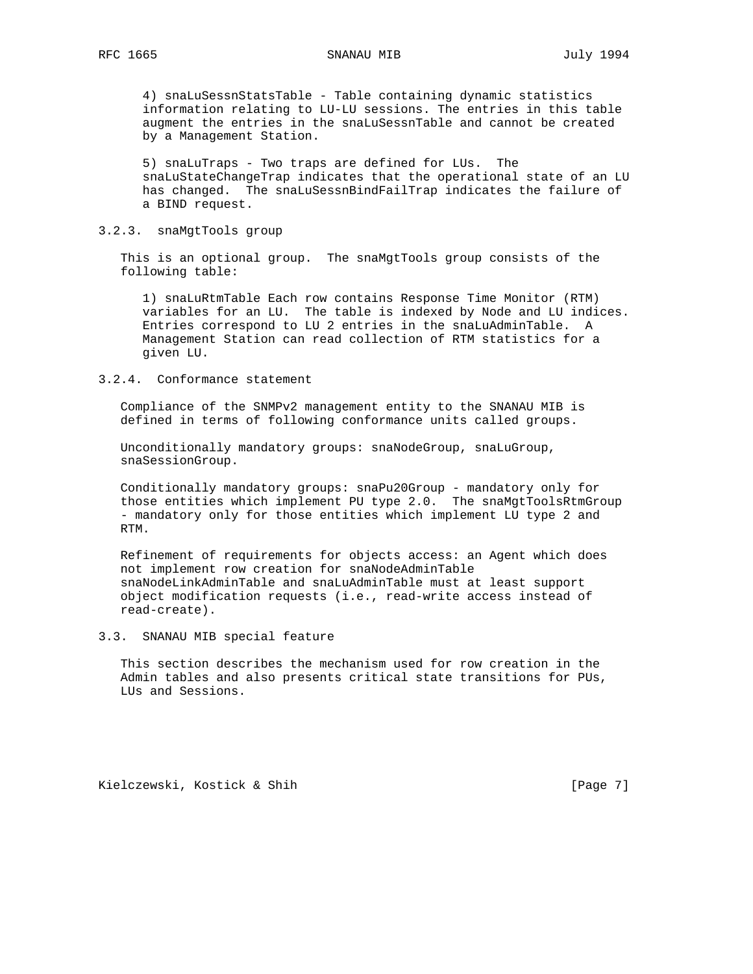4) snaLuSessnStatsTable - Table containing dynamic statistics information relating to LU-LU sessions. The entries in this table augment the entries in the snaLuSessnTable and cannot be created by a Management Station.

 5) snaLuTraps - Two traps are defined for LUs. The snaLuStateChangeTrap indicates that the operational state of an LU has changed. The snaLuSessnBindFailTrap indicates the failure of a BIND request.

## 3.2.3. snaMgtTools group

 This is an optional group. The snaMgtTools group consists of the following table:

 1) snaLuRtmTable Each row contains Response Time Monitor (RTM) variables for an LU. The table is indexed by Node and LU indices. Entries correspond to LU 2 entries in the snaLuAdminTable. A Management Station can read collection of RTM statistics for a given LU.

## 3.2.4. Conformance statement

 Compliance of the SNMPv2 management entity to the SNANAU MIB is defined in terms of following conformance units called groups.

 Unconditionally mandatory groups: snaNodeGroup, snaLuGroup, snaSessionGroup.

 Conditionally mandatory groups: snaPu20Group - mandatory only for those entities which implement PU type 2.0. The snaMgtToolsRtmGroup - mandatory only for those entities which implement LU type 2 and RTM.

 Refinement of requirements for objects access: an Agent which does not implement row creation for snaNodeAdminTable snaNodeLinkAdminTable and snaLuAdminTable must at least support object modification requests (i.e., read-write access instead of read-create).

## 3.3. SNANAU MIB special feature

 This section describes the mechanism used for row creation in the Admin tables and also presents critical state transitions for PUs, LUs and Sessions.

Kielczewski, Kostick & Shih [Page 7]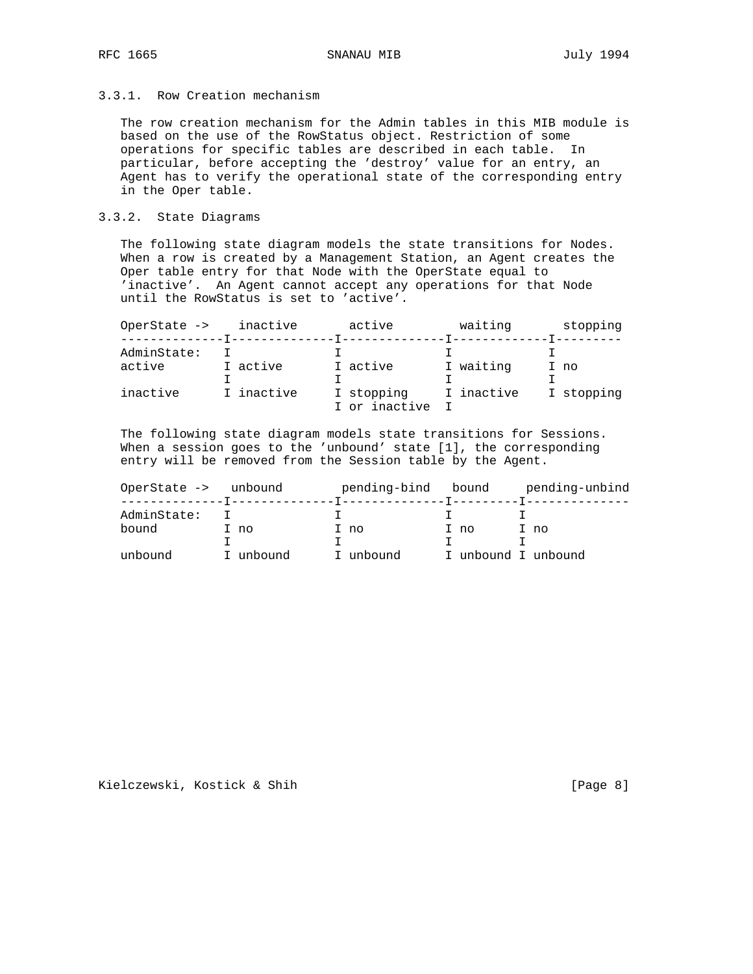# 3.3.1. Row Creation mechanism

 The row creation mechanism for the Admin tables in this MIB module is based on the use of the RowStatus object. Restriction of some operations for specific tables are described in each table. In particular, before accepting the 'destroy' value for an entry, an Agent has to verify the operational state of the corresponding entry in the Oper table.

# 3.3.2. State Diagrams

 The following state diagram models the state transitions for Nodes. When a row is created by a Management Station, an Agent creates the Oper table entry for that Node with the OperState equal to 'inactive'. An Agent cannot accept any operations for that Node until the RowStatus is set to 'active'.

| OperState -><br><u> - - - - - - - - - - - - - T -</u> | inactive   | active        | waiting    | stopping   |
|-------------------------------------------------------|------------|---------------|------------|------------|
| AdminState:                                           |            |               |            |            |
| active                                                | I active   | I active      | I waiting  | I no       |
|                                                       |            |               |            |            |
| inactive                                              | I inactive | I stopping    | I inactive | I stopping |
|                                                       |            | I or inactive |            |            |

 The following state diagram models state transitions for Sessions. When a session goes to the 'unbound' state [1], the corresponding entry will be removed from the Session table by the Agent.

| OperState -><br>_______________T_______ | unbound   | pending-bind bound<br>-T--------------T---------T--------- |                     | pending-unbind |
|-----------------------------------------|-----------|------------------------------------------------------------|---------------------|----------------|
| AdminState:                             |           |                                                            |                     |                |
| bound                                   | I no      | I no                                                       | I no                | I no           |
|                                         |           |                                                            |                     |                |
| unbound                                 | I unbound | unbound                                                    | I unbound I unbound |                |

Kielczewski, Kostick & Shih [Page 8]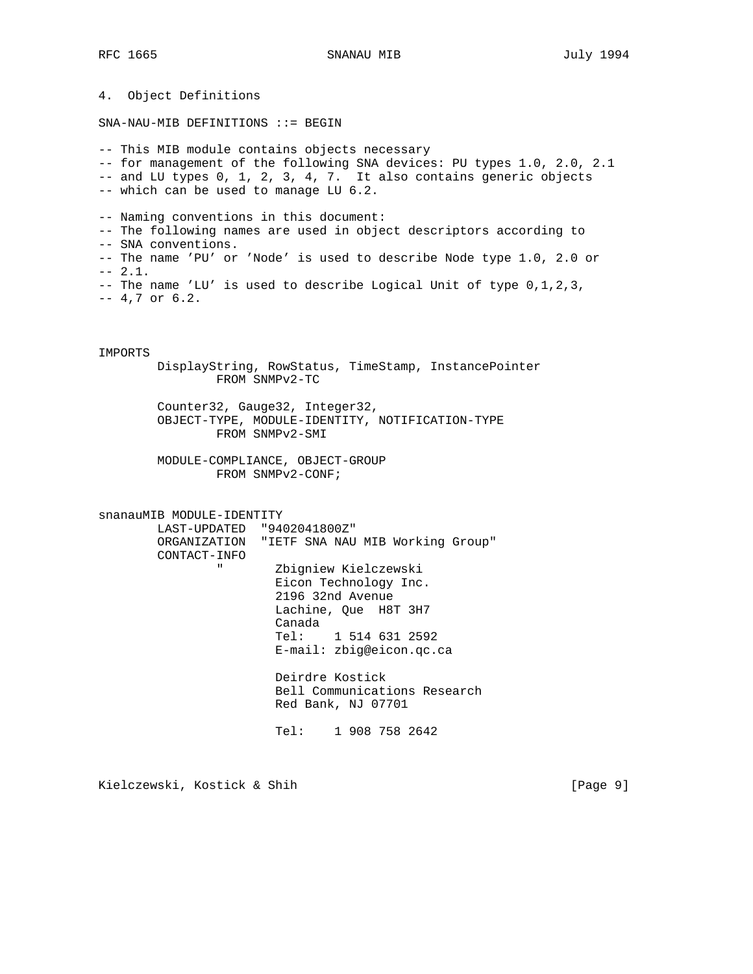4. Object Definitions SNA-NAU-MIB DEFINITIONS ::= BEGIN -- This MIB module contains objects necessary -- for management of the following SNA devices: PU types 1.0, 2.0, 2.1 -- and LU types 0, 1, 2, 3, 4, 7. It also contains generic objects -- which can be used to manage LU 6.2. -- Naming conventions in this document: -- The following names are used in object descriptors according to -- SNA conventions. -- The name 'PU' or 'Node' is used to describe Node type 1.0, 2.0 or  $-- 2.1.$ -- The name 'LU' is used to describe Logical Unit of type 0,1,2,3, -- 4,7 or 6.2. IMPORTS DisplayString, RowStatus, TimeStamp, InstancePointer FROM SNMPv2-TC Counter32, Gauge32, Integer32, OBJECT-TYPE, MODULE-IDENTITY, NOTIFICATION-TYPE FROM SNMPv2-SMI MODULE-COMPLIANCE, OBJECT-GROUP FROM SNMPv2-CONF; snanauMIB MODULE-IDENTITY LAST-UPDATED "9402041800Z" ORGANIZATION "IETF SNA NAU MIB Working Group" CONTACT-INFO " Zbigniew Kielczewski Eicon Technology Inc. 2196 32nd Avenue Lachine, Que H8T 3H7 Canada Tel: 1 514 631 2592 E-mail: zbig@eicon.qc.ca

 Deirdre Kostick Bell Communications Research Red Bank, NJ 07701

Tel: 1 908 758 2642

Kielczewski, Kostick & Shih [Page 9]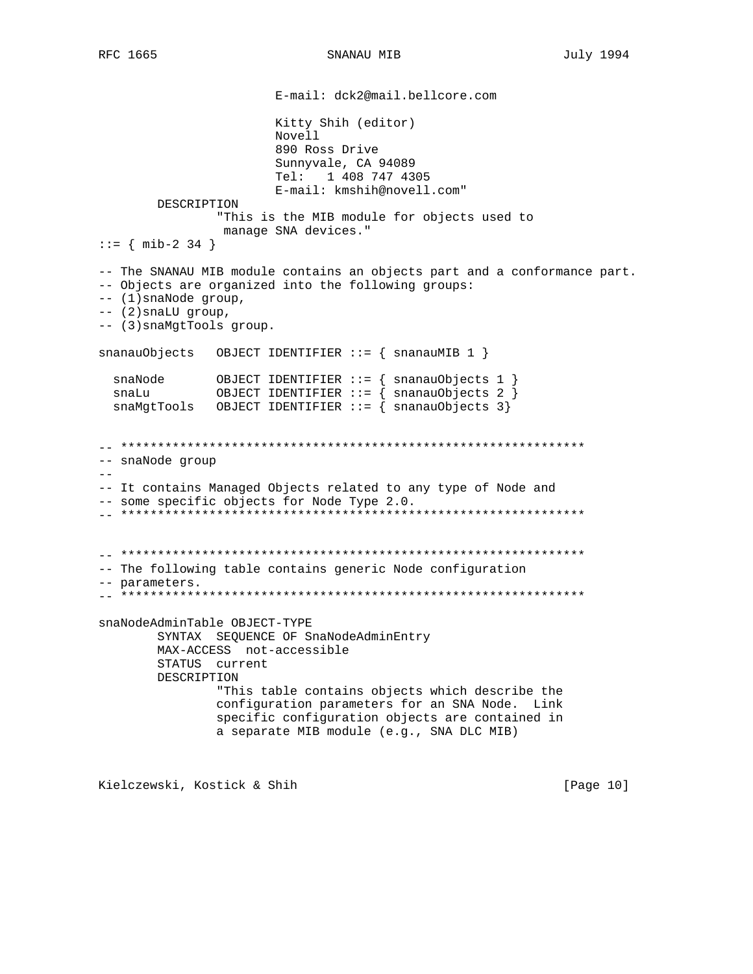E-mail: dck2@mail.bellcore.com Kitty Shih (editor) Novell 890 Ross Drive Sunnyvale, CA 94089 Tel: 1 408 747 4305 E-mail: kmshih@novell.com" DESCRIPTION "This is the MIB module for objects used to manage SNA devices."  $::=$  { mib-2 34 } -- The SNANAU MIB module contains an objects part and a conformance part. -- Objects are organized into the following groups: -- (1) snaNode group,  $--$  (2) snaLU group, -- (3) snaMgtTools group. snaMgtTools OBJECT IDENTIFIER ::=  $\{$  snanauObjects 3} -- snaNode group  $- \, -$ -- It contains Managed Objects related to any type of Node and -- some specific objects for Node Type 2.0. -- The following table contains generic Node configuration -- parameters. snaNodeAdminTable OBJECT-TYPE SYNTAX SEQUENCE OF SnaNodeAdminEntry MAX-ACCESS not-accessible STATUS current DESCRIPTION "This table contains objects which describe the configuration parameters for an SNA Node. Link specific configuration objects are contained in a separate MIB module (e.g., SNA DLC MIB)

Kielczewski, Kostick & Shih

[Page 10]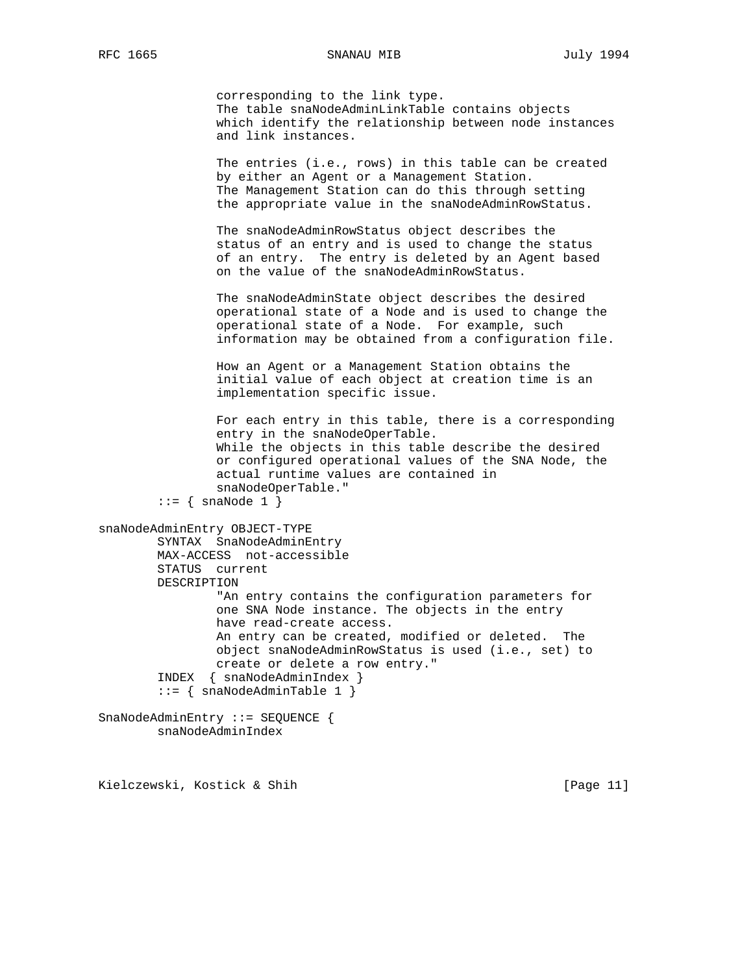corresponding to the link type. The table snaNodeAdminLinkTable contains objects which identify the relationship between node instances and link instances.

 The entries (i.e., rows) in this table can be created by either an Agent or a Management Station. The Management Station can do this through setting the appropriate value in the snaNodeAdminRowStatus.

 The snaNodeAdminRowStatus object describes the status of an entry and is used to change the status of an entry. The entry is deleted by an Agent based on the value of the snaNodeAdminRowStatus.

 The snaNodeAdminState object describes the desired operational state of a Node and is used to change the operational state of a Node. For example, such information may be obtained from a configuration file.

 How an Agent or a Management Station obtains the initial value of each object at creation time is an implementation specific issue.

 For each entry in this table, there is a corresponding entry in the snaNodeOperTable. While the objects in this table describe the desired or configured operational values of the SNA Node, the actual runtime values are contained in snaNodeOperTable."

```
::= { snaNode 1 }
```

```
snaNodeAdminEntry OBJECT-TYPE
         SYNTAX SnaNodeAdminEntry
         MAX-ACCESS not-accessible
         STATUS current
         DESCRIPTION
                 "An entry contains the configuration parameters for
                 one SNA Node instance. The objects in the entry
                 have read-create access.
                 An entry can be created, modified or deleted. The
                 object snaNodeAdminRowStatus is used (i.e., set) to
                 create or delete a row entry."
         INDEX { snaNodeAdminIndex }
         ::= { snaNodeAdminTable 1 }
SnaNodeAdminEntry ::= SEQUENCE {
         snaNodeAdminIndex
```
Kielczewski, Kostick & Shih [Page 11]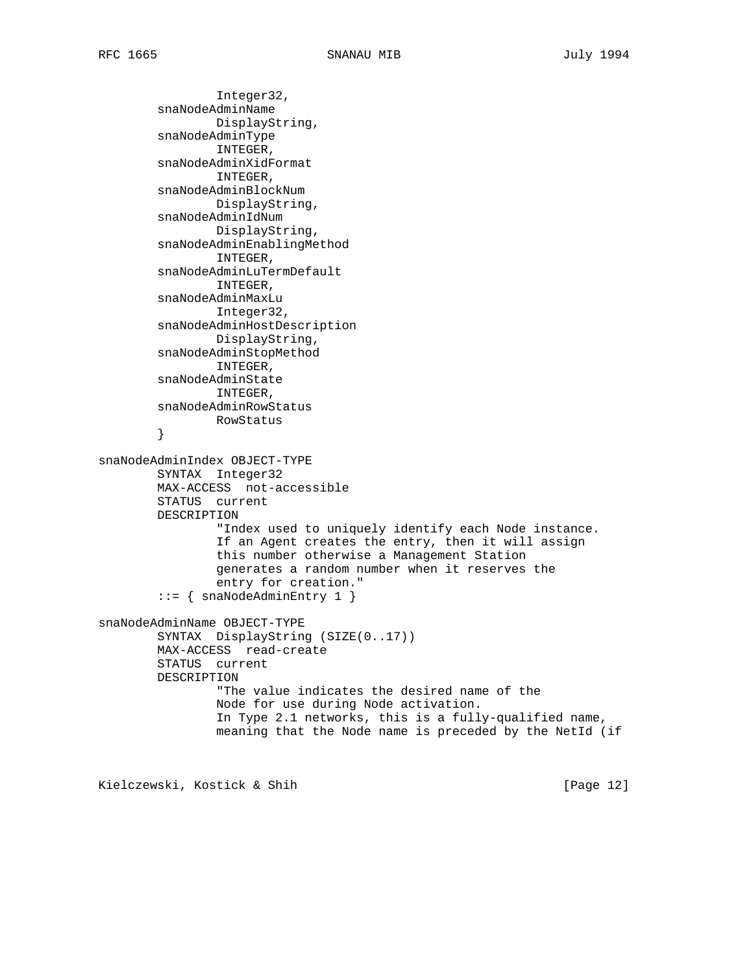```
 Integer32,
         snaNodeAdminName
                 DisplayString,
         snaNodeAdminType
                 INTEGER,
         snaNodeAdminXidFormat
                 INTEGER,
         snaNodeAdminBlockNum
                 DisplayString,
         snaNodeAdminIdNum
                DisplayString,
         snaNodeAdminEnablingMethod
                 INTEGER,
         snaNodeAdminLuTermDefault
                 INTEGER,
         snaNodeAdminMaxLu
                Integer32,
         snaNodeAdminHostDescription
                DisplayString,
         snaNodeAdminStopMethod
                 INTEGER,
         snaNodeAdminState
                 INTEGER,
         snaNodeAdminRowStatus
                RowStatus
         }
snaNodeAdminIndex OBJECT-TYPE
         SYNTAX Integer32
         MAX-ACCESS not-accessible
         STATUS current
         DESCRIPTION
                 "Index used to uniquely identify each Node instance.
                 If an Agent creates the entry, then it will assign
                 this number otherwise a Management Station
                 generates a random number when it reserves the
                 entry for creation."
        ::= { snaNodeAdminEntry 1 }
snaNodeAdminName OBJECT-TYPE
         SYNTAX DisplayString (SIZE(0..17))
         MAX-ACCESS read-create
         STATUS current
         DESCRIPTION
                 "The value indicates the desired name of the
                 Node for use during Node activation.
                 In Type 2.1 networks, this is a fully-qualified name,
                 meaning that the Node name is preceded by the NetId (if
```
Kielczewski, Kostick & Shih [Page 12]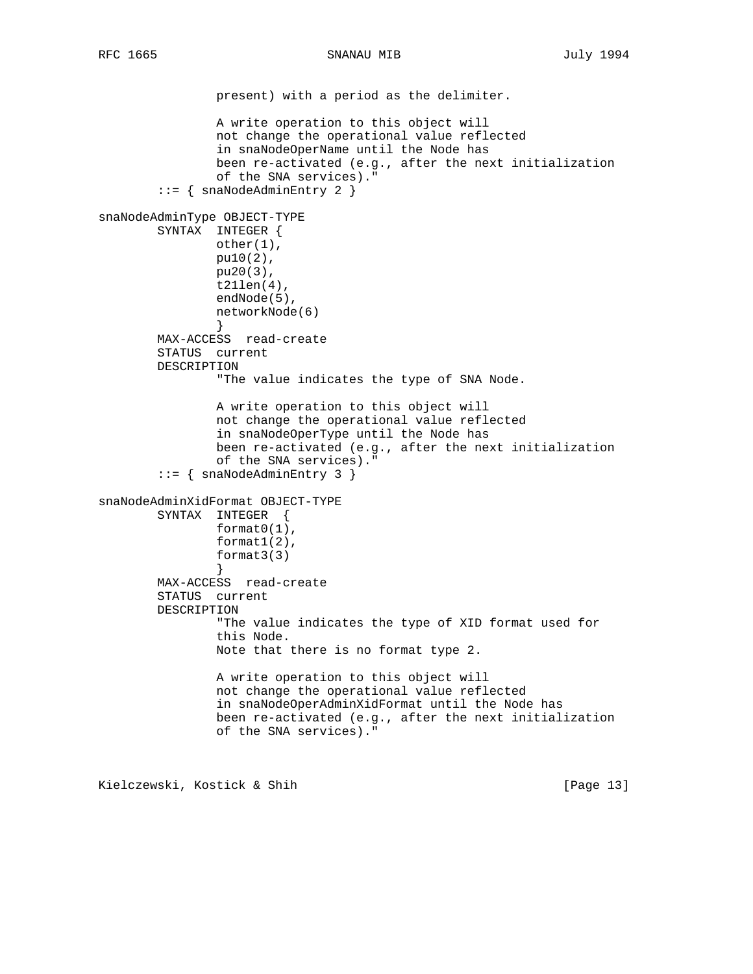present) with a period as the delimiter. A write operation to this object will not change the operational value reflected in snaNodeOperName until the Node has been re-activated (e.g., after the next initialization of the SNA services)." ::= { snaNodeAdminEntry 2 } snaNodeAdminType OBJECT-TYPE SYNTAX INTEGER { other(1), pu10(2), pu20(3), t21len(4), endNode(5), networkNode(6) } MAX-ACCESS read-create STATUS current DESCRIPTION "The value indicates the type of SNA Node. A write operation to this object will not change the operational value reflected in snaNodeOperType until the Node has been re-activated (e.g., after the next initialization of the SNA services)." ::= { snaNodeAdminEntry 3 } snaNodeAdminXidFormat OBJECT-TYPE SYNTAX INTEGER { format0(1), format1(2), format3(3) } MAX-ACCESS read-create STATUS current DESCRIPTION "The value indicates the type of XID format used for this Node. Note that there is no format type 2. A write operation to this object will not change the operational value reflected in snaNodeOperAdminXidFormat until the Node has been re-activated (e.g., after the next initialization of the SNA services)."

Kielczewski, Kostick & Shih [Page 13]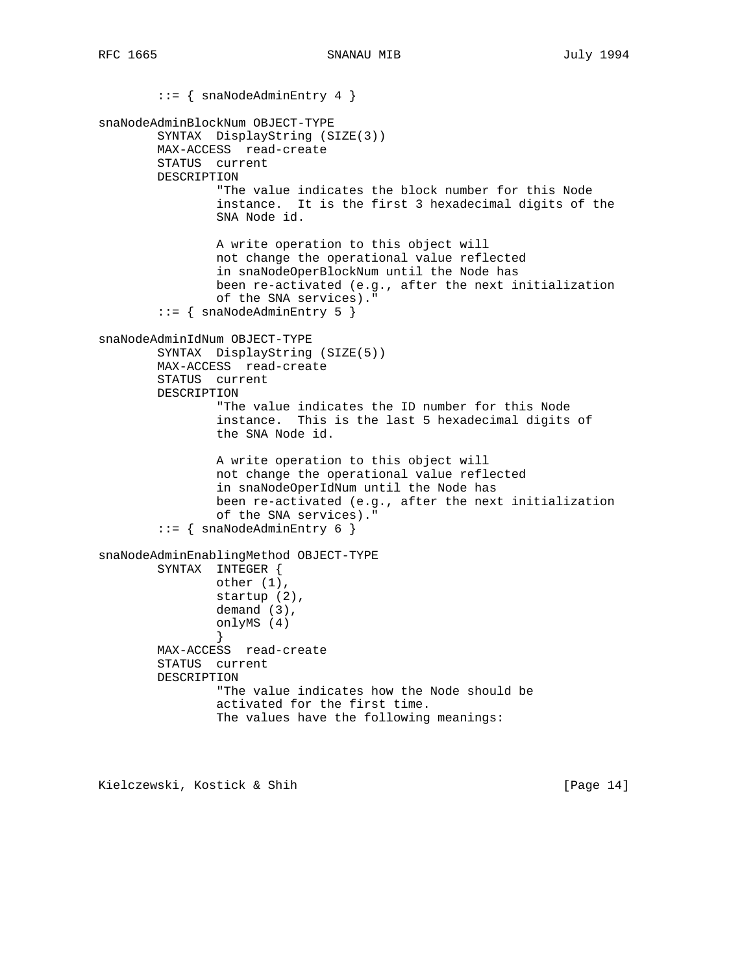::= { snaNodeAdminEntry 4 } snaNodeAdminBlockNum OBJECT-TYPE SYNTAX DisplayString (SIZE(3)) MAX-ACCESS read-create STATUS current DESCRIPTION "The value indicates the block number for this Node instance. It is the first 3 hexadecimal digits of the SNA Node id. A write operation to this object will not change the operational value reflected in snaNodeOperBlockNum until the Node has been re-activated (e.g., after the next initialization of the SNA services)." ::= { snaNodeAdminEntry 5 } snaNodeAdminIdNum OBJECT-TYPE SYNTAX DisplayString (SIZE(5)) MAX-ACCESS read-create STATUS current DESCRIPTION "The value indicates the ID number for this Node instance. This is the last 5 hexadecimal digits of the SNA Node id. A write operation to this object will not change the operational value reflected in snaNodeOperIdNum until the Node has been re-activated (e.g., after the next initialization of the SNA services)." ::= { snaNodeAdminEntry 6 } snaNodeAdminEnablingMethod OBJECT-TYPE SYNTAX INTEGER { other (1), startup (2), demand (3), onlyMS (4) } MAX-ACCESS read-create STATUS current DESCRIPTION "The value indicates how the Node should be activated for the first time. The values have the following meanings:

Kielczewski, Kostick & Shih [Page 14]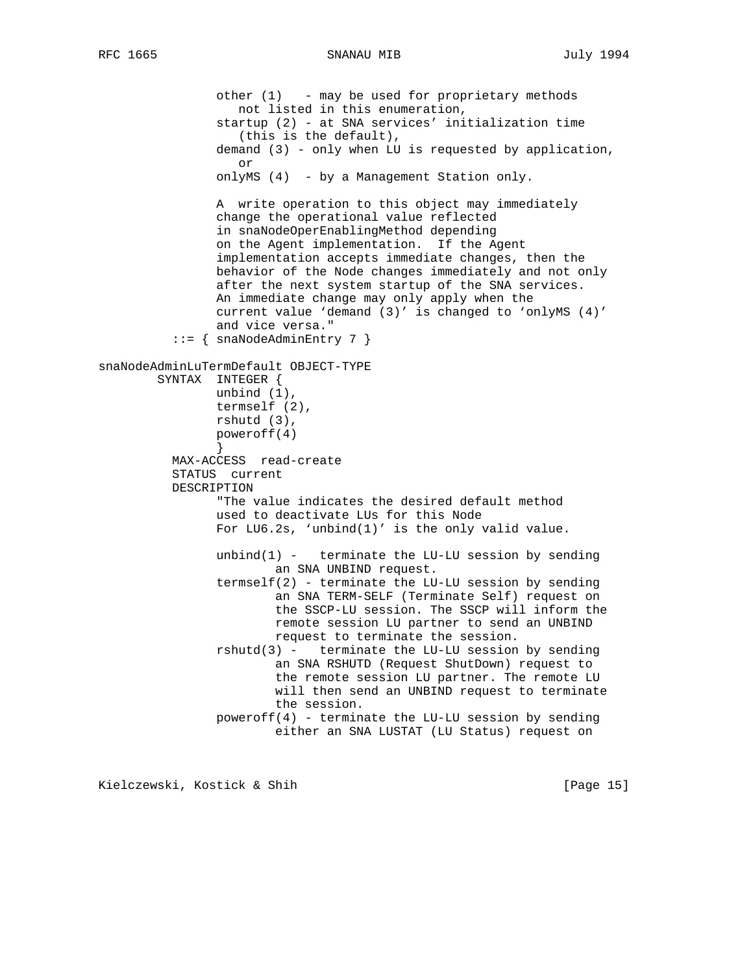other (1) - may be used for proprietary methods not listed in this enumeration, startup (2) - at SNA services' initialization time (this is the default), demand (3) - only when LU is requested by application, or onlyMS (4) - by a Management Station only. A write operation to this object may immediately change the operational value reflected in snaNodeOperEnablingMethod depending on the Agent implementation. If the Agent implementation accepts immediate changes, then the behavior of the Node changes immediately and not only after the next system startup of the SNA services. An immediate change may only apply when the current value 'demand (3)' is changed to 'onlyMS (4)' and vice versa." ::= { snaNodeAdminEntry 7 } snaNodeAdminLuTermDefault OBJECT-TYPE SYNTAX INTEGER { unbind (1), termself (2), rshutd (3), poweroff(4) } MAX-ACCESS read-create STATUS current DESCRIPTION "The value indicates the desired default method used to deactivate LUs for this Node For  $L\text{U}6.2s$ , 'unbind(1)' is the only valid value. unbind $(1)$  - terminate the LU-LU session by sending an SNA UNBIND request. termself(2) - terminate the LU-LU session by sending an SNA TERM-SELF (Terminate Self) request on the SSCP-LU session. The SSCP will inform the remote session LU partner to send an UNBIND request to terminate the session.  $rshutd(3)$  - terminate the LU-LU session by sending an SNA RSHUTD (Request ShutDown) request to the remote session LU partner. The remote LU will then send an UNBIND request to terminate the session. poweroff(4) - terminate the LU-LU session by sending either an SNA LUSTAT (LU Status) request on

Kielczewski, Kostick & Shih [Page 15]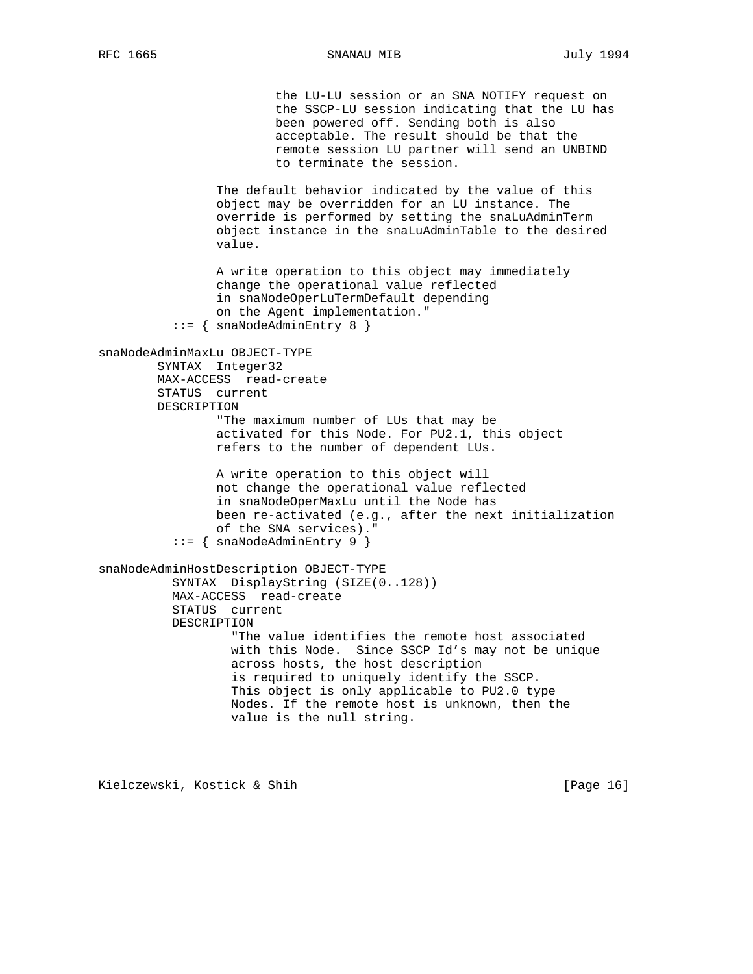the LU-LU session or an SNA NOTIFY request on the SSCP-LU session indicating that the LU has been powered off. Sending both is also acceptable. The result should be that the remote session LU partner will send an UNBIND to terminate the session. The default behavior indicated by the value of this object may be overridden for an LU instance. The override is performed by setting the snaLuAdminTerm object instance in the snaLuAdminTable to the desired value. A write operation to this object may immediately change the operational value reflected in snaNodeOperLuTermDefault depending on the Agent implementation." ::= { snaNodeAdminEntry 8 } snaNodeAdminMaxLu OBJECT-TYPE SYNTAX Integer32 MAX-ACCESS read-create STATUS current DESCRIPTION "The maximum number of LUs that may be activated for this Node. For PU2.1, this object refers to the number of dependent LUs. A write operation to this object will not change the operational value reflected in snaNodeOperMaxLu until the Node has been re-activated (e.g., after the next initialization of the SNA services)." ::= { snaNodeAdminEntry 9 } snaNodeAdminHostDescription OBJECT-TYPE SYNTAX DisplayString (SIZE(0..128)) MAX-ACCESS read-create STATUS current DESCRIPTION "The value identifies the remote host associated with this Node. Since SSCP Id's may not be unique across hosts, the host description is required to uniquely identify the SSCP. This object is only applicable to PU2.0 type Nodes. If the remote host is unknown, then the value is the null string.

Kielczewski, Kostick & Shih [Page 16]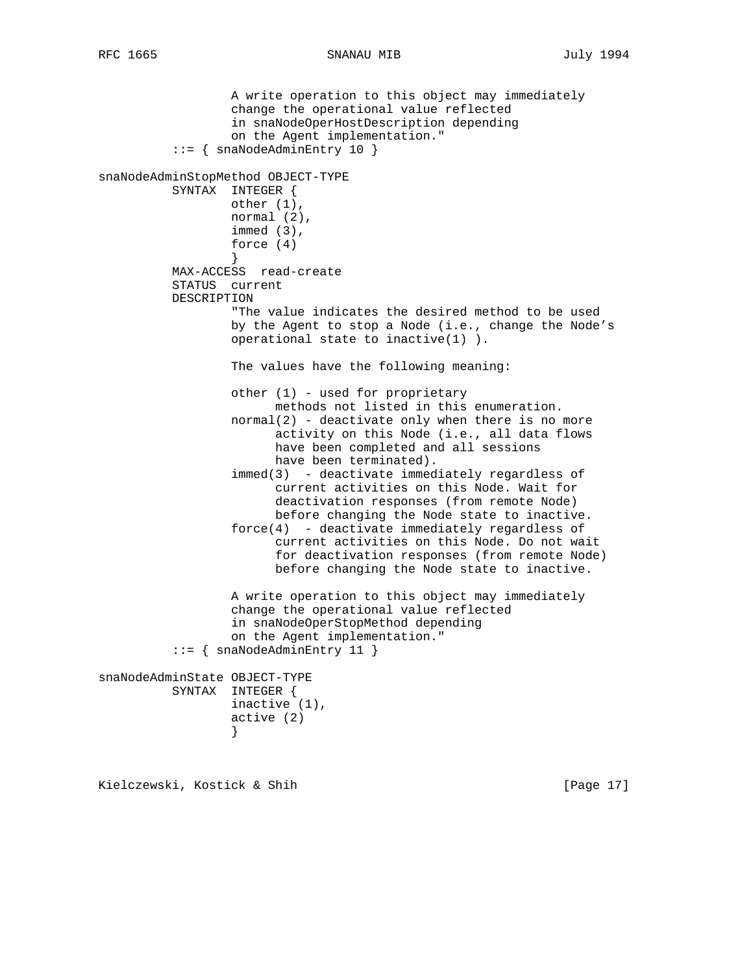A write operation to this object may immediately change the operational value reflected in snaNodeOperHostDescription depending on the Agent implementation." ::= { snaNodeAdminEntry 10 } snaNodeAdminStopMethod OBJECT-TYPE SYNTAX INTEGER { other (1), normal (2), immed (3), force (4) } MAX-ACCESS read-create STATUS current DESCRIPTION "The value indicates the desired method to be used by the Agent to stop a Node (i.e., change the Node's operational state to inactive(1) ). The values have the following meaning: other (1) - used for proprietary methods not listed in this enumeration.  $normal(2)$  - deactivate only when there is no more activity on this Node (i.e., all data flows have been completed and all sessions have been terminated). immed(3) - deactivate immediately regardless of current activities on this Node. Wait for deactivation responses (from remote Node) before changing the Node state to inactive. force(4) - deactivate immediately regardless of current activities on this Node. Do not wait for deactivation responses (from remote Node) before changing the Node state to inactive. A write operation to this object may immediately change the operational value reflected in snaNodeOperStopMethod depending on the Agent implementation." ::= { snaNodeAdminEntry 11 } snaNodeAdminState OBJECT-TYPE SYNTAX INTEGER { inactive (1), active (2) }

Kielczewski, Kostick & Shih [Page 17]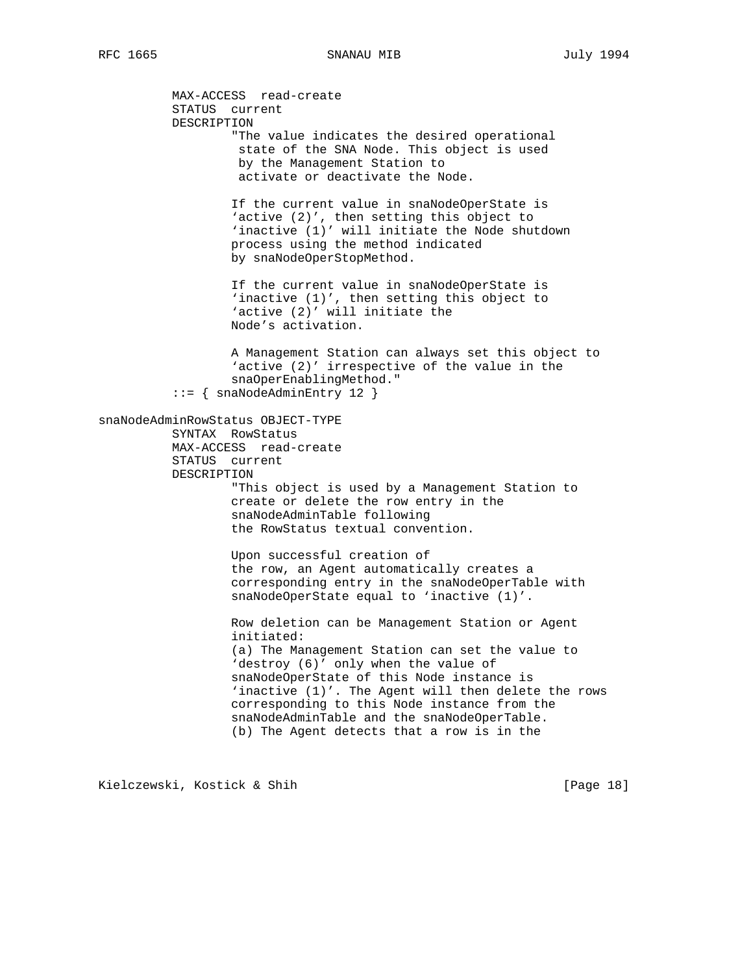MAX-ACCESS read-create STATUS current DESCRIPTION "The value indicates the desired operational state of the SNA Node. This object is used by the Management Station to activate or deactivate the Node. If the current value in snaNodeOperState is 'active (2)', then setting this object to 'inactive (1)' will initiate the Node shutdown process using the method indicated by snaNodeOperStopMethod. If the current value in snaNodeOperState is 'inactive (1)', then setting this object to 'active (2)' will initiate the Node's activation. A Management Station can always set this object to 'active (2)' irrespective of the value in the snaOperEnablingMethod." ::= { snaNodeAdminEntry 12 } snaNodeAdminRowStatus OBJECT-TYPE SYNTAX RowStatus MAX-ACCESS read-create STATUS current DESCRIPTION "This object is used by a Management Station to create or delete the row entry in the snaNodeAdminTable following the RowStatus textual convention. Upon successful creation of the row, an Agent automatically creates a corresponding entry in the snaNodeOperTable with snaNodeOperState equal to 'inactive (1)'. Row deletion can be Management Station or Agent initiated: (a) The Management Station can set the value to 'destroy (6)' only when the value of snaNodeOperState of this Node instance is 'inactive (1)'. The Agent will then delete the rows corresponding to this Node instance from the snaNodeAdminTable and the snaNodeOperTable. (b) The Agent detects that a row is in the

Kielczewski, Kostick & Shih [Page 18]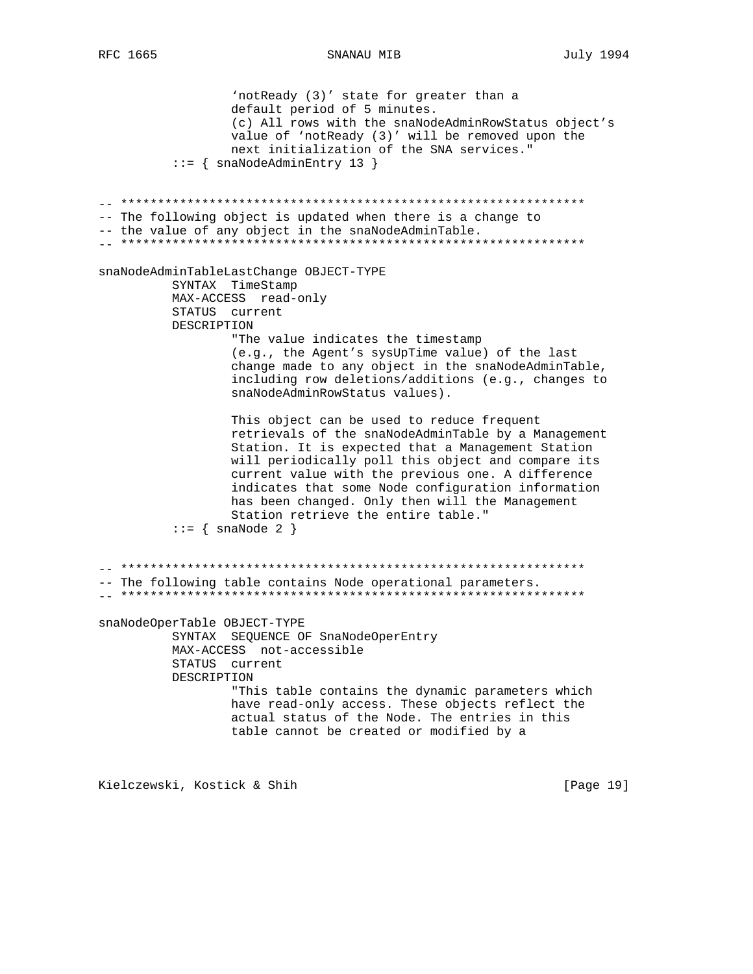'notReady (3)' state for greater than a default period of 5 minutes. (c) All rows with the snaNodeAdminRowStatus object's value of 'notReady (3)' will be removed upon the next initialization of the SNA services."  $::=$  { snaNodeAdminEntry 13 } -- The following object is updated when there is a change to -- the value of any object in the snaNodeAdminTable. snaNodeAdminTableLastChange OBJECT-TYPE SYNTAX TimeStamp MAX-ACCESS read-only STATUS current DESCRIPTION "The value indicates the timestamp (e.g., the Agent's sysUpTime value) of the last change made to any object in the snaNodeAdminTable, including row deletions/additions (e.g., changes to snaNodeAdminRowStatus values). This object can be used to reduce frequent retrievals of the snaNodeAdminTable by a Management Station. It is expected that a Management Station will periodically poll this object and compare its current value with the previous one. A difference indicates that some Node configuration information has been changed. Only then will the Management Station retrieve the entire table."  $::=$  { snaNode 2 } -- The following table contains Node operational parameters. snaNodeOperTable OBJECT-TYPE SYNTAX SEQUENCE OF SnaNodeOperEntry MAX-ACCESS not-accessible STATUS current DESCRIPTION "This table contains the dynamic parameters which have read-only access. These objects reflect the actual status of the Node. The entries in this table cannot be created or modified by a

SNANAU MIB

Kielczewski, Kostick & Shih

[Page 19]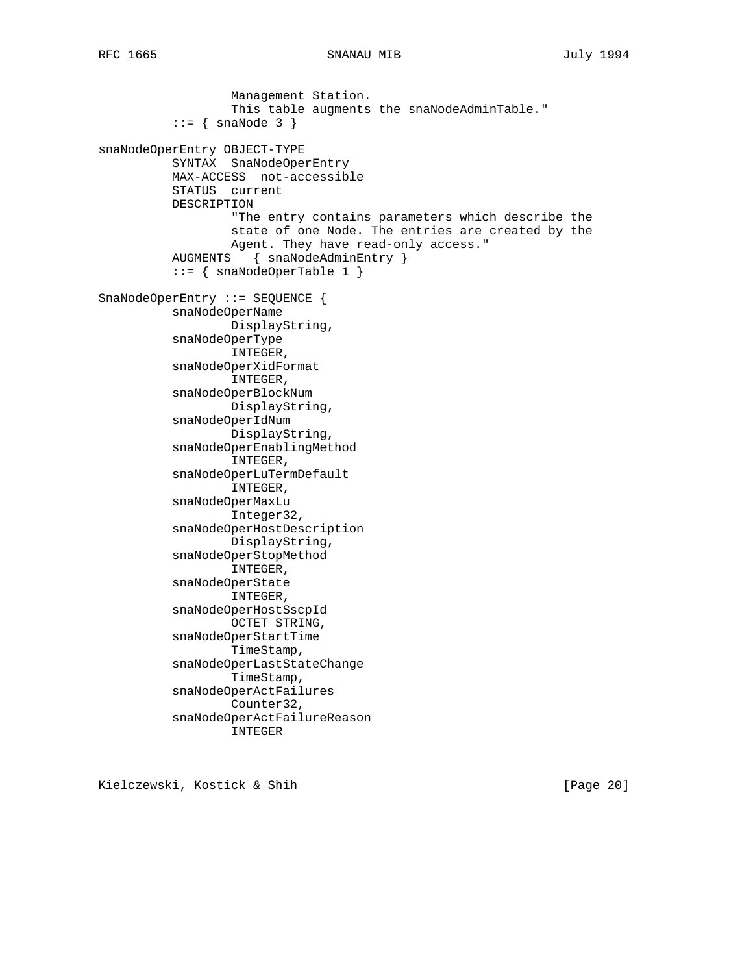```
 Management Station.
                   This table augments the snaNodeAdminTable."
          ::= { snaNode 3 }
snaNodeOperEntry OBJECT-TYPE
           SYNTAX SnaNodeOperEntry
           MAX-ACCESS not-accessible
           STATUS current
           DESCRIPTION
                   "The entry contains parameters which describe the
                   state of one Node. The entries are created by the
                   Agent. They have read-only access."
           AUGMENTS { snaNodeAdminEntry }
           ::= { snaNodeOperTable 1 }
SnaNodeOperEntry ::= SEQUENCE {
           snaNodeOperName
                   DisplayString,
           snaNodeOperType
                   INTEGER,
           snaNodeOperXidFormat
                   INTEGER,
           snaNodeOperBlockNum
                   DisplayString,
           snaNodeOperIdNum
                   DisplayString,
           snaNodeOperEnablingMethod
                   INTEGER,
           snaNodeOperLuTermDefault
                   INTEGER,
           snaNodeOperMaxLu
                   Integer32,
           snaNodeOperHostDescription
                   DisplayString,
           snaNodeOperStopMethod
                   INTEGER,
           snaNodeOperState
                   INTEGER,
           snaNodeOperHostSscpId
                   OCTET STRING,
           snaNodeOperStartTime
                   TimeStamp,
           snaNodeOperLastStateChange
                   TimeStamp,
           snaNodeOperActFailures
                   Counter32,
           snaNodeOperActFailureReason
                   INTEGER
```
Kielczewski, Kostick & Shih [Page 20]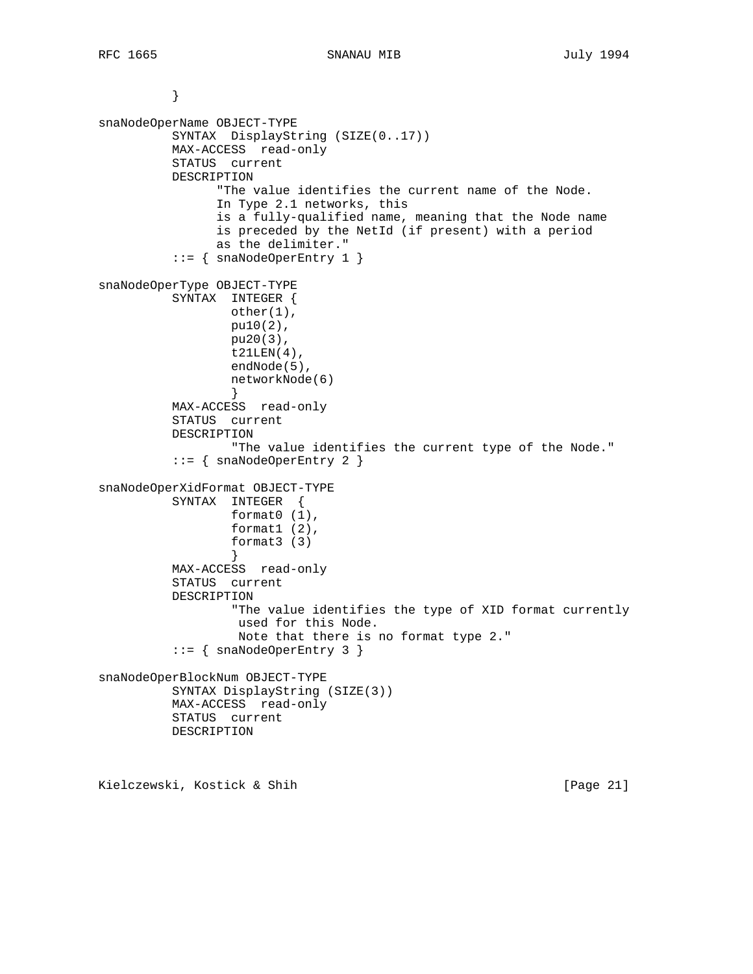```
 }
snaNodeOperName OBJECT-TYPE
           SYNTAX DisplayString (SIZE(0..17))
           MAX-ACCESS read-only
           STATUS current
           DESCRIPTION
                 "The value identifies the current name of the Node.
                 In Type 2.1 networks, this
                 is a fully-qualified name, meaning that the Node name
                 is preceded by the NetId (if present) with a period
                 as the delimiter."
           ::= { snaNodeOperEntry 1 }
snaNodeOperType OBJECT-TYPE
           SYNTAX INTEGER {
                  other(1),
                  pu10(2),
                  pu20(3),
                  t21LEN(4),
                  endNode(5),
                  networkNode(6)
 }
           MAX-ACCESS read-only
           STATUS current
           DESCRIPTION
                   "The value identifies the current type of the Node."
          ::= { snaNodeOperEntry 2 }
snaNodeOperXidFormat OBJECT-TYPE
          SYNTAX INTEGER {
                  format0 (1),
                  format1 (2),
                  format3 (3)
 }
           MAX-ACCESS read-only
           STATUS current
           DESCRIPTION
                   "The value identifies the type of XID format currently
                    used for this Node.
                    Note that there is no format type 2."
           ::= { snaNodeOperEntry 3 }
snaNodeOperBlockNum OBJECT-TYPE
           SYNTAX DisplayString (SIZE(3))
           MAX-ACCESS read-only
           STATUS current
          DESCRIPTION
```
Kielczewski, Kostick & Shih [Page 21]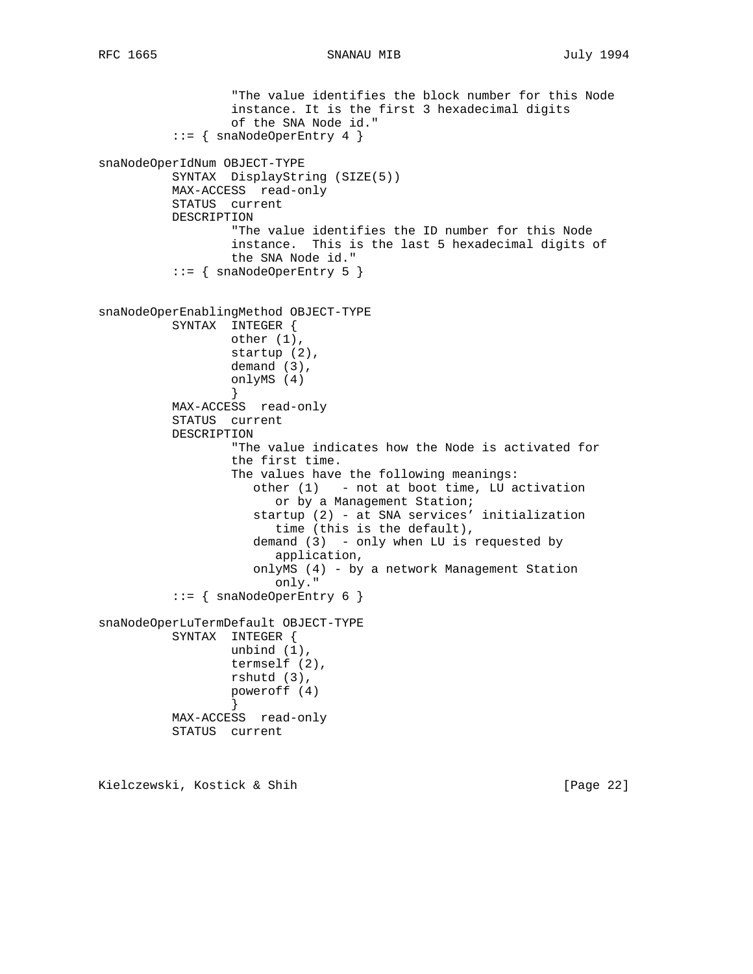```
 "The value identifies the block number for this Node
                   instance. It is the first 3 hexadecimal digits
                   of the SNA Node id."
           ::= { snaNodeOperEntry 4 }
snaNodeOperIdNum OBJECT-TYPE
           SYNTAX DisplayString (SIZE(5))
           MAX-ACCESS read-only
           STATUS current
          DESCRIPTION
                   "The value identifies the ID number for this Node
                   instance. This is the last 5 hexadecimal digits of
                  the SNA Node id."
           ::= { snaNodeOperEntry 5 }
snaNodeOperEnablingMethod OBJECT-TYPE
           SYNTAX INTEGER {
                  other (1),
                  startup (2),
                  demand (3),
                  onlyMS (4)
 }
           MAX-ACCESS read-only
           STATUS current
           DESCRIPTION
                   "The value indicates how the Node is activated for
                   the first time.
                   The values have the following meanings:
                      other (1) - not at boot time, LU activation
                         or by a Management Station;
                      startup (2) - at SNA services' initialization
                        time (this is the default),
                      demand (3) - only when LU is requested by
                         application,
                      onlyMS (4) - by a network Management Station
                         only."
          ::= { snaNodeOperEntry 6 }
snaNodeOperLuTermDefault OBJECT-TYPE
           SYNTAX INTEGER {
                  unbind (1),
                   termself (2),
                  rshutd (3),
                  poweroff (4)
 }
           MAX-ACCESS read-only
           STATUS current
```
Kielczewski, Kostick & Shih [Page 22]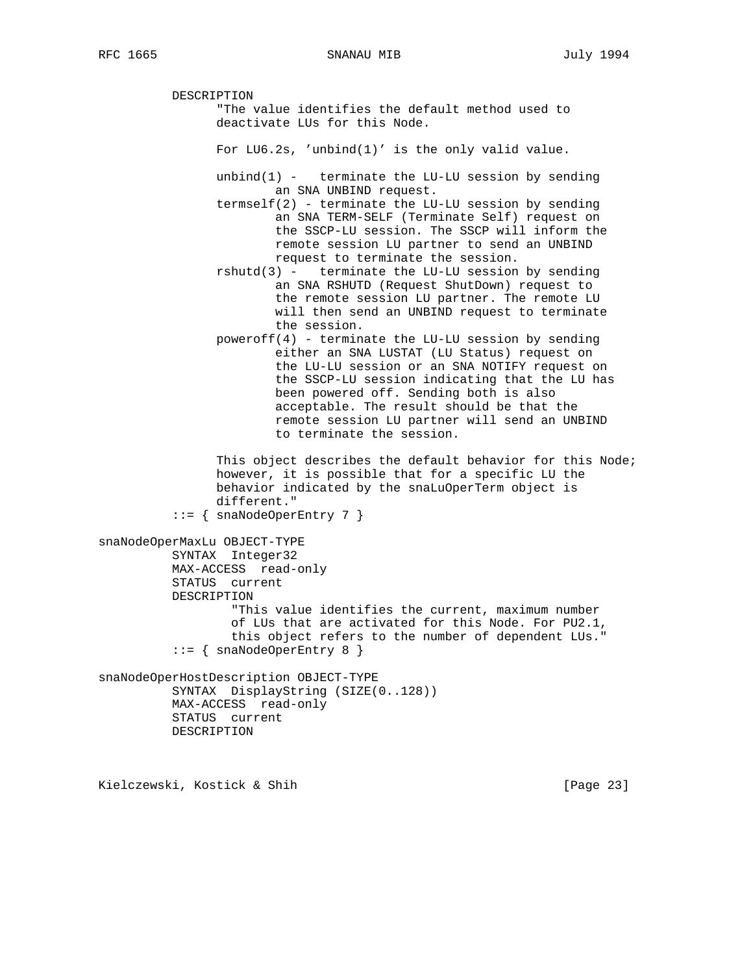DESCRIPTION "The value identifies the default method used to deactivate LUs for this Node. For LU6.2s, 'unbind(1)' is the only valid value. unbind $(1)$  - terminate the LU-LU session by sending an SNA UNBIND request. termself(2) - terminate the LU-LU session by sending an SNA TERM-SELF (Terminate Self) request on the SSCP-LU session. The SSCP will inform the remote session LU partner to send an UNBIND request to terminate the session. rshutd(3) - terminate the LU-LU session by sending an SNA RSHUTD (Request ShutDown) request to the remote session LU partner. The remote LU will then send an UNBIND request to terminate the session. poweroff(4) - terminate the LU-LU session by sending either an SNA LUSTAT (LU Status) request on the LU-LU session or an SNA NOTIFY request on the SSCP-LU session indicating that the LU has been powered off. Sending both is also acceptable. The result should be that the remote session LU partner will send an UNBIND to terminate the session. This object describes the default behavior for this Node; however, it is possible that for a specific LU the behavior indicated by the snaLuOperTerm object is different."  $::=$  { snaNodeOperEntry 7 } snaNodeOperMaxLu OBJECT-TYPE SYNTAX Integer32 MAX-ACCESS read-only STATUS current DESCRIPTION "This value identifies the current, maximum number of LUs that are activated for this Node. For PU2.1, this object refers to the number of dependent LUs." ::= { snaNodeOperEntry 8 } snaNodeOperHostDescription OBJECT-TYPE SYNTAX DisplayString (SIZE(0..128)) MAX-ACCESS read-only STATUS current DESCRIPTION

Kielczewski, Kostick & Shih [Page 23]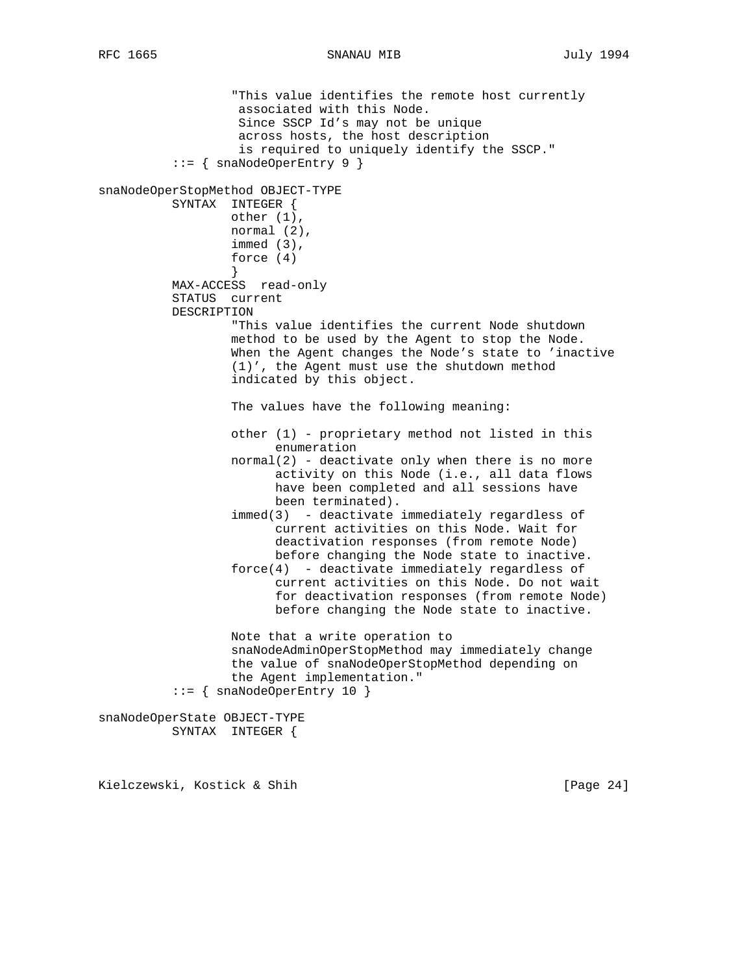"This value identifies the remote host currently associated with this Node. Since SSCP Id's may not be unique across hosts, the host description is required to uniquely identify the SSCP." ::= { snaNodeOperEntry 9 } snaNodeOperStopMethod OBJECT-TYPE SYNTAX INTEGER { other (1), normal (2), immed (3), force (4) } MAX-ACCESS read-only STATUS current DESCRIPTION "This value identifies the current Node shutdown method to be used by the Agent to stop the Node. When the Agent changes the Node's state to 'inactive (1)', the Agent must use the shutdown method indicated by this object. The values have the following meaning: other (1) - proprietary method not listed in this enumeration normal(2) - deactivate only when there is no more activity on this Node (i.e., all data flows have been completed and all sessions have been terminated). immed(3) - deactivate immediately regardless of current activities on this Node. Wait for deactivation responses (from remote Node) before changing the Node state to inactive.  $force(4)$  - deactivate immediately regardless of current activities on this Node. Do not wait for deactivation responses (from remote Node) before changing the Node state to inactive. Note that a write operation to snaNodeAdminOperStopMethod may immediately change the value of snaNodeOperStopMethod depending on the Agent implementation." ::= { snaNodeOperEntry 10 } snaNodeOperState OBJECT-TYPE

SYNTAX INTEGER {

Kielczewski, Kostick & Shih [Page 24]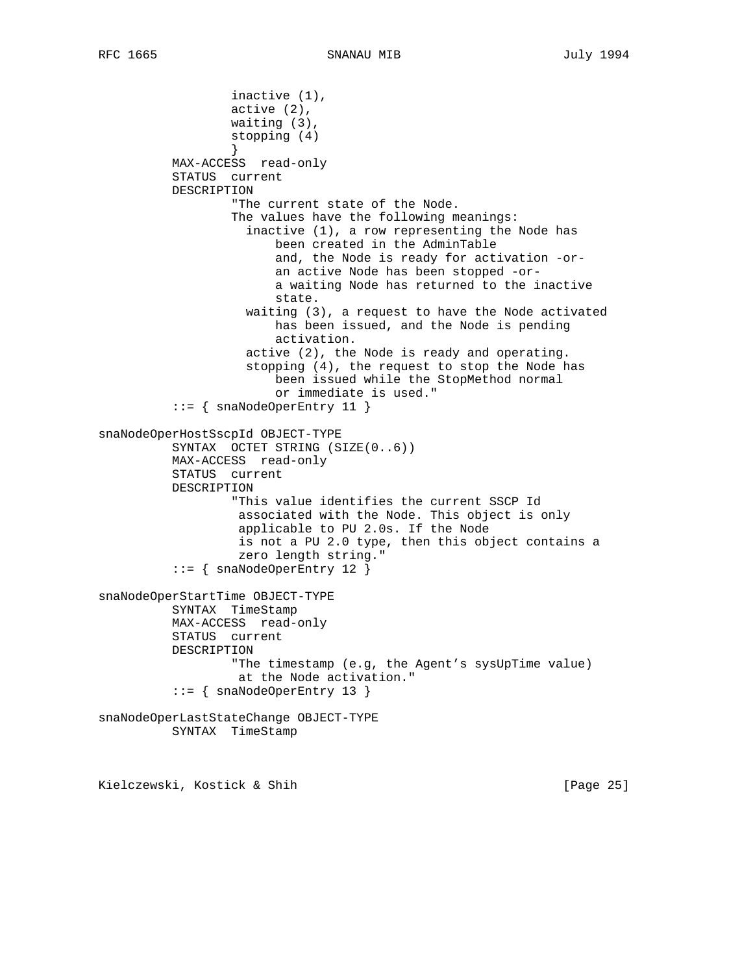```
 inactive (1),
                   active (2),
                   waiting (3),
                   stopping (4)
 }
           MAX-ACCESS read-only
           STATUS current
           DESCRIPTION
                   "The current state of the Node.
                   The values have the following meanings:
                     inactive (1), a row representing the Node has
                         been created in the AdminTable
                         and, the Node is ready for activation -or-
                         an active Node has been stopped -or-
                         a waiting Node has returned to the inactive
                         state.
                     waiting (3), a request to have the Node activated
                         has been issued, and the Node is pending
                         activation.
                     active (2), the Node is ready and operating.
                     stopping (4), the request to stop the Node has
                         been issued while the StopMethod normal
                         or immediate is used."
           ::= { snaNodeOperEntry 11 }
snaNodeOperHostSscpId OBJECT-TYPE
           SYNTAX OCTET STRING (SIZE(0..6))
           MAX-ACCESS read-only
           STATUS current
           DESCRIPTION
                   "This value identifies the current SSCP Id
                    associated with the Node. This object is only
                    applicable to PU 2.0s. If the Node
                    is not a PU 2.0 type, then this object contains a
                    zero length string."
           ::= { snaNodeOperEntry 12 }
snaNodeOperStartTime OBJECT-TYPE
           SYNTAX TimeStamp
           MAX-ACCESS read-only
           STATUS current
           DESCRIPTION
                   "The timestamp (e.g, the Agent's sysUpTime value)
                    at the Node activation."
           ::= { snaNodeOperEntry 13 }
snaNodeOperLastStateChange OBJECT-TYPE
           SYNTAX TimeStamp
```
Kielczewski, Kostick & Shih [Page 25]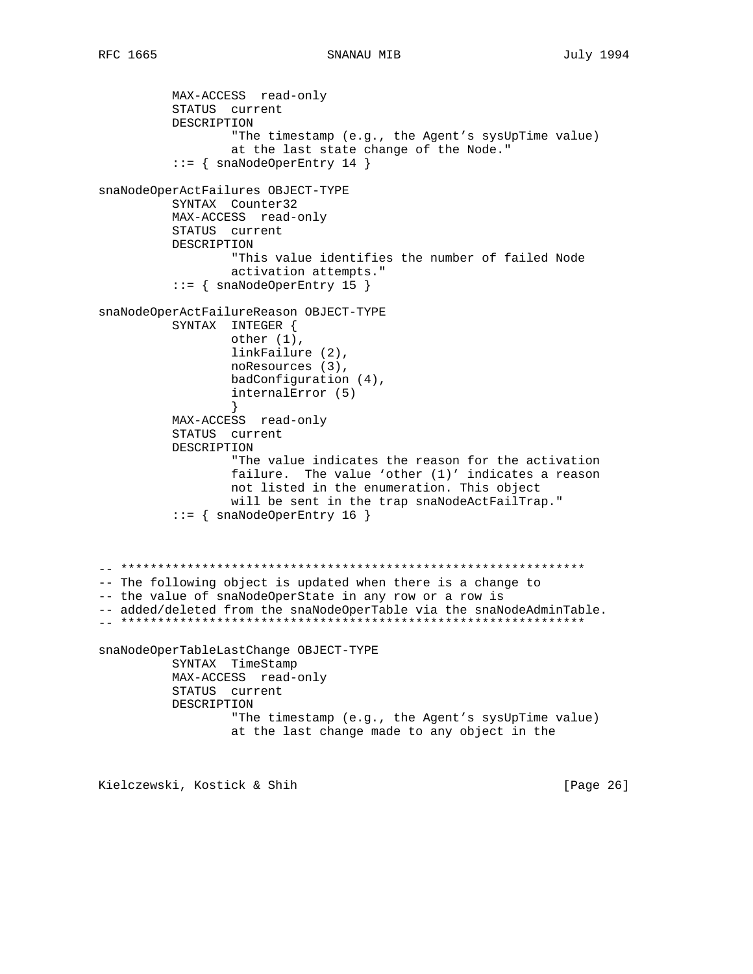RFC 1665

```
MAX-ACCESS read-only
         STATUS current
         DESCRIPTION
                "The timestamp (e.g., the Agent's sysUpTime value)
                at the last state change of the Node."
         ::= { snaNodeOperEntry 14 }
snaNodeOperActFailures OBJECT-TYPE
         SYNTAX Counter32
         MAX-ACCESS read-only
         STATUS current
         DESCRIPTION
                "This value identifies the number of failed Node
                activation attempts."
         ::= { snaNodeOperEntry 15 }
snaNodeOperActFailureReason OBJECT-TYPE
         SYNTAX INTEGER {
                other (1),
                linkFailure (2),
                noResources (3),
                badConfiguration (4),
                internalError (5)
         MAX-ACCESS read-only
         STATUS current
         DESCRIPTION
                "The value indicates the reason for the activation
                failure. The value 'other (1)' indicates a reason
                not listed in the enumeration. This object
                will be sent in the trap snaNodeActFailTrap."
         ::= { snaNodeOperEntry 16 }
-- The following object is updated when there is a change to
-- the value of snaNodeOperState in any row or a row is
-- added/deleted from the snaNodeOperTable via the snaNodeAdminTable.
snaNodeOperTableLastChange OBJECT-TYPE
         SYNTAX TimeStamp
         MAX-ACCESS read-only
         STATUS current
         DESCRIPTION
                "The timestamp (e.g., the Agent's sysUpTime value)
                at the last change made to any object in the
```
Kielczewski, Kostick & Shih

[Page 26]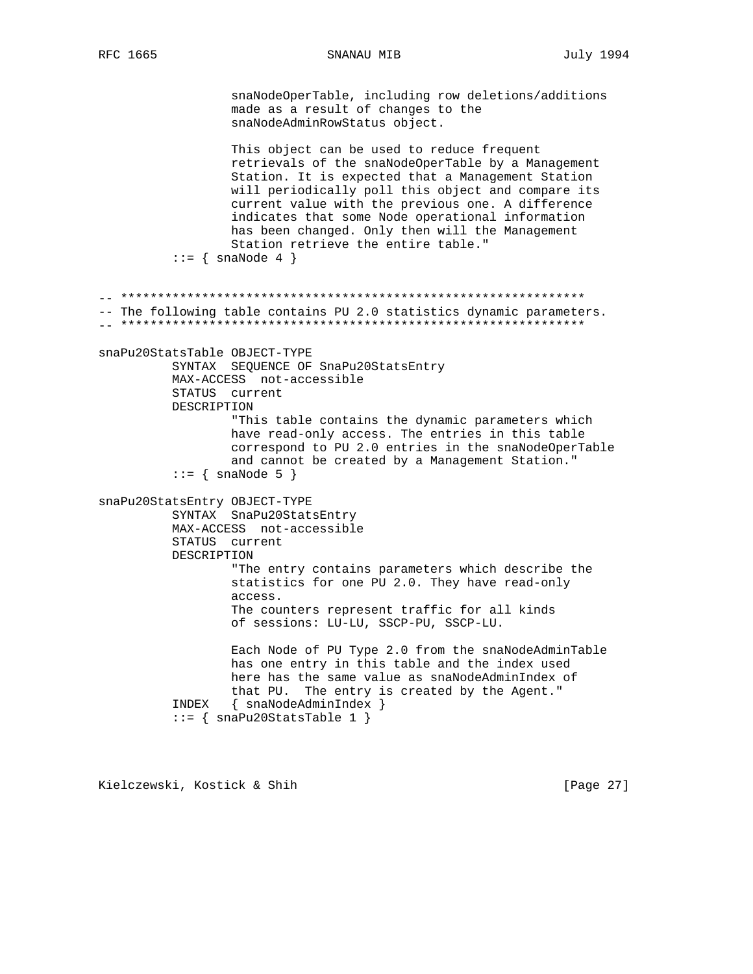SNANAU MIB

snaNodeOperTable, including row deletions/additions made as a result of changes to the snaNodeAdminRowStatus object. This object can be used to reduce frequent retrievals of the snaNodeOperTable by a Management Station. It is expected that a Management Station will periodically poll this object and compare its current value with the previous one. A difference indicates that some Node operational information has been changed. Only then will the Management Station retrieve the entire table."  $\cdot \cdot = \{ \text{snaNode } 4 \}$ -- The following table contains PU 2.0 statistics dynamic parameters. snaPu20StatsTable OBJECT-TYPE SYNTAX SEQUENCE OF SnaPu20StatsEntry MAX-ACCESS not-accessible STATUS current DESCRIPTION "This table contains the dynamic parameters which have read-only access. The entries in this table correspond to PU 2.0 entries in the snaNodeOperTable and cannot be created by a Management Station."  $::=$  { snaNode 5 } snaPu20StatsEntry OBJECT-TYPE SYNTAX SnaPu20StatsEntry MAX-ACCESS not-accessible STATUS current DESCRIPTION "The entry contains parameters which describe the statistics for one PU 2.0. They have read-only access. The counters represent traffic for all kinds of sessions: LU-LU, SSCP-PU, SSCP-LU. Each Node of PU Type 2.0 from the snaNodeAdminTable has one entry in this table and the index used here has the same value as snaNodeAdminIndex of that PU. The entry is created by the Agent." INDEX { snaNodeAdminIndex }  $::=$  { snaPu20StatsTable 1 }

Kielczewski, Kostick & Shih

[Page 27]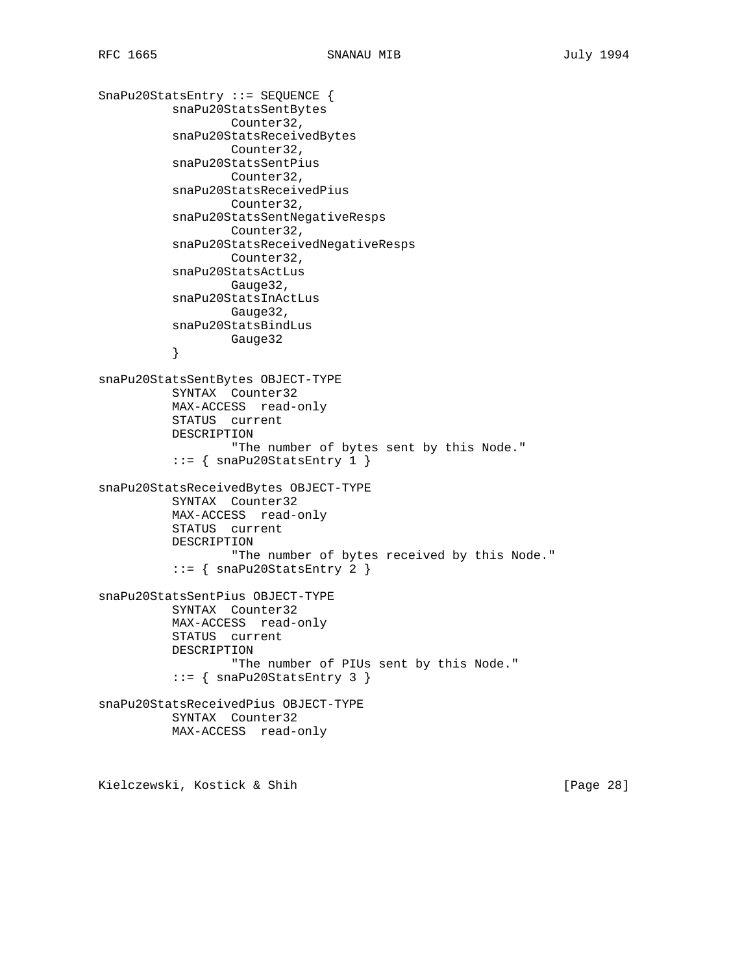```
SnaPu20StatsEntry ::= SEQUENCE {
           snaPu20StatsSentBytes
                  Counter32,
           snaPu20StatsReceivedBytes
                  Counter32,
           snaPu20StatsSentPius
                  Counter32,
           snaPu20StatsReceivedPius
                  Counter32,
           snaPu20StatsSentNegativeResps
                  Counter32,
           snaPu20StatsReceivedNegativeResps
                  Counter32,
           snaPu20StatsActLus
                  Gauge32,
           snaPu20StatsInActLus
                  Gauge32,
           snaPu20StatsBindLus
           Gauge32
 }
snaPu20StatsSentBytes OBJECT-TYPE
           SYNTAX Counter32
           MAX-ACCESS read-only
           STATUS current
           DESCRIPTION
                   "The number of bytes sent by this Node."
           ::= { snaPu20StatsEntry 1 }
snaPu20StatsReceivedBytes OBJECT-TYPE
          SYNTAX Counter32
           MAX-ACCESS read-only
           STATUS current
           DESCRIPTION
                   "The number of bytes received by this Node."
           ::= { snaPu20StatsEntry 2 }
snaPu20StatsSentPius OBJECT-TYPE
           SYNTAX Counter32
           MAX-ACCESS read-only
           STATUS current
           DESCRIPTION
                  "The number of PIUs sent by this Node."
          ::= { snaPu20StatsEntry 3 }
snaPu20StatsReceivedPius OBJECT-TYPE
           SYNTAX Counter32
           MAX-ACCESS read-only
```
Kielczewski, Kostick & Shih [Page 28]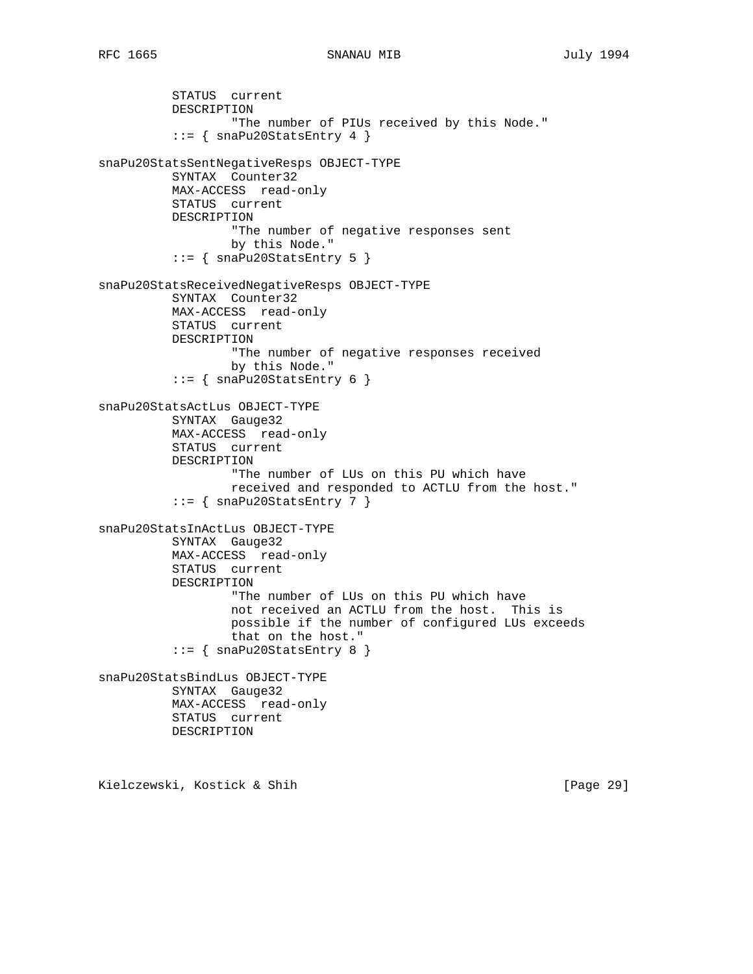STATUS current DESCRIPTION "The number of PIUs received by this Node." ::= { snaPu20StatsEntry 4 } snaPu20StatsSentNegativeResps OBJECT-TYPE SYNTAX Counter32 MAX-ACCESS read-only STATUS current DESCRIPTION "The number of negative responses sent by this Node." ::= { snaPu20StatsEntry 5 } snaPu20StatsReceivedNegativeResps OBJECT-TYPE SYNTAX Counter32 MAX-ACCESS read-only STATUS current DESCRIPTION "The number of negative responses received by this Node."  $::=$  { snaPu20StatsEntry 6 } snaPu20StatsActLus OBJECT-TYPE SYNTAX Gauge32 MAX-ACCESS read-only STATUS current DESCRIPTION "The number of LUs on this PU which have received and responded to ACTLU from the host."  $::=$  { snaPu20StatsEntry 7 } snaPu20StatsInActLus OBJECT-TYPE SYNTAX Gauge32 MAX-ACCESS read-only STATUS current DESCRIPTION "The number of LUs on this PU which have not received an ACTLU from the host. This is possible if the number of configured LUs exceeds that on the host." ::= { snaPu20StatsEntry 8 } snaPu20StatsBindLus OBJECT-TYPE SYNTAX Gauge32 MAX-ACCESS read-only STATUS current DESCRIPTION

Kielczewski, Kostick & Shih [Page 29]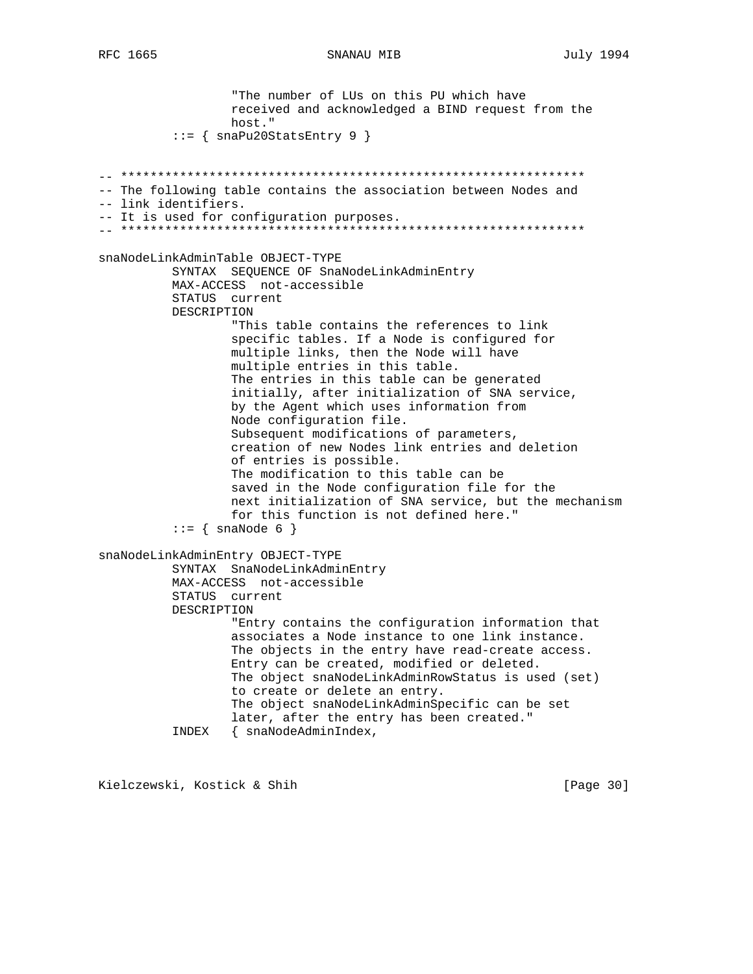SNANAU MIB

"The number of LUs on this PU which have received and acknowledged a BIND request from the host."  $::=$  { snaPu20StatsEntry 9 } -- The following table contains the association between Nodes and -- link identifiers. -- It is used for configuration purposes. snaNodeLinkAdminTable OBJECT-TYPE SYNTAX SEQUENCE OF SnaNodeLinkAdminEntry MAX-ACCESS not-accessible STATUS current DESCRIPTION "This table contains the references to link specific tables. If a Node is configured for multiple links, then the Node will have multiple entries in this table. The entries in this table can be generated initially, after initialization of SNA service, by the Agent which uses information from Node configuration file. Subsequent modifications of parameters, creation of new Nodes link entries and deletion of entries is possible. The modification to this table can be saved in the Node configuration file for the next initialization of SNA service, but the mechanism for this function is not defined here."  $::=$  { snaNode 6 } snaNodeLinkAdminEntry OBJECT-TYPE SYNTAX SnaNodeLinkAdminEntry MAX-ACCESS not-accessible STATUS current DESCRIPTION "Entry contains the configuration information that associates a Node instance to one link instance. The objects in the entry have read-create access. Entry can be created, modified or deleted. The object snaNodeLinkAdminRowStatus is used (set) to create or delete an entry. The object snaNodeLinkAdminSpecific can be set later, after the entry has been created." INDEX { snaNodeAdminIndex,

Kielczewski, Kostick & Shih

[Page 30]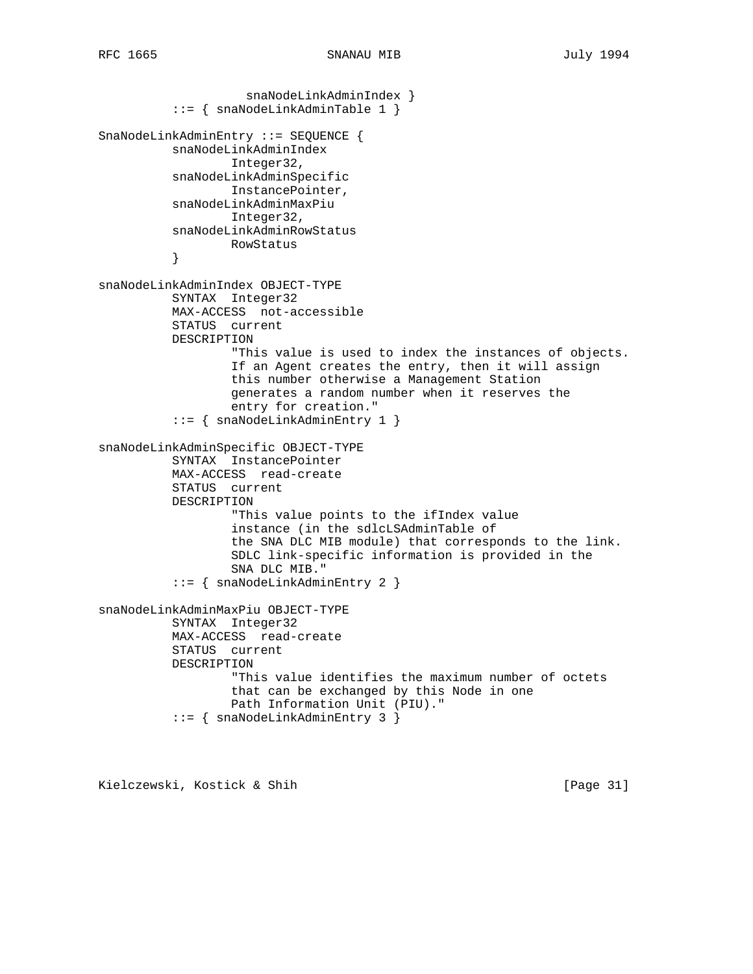```
 snaNodeLinkAdminIndex }
           ::= { snaNodeLinkAdminTable 1 }
SnaNodeLinkAdminEntry ::= SEQUENCE {
           snaNodeLinkAdminIndex
                   Integer32,
           snaNodeLinkAdminSpecific
                   InstancePointer,
           snaNodeLinkAdminMaxPiu
                  Integer32,
           snaNodeLinkAdminRowStatus
                  RowStatus
           }
snaNodeLinkAdminIndex OBJECT-TYPE
           SYNTAX Integer32
           MAX-ACCESS not-accessible
           STATUS current
           DESCRIPTION
                   "This value is used to index the instances of objects.
                   If an Agent creates the entry, then it will assign
                   this number otherwise a Management Station
                   generates a random number when it reserves the
                   entry for creation."
           ::= { snaNodeLinkAdminEntry 1 }
snaNodeLinkAdminSpecific OBJECT-TYPE
           SYNTAX InstancePointer
           MAX-ACCESS read-create
           STATUS current
           DESCRIPTION
                   "This value points to the ifIndex value
                   instance (in the sdlcLSAdminTable of
                   the SNA DLC MIB module) that corresponds to the link.
                   SDLC link-specific information is provided in the
                   SNA DLC MIB."
           ::= { snaNodeLinkAdminEntry 2 }
snaNodeLinkAdminMaxPiu OBJECT-TYPE
           SYNTAX Integer32
           MAX-ACCESS read-create
           STATUS current
           DESCRIPTION
                   "This value identifies the maximum number of octets
                   that can be exchanged by this Node in one
                  Path Information Unit (PIU)."
           ::= { snaNodeLinkAdminEntry 3 }
```
Kielczewski, Kostick & Shih [Page 31]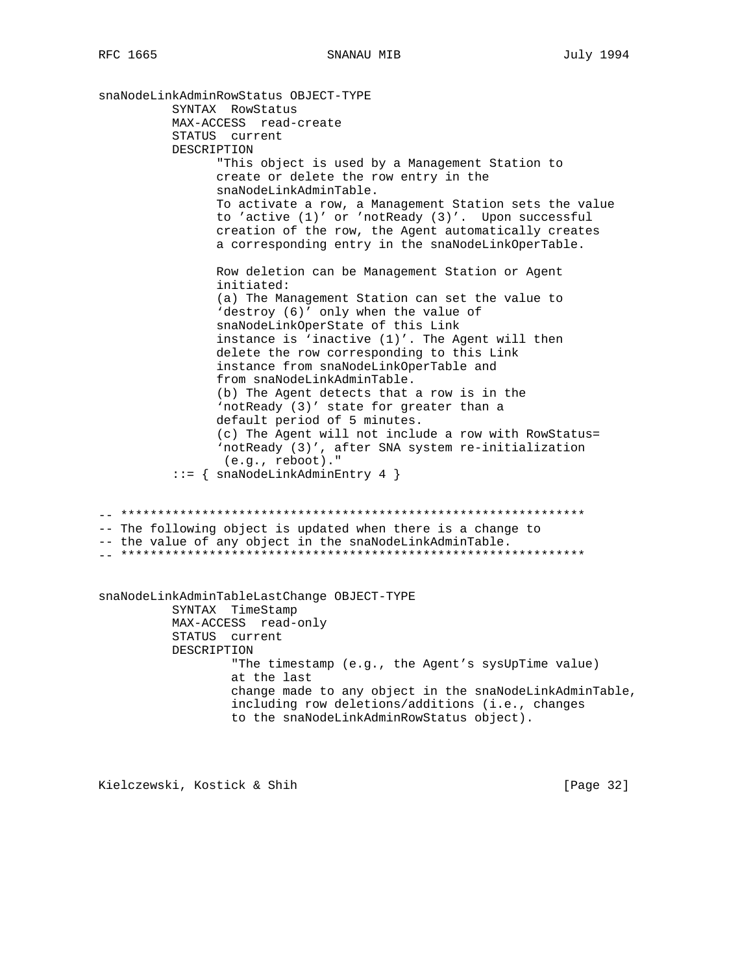```
snaNodeLinkAdminRowStatus OBJECT-TYPE
         SYNTAX RowStatus
         MAX-ACCESS read-create
         STATUS current
         DESCRIPTION
              "This object is used by a Management Station to
              create or delete the row entry in the
              snaNodeLinkAdminTable.
              To activate a row, a Management Station sets the value
              to 'active (1)' or 'notReady (3)'. Upon successful
              creation of the row, the Agent automatically creates
              a corresponding entry in the snaNodeLinkOperTable.
              Row deletion can be Management Station or Agent
              initiated:
              (a) The Management Station can set the value to
              'destroy (6)' only when the value of
              snaNodeLinkOperState of this Link
              instance is 'inactive (1)'. The Agent will then
              delete the row corresponding to this Link
              instance from snaNodeLinkOperTable and
              from snaNodeLinkAdminTable.
              (b) The Agent detects that a row is in the
              'notReady (3)' state for greater than a
              default period of 5 minutes.
              (c) The Agent will not include a row with RowStatus=
               'notReady (3)', after SNA system re-initialization
               (e.g., reboot)."
         ::= { snaNodeLinkAdminEntry 4 }
-- The following object is updated when there is a change to
-- the value of any object in the snaNodeLinkAdminTable.
snaNodeLinkAdminTableLastChange OBJECT-TYPE
         SYNTAX TimeStamp
         MAX-ACCESS read-only
         STATUS current
         DESCRIPTION
                "The timestamp (e.g., the Agent's sysUpTime value)
                at the last
                change made to any object in the snaNodeLinkAdminTable,
                including row deletions/additions (i.e., changes
                to the snaNodeLinkAdminRowStatus object).
```
Kielczewski, Kostick & Shih

[Page 32]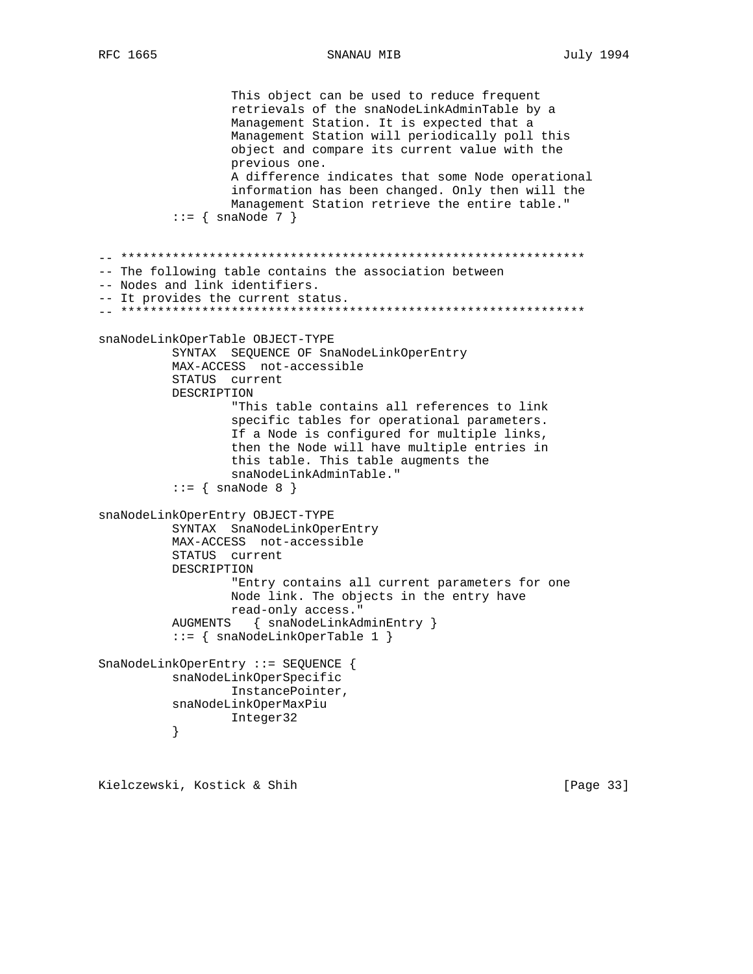SNANAU MIB

**July 1994** 

```
This object can be used to reduce frequent
                retrievals of the snaNodeLinkAdminTable by a
                Management Station. It is expected that a
                Management Station will periodically poll this
                object and compare its current value with the
                previous one.
                A difference indicates that some Node operational
                information has been changed. Only then will the
                Management Station retrieve the entire table."
         ::= \{ \text{snaNode } 7 \}-- The following table contains the association between
-- Nodes and link identifiers.
-- It provides the current status.
snaNodeLinkOperTable OBJECT-TYPE
         SYNTAX SEQUENCE OF SnaNodeLinkOperEntry
         MAX-ACCESS not-accessible
         STATUS current
         DESCRIPTION
                "This table contains all references to link
                specific tables for operational parameters.
                If a Node is configured for multiple links,
                then the Node will have multiple entries in
                this table. This table augments the
                snaNodeLinkAdminTable."
         ::= { snaNode 8 }
snaNodeLinkOperEntry OBJECT-TYPE
         SYNTAX SnaNodeLinkOperEntry
         MAX-ACCESS not-accessible
         STATUS current
         DESCRIPTION
                "Entry contains all current parameters for one
                Node link. The objects in the entry have
                read-only access."
         AUGMENTS { snaNodeLinkAdminEntry }
         ::= \{ \text{snaNodeLinkOperatorable 1 } \}SnaNodeLinkOperEntry ::= SEQUENCE {
         snaNodeLinkOperSpecific
                InstancePointer,
         snaNodeLinkOperMaxPiu
                Integer32
         \left\{ \right.
```
Kielczewski, Kostick & Shih

[Page 33]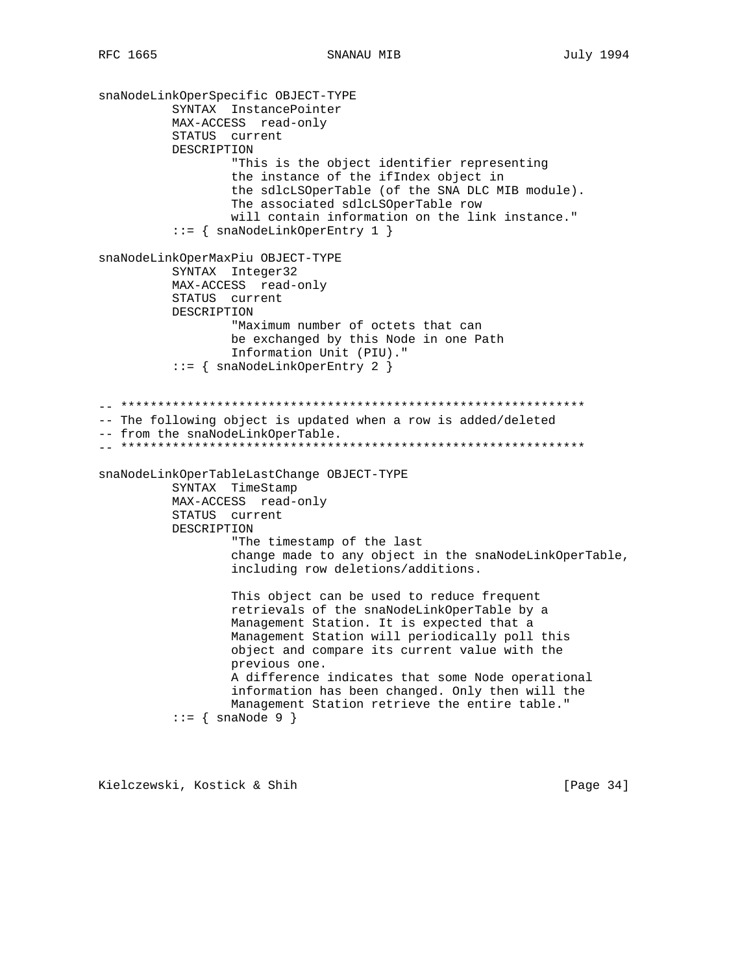```
snaNodeLinkOperSpecific OBJECT-TYPE
         SYNTAX InstancePointer
         MAX-ACCESS read-only
         STATUS current
         DESCRIPTION
                "This is the object identifier representing
                the instance of the ifIndex object in
                the sdlcLSOperTable (of the SNA DLC MIB module).
                The associated sdlcLSOperTable row
                will contain information on the link instance."
         ::= \{ \text{snaNodeLinkOperator} 1 \}snaNodeLinkOperMaxPiu OBJECT-TYPE
         SYNTAX Integer32
         MAX-ACCESS read-only
         STATUS current
         DESCRIPTION
                "Maximum number of octets that can
                be exchanged by this Node in one Path
                Information Unit (PIU)."
          ::= \{ \text{snaNodeLinkOperator} \ 2 \}-- The following object is updated when a row is added/deleted
-- from the snaNodeLinkOperTable.
snaNodeLinkOperTableLastChange OBJECT-TYPE
         SYNTAX TimeStamp
         MAX-ACCESS read-only
        STATUS current
         DESCRIPTION
                "The timestamp of the last
                change made to any object in the snaNodeLinkOperTable,
                including row deletions/additions.
                This object can be used to reduce frequent
                retrievals of the snaNodeLinkOperTable by a
                Management Station. It is expected that a
                Management Station will periodically poll this
                object and compare its current value with the
                previous one.
                A difference indicates that some Node operational
                information has been changed. Only then will the
                Management Station retrieve the entire table."
         ::= { snaNode 9 }
```
Kielczewski, Kostick & Shih

[Page  $34$ ]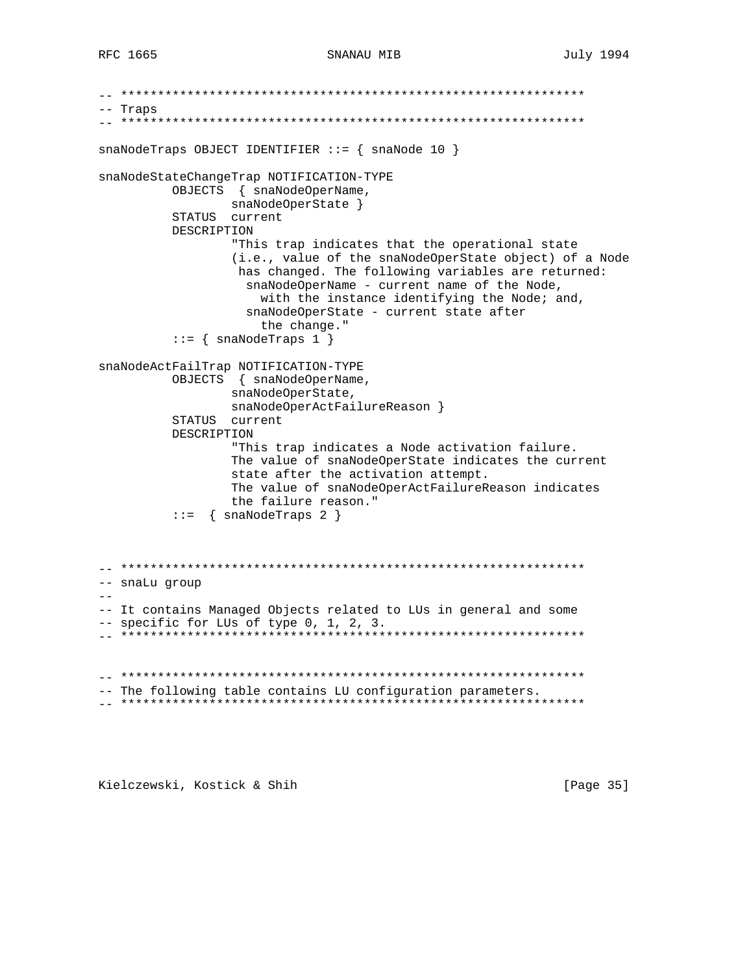```
-- Traps
snaNodeTraps OBJECT IDENTIFIER ::= \{ \text{snaNode } 10 \}snaNodeStateChangeTrap NOTIFICATION-TYPE
       OBJECTS { snaNodeOperName,
            snaNodeOperState }
       STATUS current
       DESCRIPTION
             "This trap indicates that the operational state
             (i.e., value of the snaNodeOperState object) of a Node
             has changed. The following variables are returned:
              snaNodeOperName - current name of the Node,
                with the instance identifying the Node; and,
              snaNodeOperState - current state after
                the change."
       ::= { snaNodeTraps 1 }
snaNodeActFailTrap NOTIFICATION-TYPE
       OBJECTS { snaNodeOperName,
             snaNodeOperState,
             snaNodeOperActFailureReason }
       STATUS current
       DESCRIPTION
             "This trap indicates a Node activation failure.
             The value of snaNodeOperState indicates the current
             state after the activation attempt.
             The value of snaNodeOperActFailureReason indicates
             the failure reason."
       ::= { snaNodeTraps 2 }
-- snaLu group
-- It contains Managed Objects related to LUs in general and some
-- specific for LUs of type 0, 1, 2, 3.
-- The following table contains LU configuration parameters.
```
Kielczewski, Kostick & Shih

[Page 35]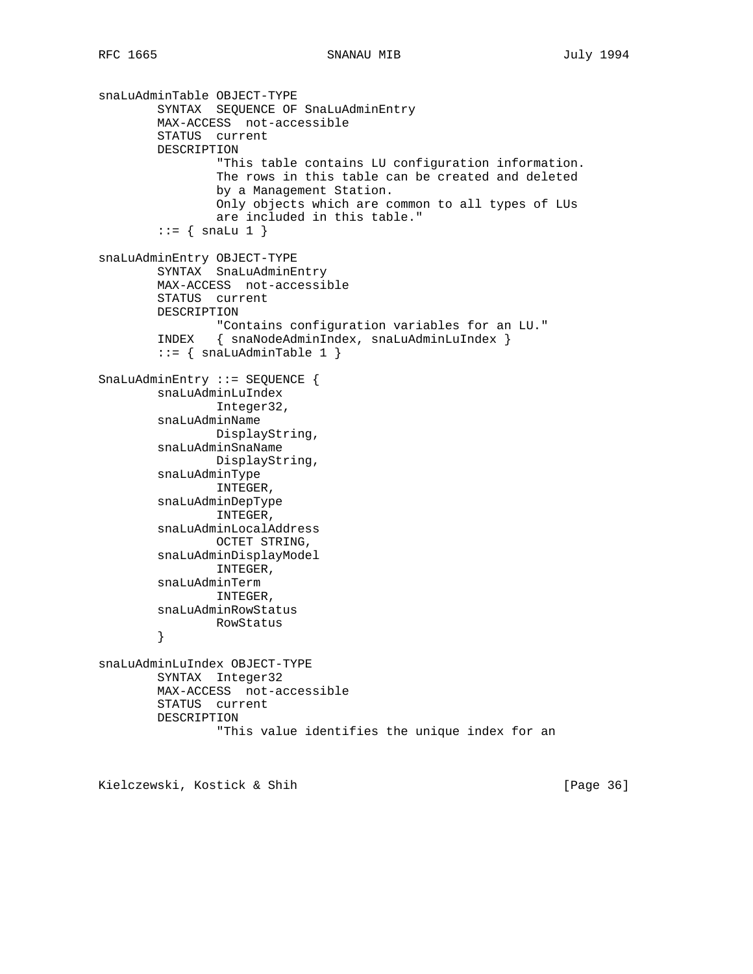```
snaLuAdminTable OBJECT-TYPE
         SYNTAX SEQUENCE OF SnaLuAdminEntry
         MAX-ACCESS not-accessible
         STATUS current
         DESCRIPTION
                 "This table contains LU configuration information.
                 The rows in this table can be created and deleted
                 by a Management Station.
                 Only objects which are common to all types of LUs
                 are included in this table."
        ::= { snaLu 1 }
snaLuAdminEntry OBJECT-TYPE
         SYNTAX SnaLuAdminEntry
         MAX-ACCESS not-accessible
         STATUS current
         DESCRIPTION
                 "Contains configuration variables for an LU."
         INDEX { snaNodeAdminIndex, snaLuAdminLuIndex }
        ::= { snaLuAdminTable 1 }
SnaLuAdminEntry ::= SEQUENCE {
         snaLuAdminLuIndex
                Integer32,
         snaLuAdminName
                DisplayString,
         snaLuAdminSnaName
                 DisplayString,
         snaLuAdminType
                 INTEGER,
         snaLuAdminDepType
                INTEGER,
         snaLuAdminLocalAddress
                OCTET STRING,
         snaLuAdminDisplayModel
                INTEGER,
         snaLuAdminTerm
                INTEGER,
         snaLuAdminRowStatus
                RowStatus
         }
snaLuAdminLuIndex OBJECT-TYPE
         SYNTAX Integer32
         MAX-ACCESS not-accessible
         STATUS current
         DESCRIPTION
                 "This value identifies the unique index for an
```
Kielczewski, Kostick & Shih [Page 36]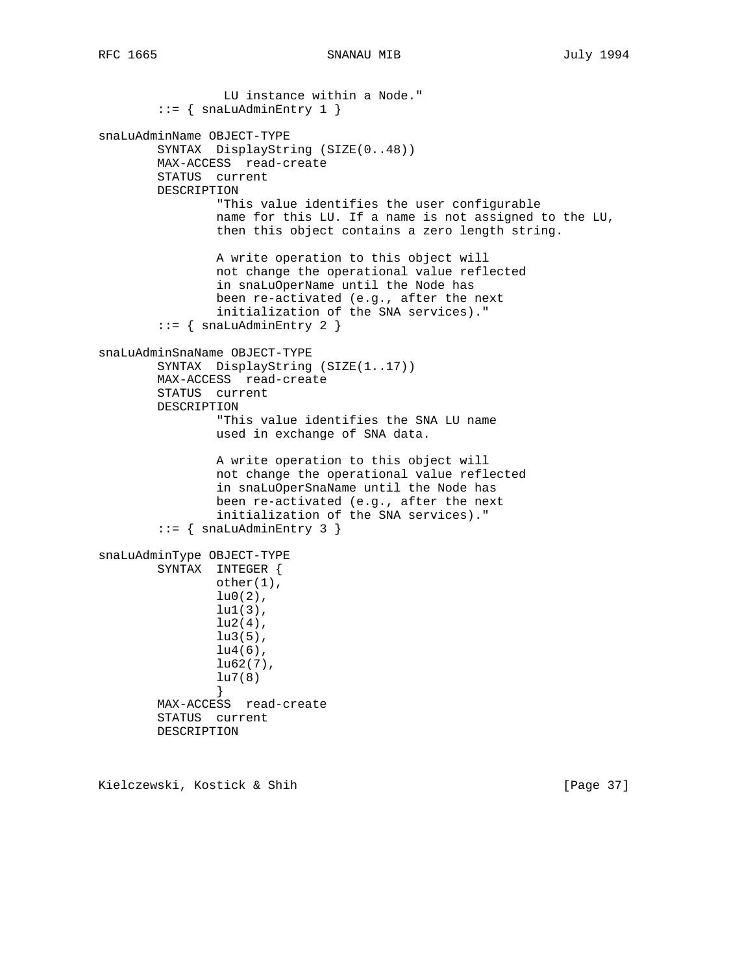LU instance within a Node."  $::=$  { snaLuAdminEntry 1 } snaLuAdminName OBJECT-TYPE SYNTAX DisplayString (SIZE(0..48)) MAX-ACCESS read-create STATUS current DESCRIPTION "This value identifies the user configurable name for this LU. If a name is not assigned to the LU, then this object contains a zero length string. A write operation to this object will not change the operational value reflected in snaLuOperName until the Node has been re-activated (e.g., after the next initialization of the SNA services)." ::=  $\{$  snaLuAdminEntry 2  $\}$ snaLuAdminSnaName OBJECT-TYPE SYNTAX DisplayString (SIZE(1..17)) MAX-ACCESS read-create STATUS current DESCRIPTION "This value identifies the SNA LU name used in exchange of SNA data. A write operation to this object will not change the operational value reflected in snaLuOperSnaName until the Node has been re-activated (e.g., after the next initialization of the SNA services)."  $::=$  { snaLuAdminEntry 3 } snaLuAdminType OBJECT-TYPE SYNTAX INTEGER { other(1),  $lu0(2)$ , lu1(3),  $lu2(4)$ , lu3(5),  $lu4(6)$ , lu62(7), lu7(8) } MAX-ACCESS read-create STATUS current DESCRIPTION

Kielczewski, Kostick & Shih [Page 37]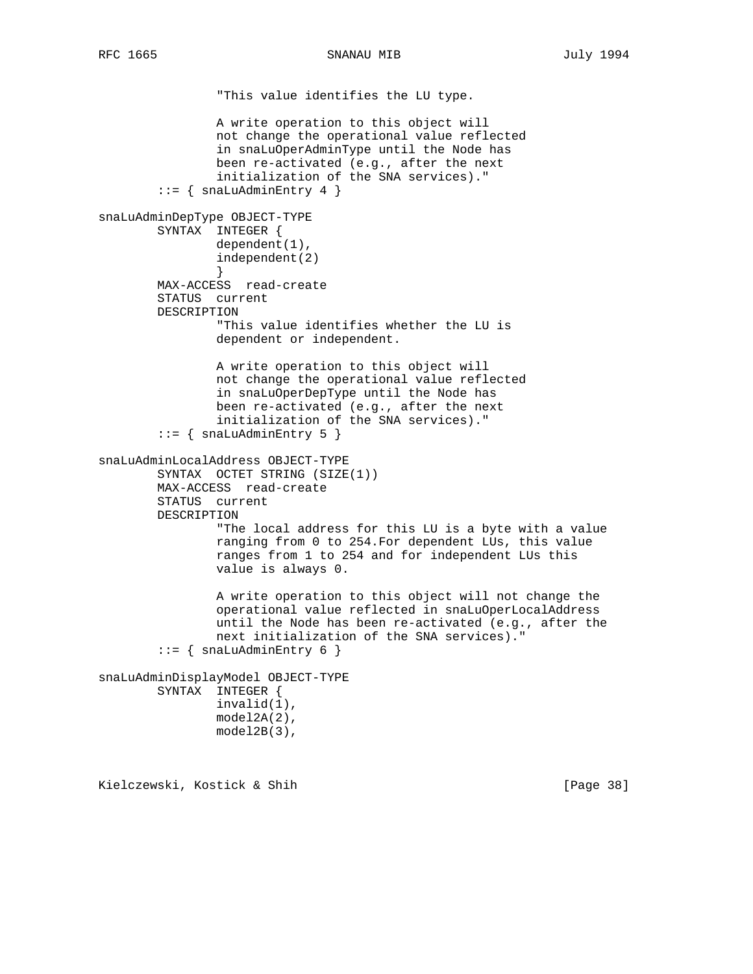```
 "This value identifies the LU type.
```

```
 A write operation to this object will
                 not change the operational value reflected
                 in snaLuOperAdminType until the Node has
                 been re-activated (e.g., after the next
                 initialization of the SNA services)."
        ::= { snaLuAdminEntry 4 }
snaLuAdminDepType OBJECT-TYPE
         SYNTAX INTEGER {
                dependent(1),
                 independent(2)
 }
         MAX-ACCESS read-create
         STATUS current
        DESCRIPTION
                 "This value identifies whether the LU is
                 dependent or independent.
                 A write operation to this object will
                 not change the operational value reflected
                 in snaLuOperDepType until the Node has
                 been re-activated (e.g., after the next
                 initialization of the SNA services)."
        ::= { snaLuAdminEntry 5 }
snaLuAdminLocalAddress OBJECT-TYPE
         SYNTAX OCTET STRING (SIZE(1))
        MAX-ACCESS read-create
         STATUS current
        DESCRIPTION
                 "The local address for this LU is a byte with a value
                 ranging from 0 to 254.For dependent LUs, this value
                 ranges from 1 to 254 and for independent LUs this
                 value is always 0.
                 A write operation to this object will not change the
                 operational value reflected in snaLuOperLocalAddress
                 until the Node has been re-activated (e.g., after the
                 next initialization of the SNA services)."
        ::= \{ snaLuAdminEntry 6 \}snaLuAdminDisplayModel OBJECT-TYPE
        SYNTAX INTEGER {
                 invalid(1),
                 model2A(2),
                 model2B(3),
```
Kielczewski, Kostick & Shih [Page 38]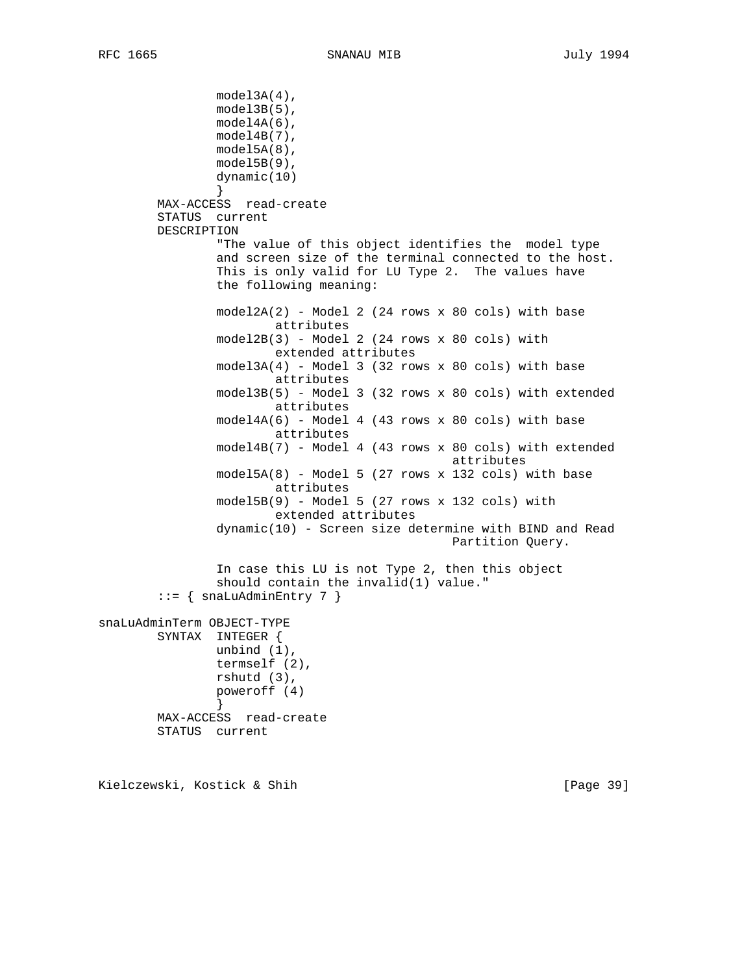```
 model3A(4),
                model3B(5),
                 model4A(6),
                 model4B(7),
                 model5A(8),
                 model5B(9),
                 dynamic(10)
 }
        MAX-ACCESS read-create
         STATUS current
        DESCRIPTION
                 "The value of this object identifies the model type
                 and screen size of the terminal connected to the host.
                This is only valid for LU Type 2. The values have
                 the following meaning:
                model2A(2) - Model 2 (24 rows x 80 cols) with base
                         attributes
                 model2B(3) - Model 2 (24 rows x 80 cols) with
                         extended attributes
                 model3A(4) - Model 3 (32 rows x 80 cols) with base
                         attributes
                 model3B(5) - Model 3 (32 rows x 80 cols) with extended
                         attributes
                 model4A(6) - Model 4 (43 rows x 80 cols) with base
                         attributes
                 model4B(7) - Model 4 (43 rows x 80 cols) with extended
                                                 attributes
                 model5A(8) - Model 5 (27 rows x 132 cols) with base
                         attributes
                model5B(9) - Model 5 (27 rows x 132 colors) with extended attributes
                 dynamic(10) - Screen size determine with BIND and Read
                                                 Partition Query.
                 In case this LU is not Type 2, then this object
                 should contain the invalid(1) value."
        ::= { snaLuAdminEntry 7 }
snaLuAdminTerm OBJECT-TYPE
        SYNTAX INTEGER {
                unbind (1),
                 termself (2),
                 rshutd (3),
                 poweroff (4)
 }
        MAX-ACCESS read-create
         STATUS current
```
Kielczewski, Kostick & Shih [Page 39]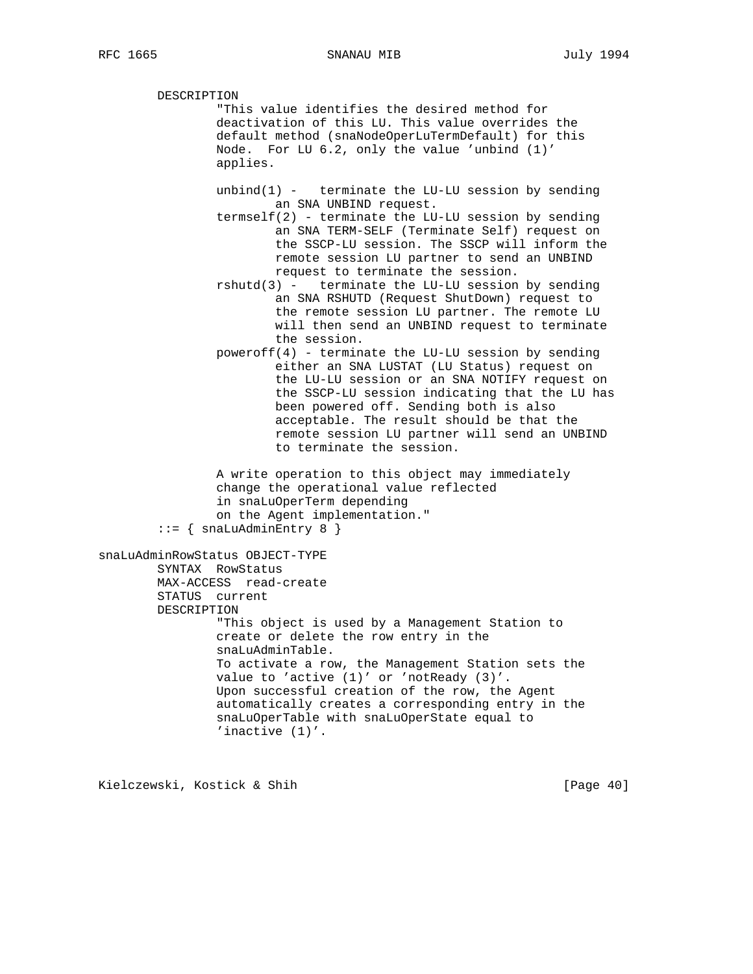DESCRIPTION "This value identifies the desired method for deactivation of this LU. This value overrides the default method (snaNodeOperLuTermDefault) for this Node. For LU 6.2, only the value 'unbind (1)' applies. unbind $(1)$  - terminate the LU-LU session by sending an SNA UNBIND request. termself(2) - terminate the LU-LU session by sending an SNA TERM-SELF (Terminate Self) request on the SSCP-LU session. The SSCP will inform the remote session LU partner to send an UNBIND request to terminate the session. rshutd(3) - terminate the LU-LU session by sending an SNA RSHUTD (Request ShutDown) request to the remote session LU partner. The remote LU will then send an UNBIND request to terminate the session. poweroff(4) - terminate the LU-LU session by sending either an SNA LUSTAT (LU Status) request on the LU-LU session or an SNA NOTIFY request on the SSCP-LU session indicating that the LU has been powered off. Sending both is also acceptable. The result should be that the remote session LU partner will send an UNBIND to terminate the session. A write operation to this object may immediately change the operational value reflected in snaLuOperTerm depending on the Agent implementation."  $::=$  { snaLuAdminEntry 8 } snaLuAdminRowStatus OBJECT-TYPE SYNTAX RowStatus MAX-ACCESS read-create STATUS current DESCRIPTION "This object is used by a Management Station to create or delete the row entry in the snaLuAdminTable. To activate a row, the Management Station sets the value to 'active (1)' or 'notReady (3)'. Upon successful creation of the row, the Agent automatically creates a corresponding entry in the snaLuOperTable with snaLuOperState equal to 'inactive (1)'.

Kielczewski, Kostick & Shih [Page 40]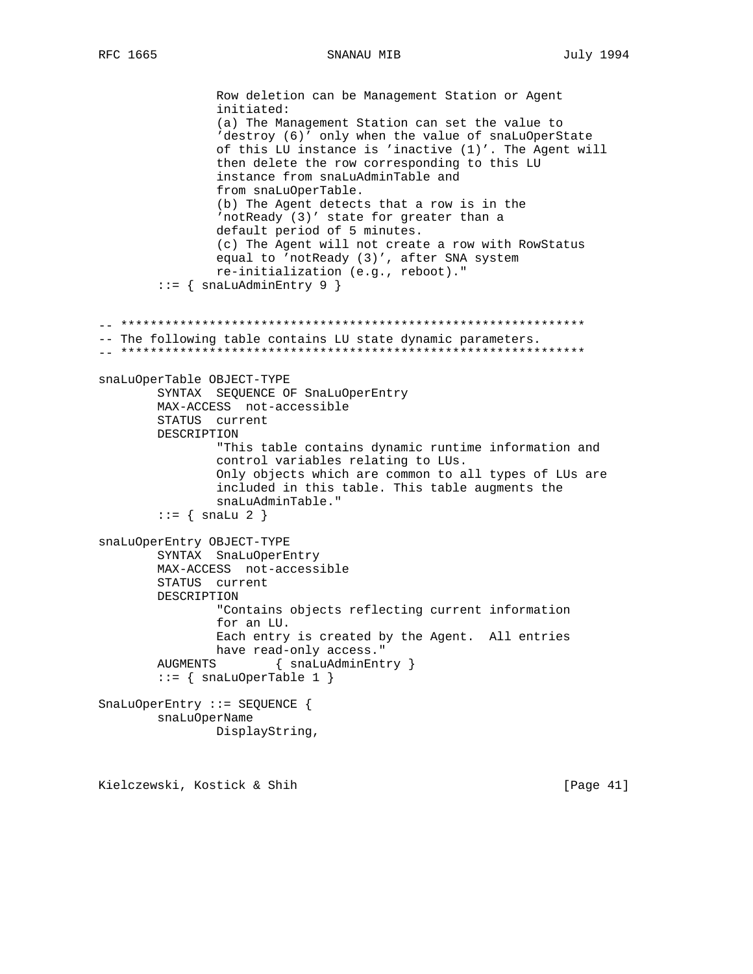SNANAU MIB

Row deletion can be Management Station or Agent initiated: (a) The Management Station can set the value to 'destroy (6)' only when the value of snaLuOperState of this LU instance is 'inactive (1)'. The Agent will then delete the row corresponding to this LU instance from snaLuAdminTable and from snaLuOperTable. (b) The Agent detects that a row is in the 'notReady (3)' state for greater than a default period of 5 minutes. (c) The Agent will not create a row with RowStatus equal to 'notReady (3)', after SNA system re-initialization (e.g., reboot)."  $::=$  { snaLuAdminEntry 9 } -- The following table contains LU state dynamic parameters. snaLuOperTable OBJECT-TYPE SYNTAX SEQUENCE OF SnaLuOperEntry MAX-ACCESS not-accessible STATUS current DESCRIPTION "This table contains dynamic runtime information and control variables relating to LUs. Only objects which are common to all types of LUs are included in this table. This table augments the snaLuAdminTable."  $\mathsf{::} = \{ \text{ snalu } 2 \}$ snaLuOperEntry OBJECT-TYPE SYNTAX SnaLuOperEntry MAX-ACCESS not-accessible STATUS current DESCRIPTION "Contains objects reflecting current information for an LU. Each entry is created by the Agent. All entries have read-only access." **AUGMENTS** { snaLuAdminEntry }  $::= \{ \text{snallowperTable 1} \}$ SnaLuOperEntry ::= SEQUENCE { snaLuOperName DisplayString,

Kielczewski, Kostick & Shih

[Page 41]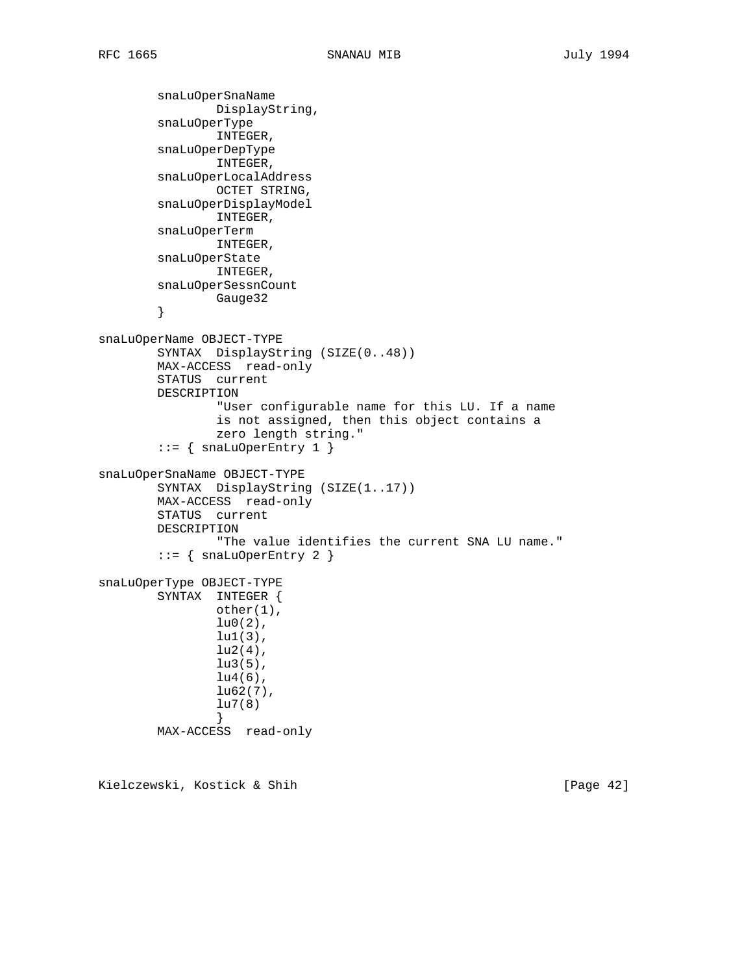```
 snaLuOperSnaName
                 DisplayString,
         snaLuOperType
                 INTEGER,
         snaLuOperDepType
                 INTEGER,
         snaLuOperLocalAddress
                OCTET STRING,
         snaLuOperDisplayModel
                 INTEGER,
         snaLuOperTerm
                 INTEGER,
         snaLuOperState
                 INTEGER,
         snaLuOperSessnCount
                Gauge32
         }
snaLuOperName OBJECT-TYPE
         SYNTAX DisplayString (SIZE(0..48))
         MAX-ACCESS read-only
         STATUS current
         DESCRIPTION
                 "User configurable name for this LU. If a name
                 is not assigned, then this object contains a
                 zero length string."
        ::= { snaLuOperEntry 1 }
snaLuOperSnaName OBJECT-TYPE
         SYNTAX DisplayString (SIZE(1..17))
         MAX-ACCESS read-only
         STATUS current
         DESCRIPTION
                 "The value identifies the current SNA LU name."
         ::= { snaLuOperEntry 2 }
snaLuOperType OBJECT-TYPE
         SYNTAX INTEGER {
                 other(1),
                lu0(2),
                 lu1(3),
                lu2(4),
                 lu3(5),
                lu4(6),
                lu62(7),
                 lu7(8)
 }
         MAX-ACCESS read-only
```
Kielczewski, Kostick & Shih [Page 42]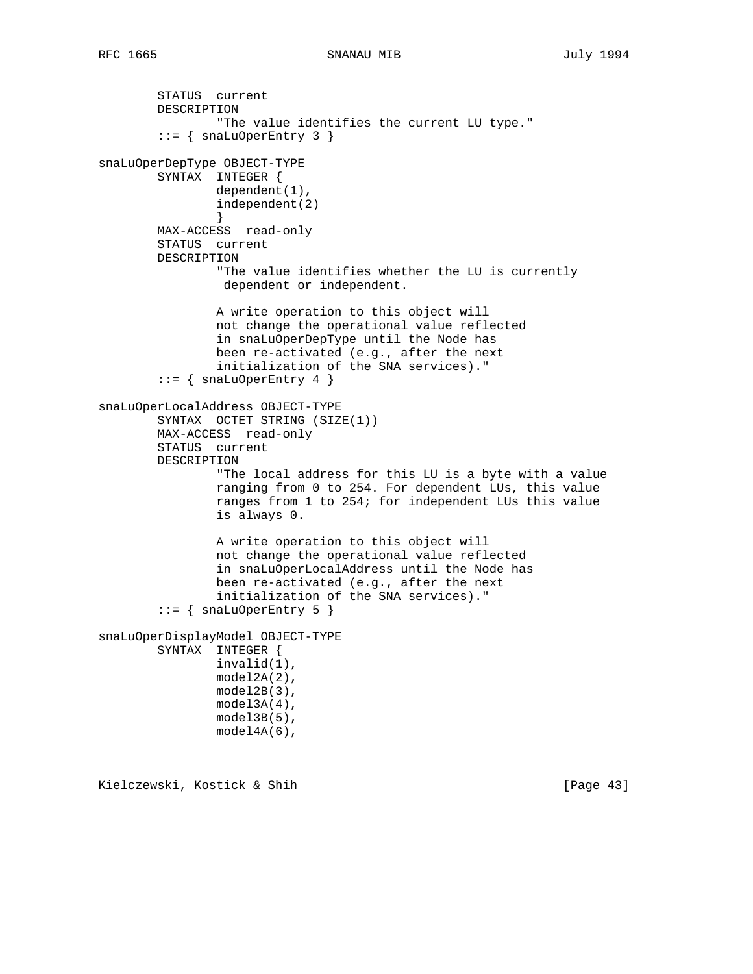```
 STATUS current
         DESCRIPTION
                 "The value identifies the current LU type."
        ::= { snaLuOperEntry 3 }
snaLuOperDepType OBJECT-TYPE
         SYNTAX INTEGER {
                 dependent(1),
                 independent(2)
 }
        MAX-ACCESS read-only
         STATUS current
        DESCRIPTION
                 "The value identifies whether the LU is currently
                  dependent or independent.
                 A write operation to this object will
                 not change the operational value reflected
                 in snaLuOperDepType until the Node has
                 been re-activated (e.g., after the next
                 initialization of the SNA services)."
        ::= { snaLuOperEntry 4 }
snaLuOperLocalAddress OBJECT-TYPE
         SYNTAX OCTET STRING (SIZE(1))
        MAX-ACCESS read-only
         STATUS current
         DESCRIPTION
                 "The local address for this LU is a byte with a value
                 ranging from 0 to 254. For dependent LUs, this value
                 ranges from 1 to 254; for independent LUs this value
                 is always 0.
                 A write operation to this object will
                 not change the operational value reflected
                 in snaLuOperLocalAddress until the Node has
                 been re-activated (e.g., after the next
                 initialization of the SNA services)."
        ::= { snaLuOperEntry 5 }
snaLuOperDisplayModel OBJECT-TYPE
        SYNTAX INTEGER {
                 invalid(1),
                 model2A(2),
                 model2B(3),
                 model3A(4),
                 model3B(5),
                 model4A(6),
```
Kielczewski, Kostick & Shih [Page 43]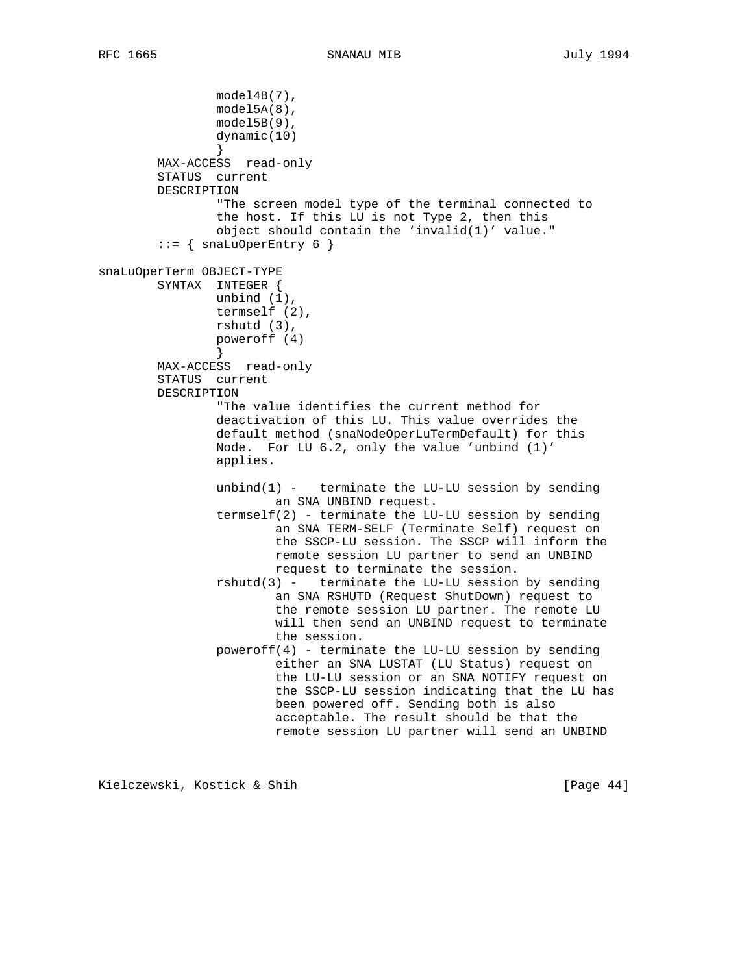```
 model4B(7),
                 model5A(8),
                 model5B(9),
                 dynamic(10)
 }
        MAX-ACCESS read-only
        STATUS current
        DESCRIPTION
                 "The screen model type of the terminal connected to
                 the host. If this LU is not Type 2, then this
                 object should contain the 'invalid(1)' value."
        ::= { snaLuOperEntry 6 }
snaLuOperTerm OBJECT-TYPE
        SYNTAX INTEGER {
                unbind (1),
                termself (2),
                rshutd (3),
                poweroff (4)
 }
        MAX-ACCESS read-only
        STATUS current
        DESCRIPTION
                 "The value identifies the current method for
                 deactivation of this LU. This value overrides the
                 default method (snaNodeOperLuTermDefault) for this
                 Node. For LU 6.2, only the value 'unbind (1)'
                 applies.
                unbind(1) - terminate the LU-LU session by sending
                         an SNA UNBIND request.
                termself(2) - terminate the LU-LU session by sending an SNA TERM-SELF (Terminate Self) request on
                         the SSCP-LU session. The SSCP will inform the
                         remote session LU partner to send an UNBIND
                         request to terminate the session.
                 rshutd(3) - terminate the LU-LU session by sending
                         an SNA RSHUTD (Request ShutDown) request to
                         the remote session LU partner. The remote LU
                         will then send an UNBIND request to terminate
                         the session.
                poweroff(4) - terminate the LU-LU session by sending
                         either an SNA LUSTAT (LU Status) request on
                         the LU-LU session or an SNA NOTIFY request on
                         the SSCP-LU session indicating that the LU has
                         been powered off. Sending both is also
                         acceptable. The result should be that the
                         remote session LU partner will send an UNBIND
```
Kielczewski, Kostick & Shih [Page 44]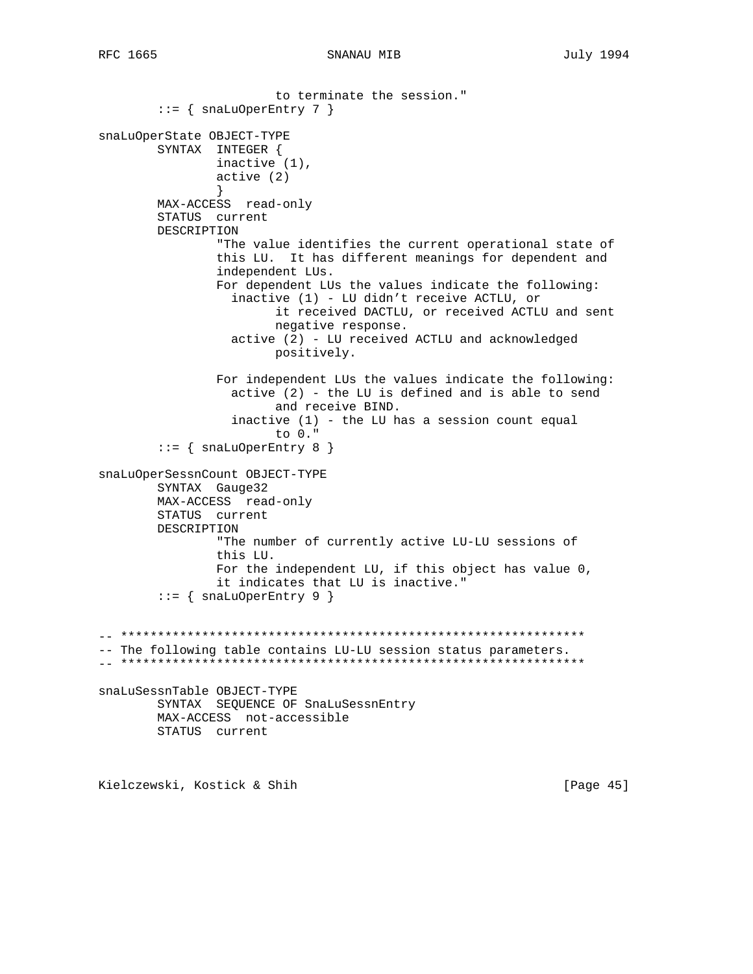```
to terminate the session."
       ::= { snaLuOperEntry 7 }
snaLuOperState OBJECT-TYPE
       SYNTAX INTEGER {
              inactive (1),
              active(2)\left\{ \right.MAX-ACCESS read-only
       STATUS current
       DESCRIPTION
              "The value identifies the current operational state of
              this LU. It has different meanings for dependent and
              independent LUs.
              For dependent LUs the values indicate the following:
                inactive (1) - LU didn't receive ACTLU, or
                     it received DACTLU, or received ACTLU and sent
                     negative response.
                active (2) - LU received ACTLU and acknowledged
                     positively.
              For independent LUs the values indicate the following:
                active (2) - the LU is defined and is able to send
                     and receive BIND.
                inactive (1) - the LU has a session count equal
                     to 0."
       ::= { snaLuOperEntry 8 }
snaLuOperSessnCount OBJECT-TYPE
       SYNTAX Gauge32
       MAX-ACCESS read-only
       STATUS current
       DESCRIPTION
              "The number of currently active LU-LU sessions of
              this LU.
              For the independent LU, if this object has value 0,
              it indicates that LU is inactive."
       ::= { snaLuOperEntry 9 }
-- The following table contains LU-LU session status parameters.
snaLuSessnTable OBJECT-TYPE
       SYNTAX SEQUENCE OF SnaLuSessnEntry
       MAX-ACCESS not-accessible
       STATUS current
```
Kielczewski, Kostick & Shih

[Page 45]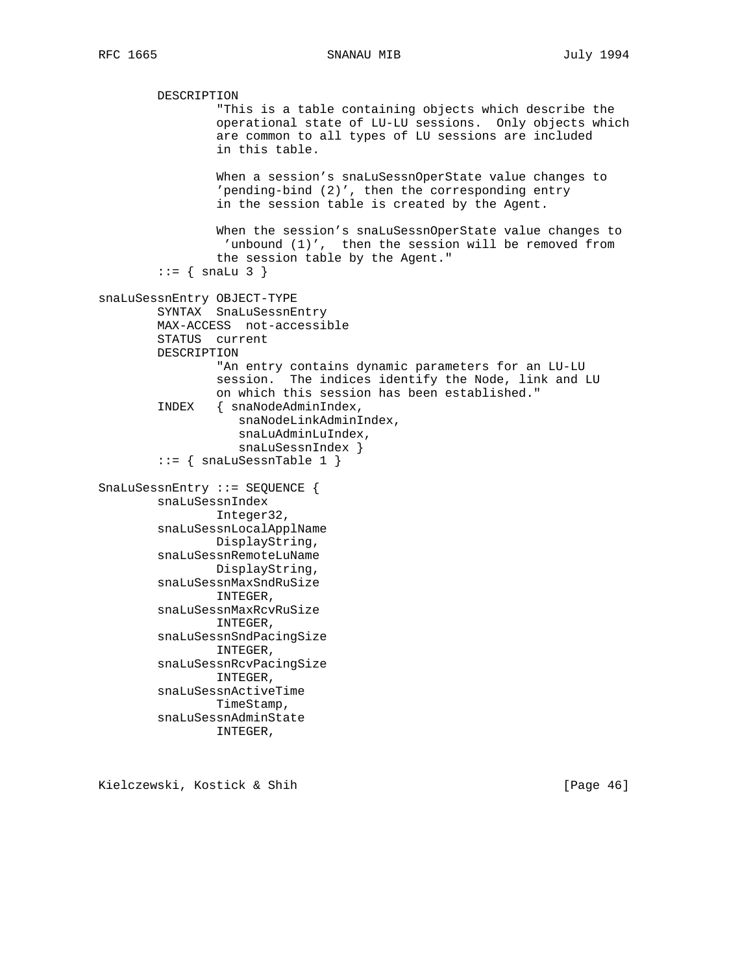DESCRIPTION "This is a table containing objects which describe the operational state of LU-LU sessions. Only objects which are common to all types of LU sessions are included in this table. When a session's snaLuSessnOperState value changes to 'pending-bind (2)', then the corresponding entry in the session table is created by the Agent. When the session's snaLuSessnOperState value changes to 'unbound (1)', then the session will be removed from the session table by the Agent."  $::=$  { snaLu 3 } snaLuSessnEntry OBJECT-TYPE SYNTAX SnaLuSessnEntry MAX-ACCESS not-accessible STATUS current DESCRIPTION "An entry contains dynamic parameters for an LU-LU session. The indices identify the Node, link and LU on which this session has been established." INDEX { snaNodeAdminIndex, snaNodeLinkAdminIndex, snaLuAdminLuIndex, snaLuSessnIndex }  $::=$  { snaLuSessnTable 1 } SnaLuSessnEntry ::= SEQUENCE { snaLuSessnIndex Integer32, snaLuSessnLocalApplName DisplayString, snaLuSessnRemoteLuName DisplayString, snaLuSessnMaxSndRuSize INTEGER, snaLuSessnMaxRcvRuSize INTEGER, snaLuSessnSndPacingSize INTEGER, snaLuSessnRcvPacingSize INTEGER, snaLuSessnActiveTime TimeStamp, snaLuSessnAdminState INTEGER,

Kielczewski, Kostick & Shih [Page 46]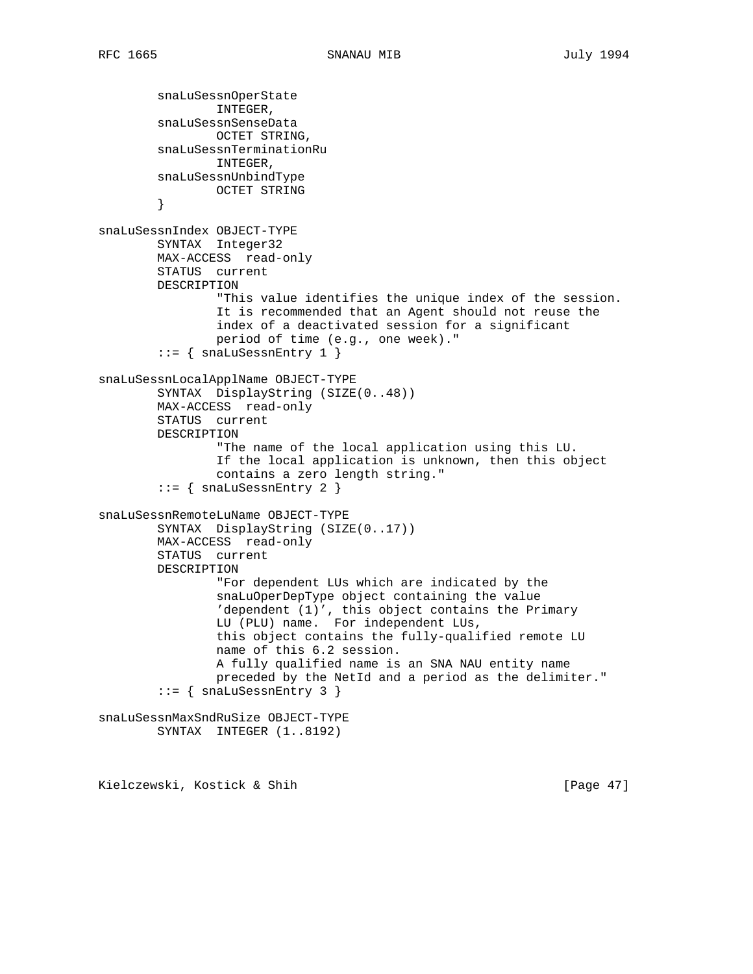```
 snaLuSessnOperState
                INTEGER,
         snaLuSessnSenseData
                OCTET STRING,
         snaLuSessnTerminationRu
                 INTEGER,
         snaLuSessnUnbindType
                OCTET STRING
         }
snaLuSessnIndex OBJECT-TYPE
         SYNTAX Integer32
         MAX-ACCESS read-only
         STATUS current
         DESCRIPTION
                 "This value identifies the unique index of the session.
                 It is recommended that an Agent should not reuse the
                 index of a deactivated session for a significant
                 period of time (e.g., one week)."
        ::= { snaLuSessnEntry 1 }
snaLuSessnLocalApplName OBJECT-TYPE
         SYNTAX DisplayString (SIZE(0..48))
         MAX-ACCESS read-only
         STATUS current
         DESCRIPTION
                 "The name of the local application using this LU.
                 If the local application is unknown, then this object
                 contains a zero length string."
         ::= { snaLuSessnEntry 2 }
snaLuSessnRemoteLuName OBJECT-TYPE
         SYNTAX DisplayString (SIZE(0..17))
         MAX-ACCESS read-only
         STATUS current
         DESCRIPTION
                 "For dependent LUs which are indicated by the
                 snaLuOperDepType object containing the value
                 'dependent (1)', this object contains the Primary
                 LU (PLU) name. For independent LUs,
                 this object contains the fully-qualified remote LU
                 name of this 6.2 session.
                 A fully qualified name is an SNA NAU entity name
                 preceded by the NetId and a period as the delimiter."
         ::= { snaLuSessnEntry 3 }
snaLuSessnMaxSndRuSize OBJECT-TYPE
         SYNTAX INTEGER (1..8192)
```
Kielczewski, Kostick & Shih [Page 47]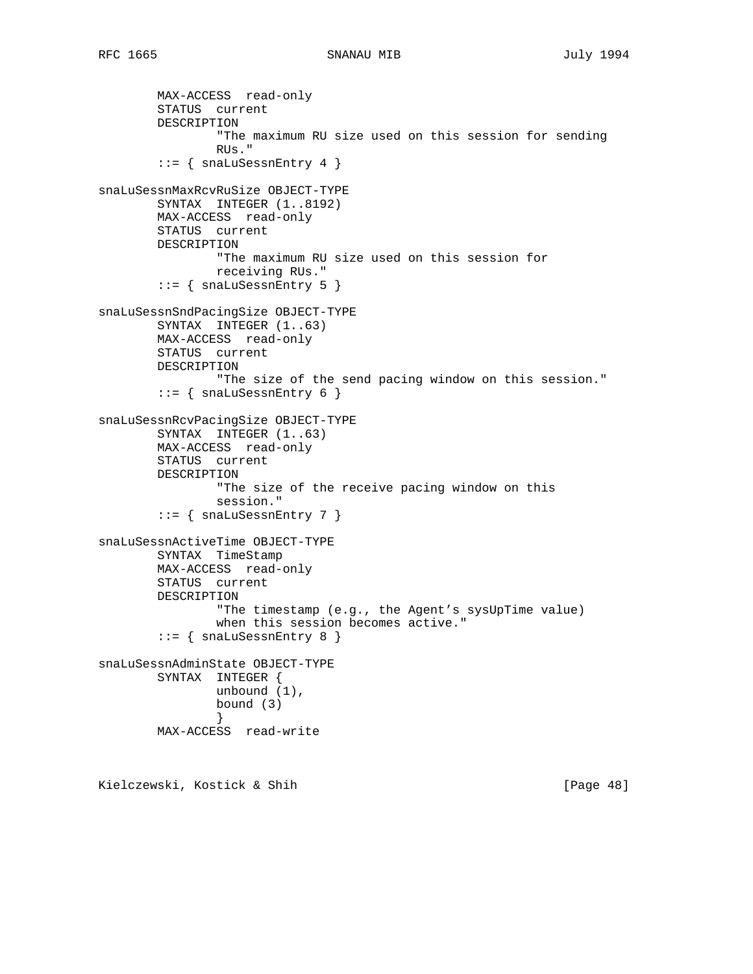```
 MAX-ACCESS read-only
         STATUS current
        DESCRIPTION
                 "The maximum RU size used on this session for sending
                 RUs."
         ::= { snaLuSessnEntry 4 }
snaLuSessnMaxRcvRuSize OBJECT-TYPE
         SYNTAX INTEGER (1..8192)
        MAX-ACCESS read-only
        STATUS current
        DESCRIPTION
                 "The maximum RU size used on this session for
                 receiving RUs."
        ::= { snaLuSessnEntry 5 }
snaLuSessnSndPacingSize OBJECT-TYPE
        SYNTAX INTEGER (1..63)
        MAX-ACCESS read-only
        STATUS current
        DESCRIPTION
                "The size of the send pacing window on this session."
        ::= { snaLuSessnEntry 6 }
snaLuSessnRcvPacingSize OBJECT-TYPE
         SYNTAX INTEGER (1..63)
        MAX-ACCESS read-only
         STATUS current
        DESCRIPTION
                 "The size of the receive pacing window on this
                 session."
        ::= { snaLuSessnEntry 7 }
snaLuSessnActiveTime OBJECT-TYPE
        SYNTAX TimeStamp
        MAX-ACCESS read-only
        STATUS current
        DESCRIPTION
                 "The timestamp (e.g., the Agent's sysUpTime value)
                 when this session becomes active."
         ::= { snaLuSessnEntry 8 }
snaLuSessnAdminState OBJECT-TYPE
        SYNTAX INTEGER {
                unbound (1),
                 bound (3)
 }
        MAX-ACCESS read-write
```
Kielczewski, Kostick & Shih [Page 48]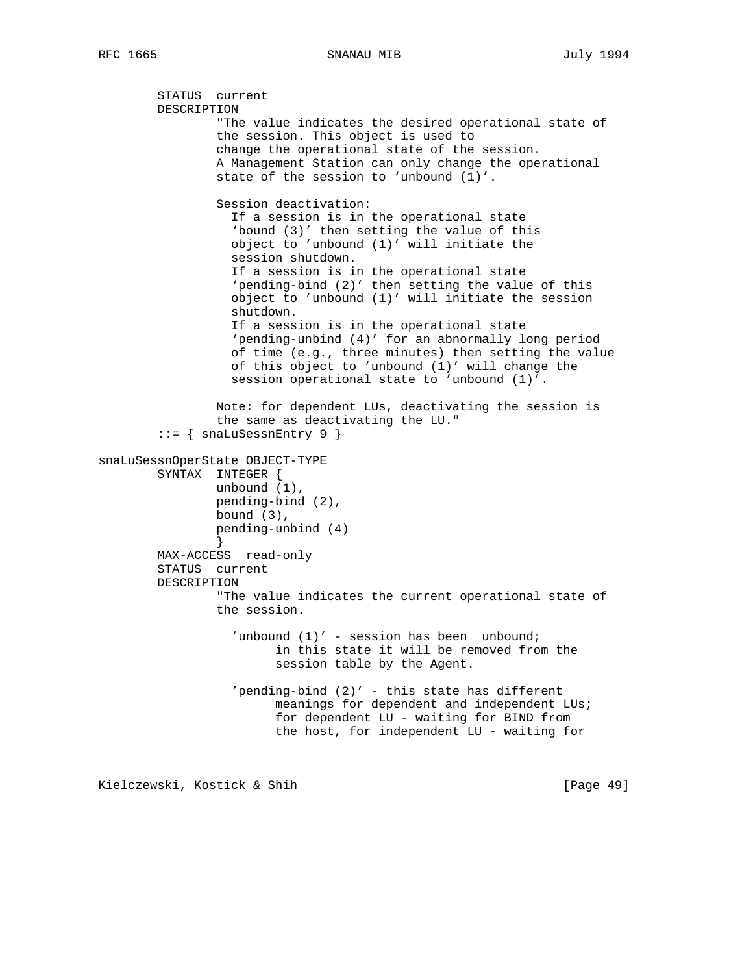```
 STATUS current
         DESCRIPTION
                 "The value indicates the desired operational state of
                 the session. This object is used to
                 change the operational state of the session.
                 A Management Station can only change the operational
                 state of the session to 'unbound (1)'.
                 Session deactivation:
                   If a session is in the operational state
                   'bound (3)' then setting the value of this
                   object to 'unbound (1)' will initiate the
                   session shutdown.
                   If a session is in the operational state
                   'pending-bind (2)' then setting the value of this
                   object to 'unbound (1)' will initiate the session
                   shutdown.
                   If a session is in the operational state
                   'pending-unbind (4)' for an abnormally long period
                   of time (e.g., three minutes) then setting the value
                   of this object to 'unbound (1)' will change the
                   session operational state to 'unbound (1)'.
                 Note: for dependent LUs, deactivating the session is
                 the same as deactivating the LU."
        ::= { snaLuSessnEntry 9 }
snaLuSessnOperState OBJECT-TYPE
        SYNTAX INTEGER {
                 unbound (1),
                 pending-bind (2),
                 bound (3),
                 pending-unbind (4)
 }
        MAX-ACCESS read-only
         STATUS current
        DESCRIPTION
                 "The value indicates the current operational state of
                 the session.
                  'unbound (1)' - session has been unbound;
                         in this state it will be removed from the
                         session table by the Agent.
                   'pending-bind (2)' - this state has different
                         meanings for dependent and independent LUs;
                         for dependent LU - waiting for BIND from
                         the host, for independent LU - waiting for
```
Kielczewski, Kostick & Shih [Page 49]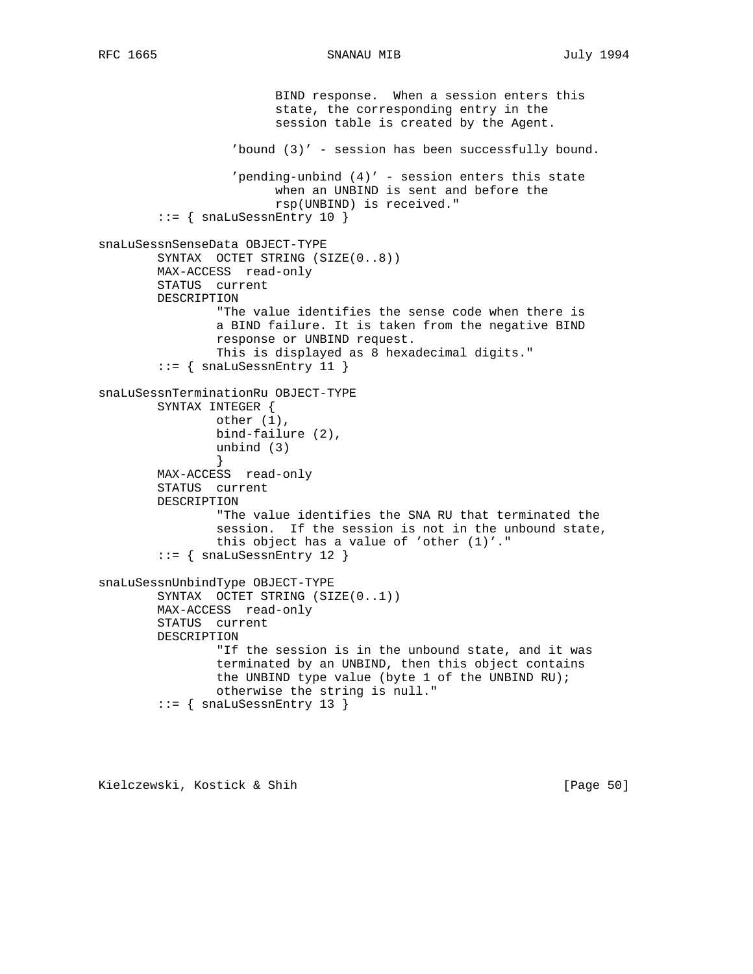```
 BIND response. When a session enters this
                         state, the corresponding entry in the
                         session table is created by the Agent.
                   'bound (3)' - session has been successfully bound.
                   'pending-unbind (4)' - session enters this state
                         when an UNBIND is sent and before the
                         rsp(UNBIND) is received."
        ::= { snaLuSessnEntry 10 }
snaLuSessnSenseData OBJECT-TYPE
         SYNTAX OCTET STRING (SIZE(0..8))
        MAX-ACCESS read-only
         STATUS current
         DESCRIPTION
                 "The value identifies the sense code when there is
                 a BIND failure. It is taken from the negative BIND
                 response or UNBIND request.
                 This is displayed as 8 hexadecimal digits."
         ::= { snaLuSessnEntry 11 }
snaLuSessnTerminationRu OBJECT-TYPE
         SYNTAX INTEGER {
                 other (1),
                 bind-failure (2),
                 unbind (3)
 }
        MAX-ACCESS read-only
        STATUS current
        DESCRIPTION
                 "The value identifies the SNA RU that terminated the
                 session. If the session is not in the unbound state,
                 this object has a value of 'other (1)'."
         ::= { snaLuSessnEntry 12 }
snaLuSessnUnbindType OBJECT-TYPE
         SYNTAX OCTET STRING (SIZE(0..1))
        MAX-ACCESS read-only
         STATUS current
        DESCRIPTION
                 "If the session is in the unbound state, and it was
                 terminated by an UNBIND, then this object contains
                the UNBIND type value (byte 1 of the UNBIND RU);
                 otherwise the string is null."
         ::= { snaLuSessnEntry 13 }
```
Kielczewski, Kostick & Shih [Page 50]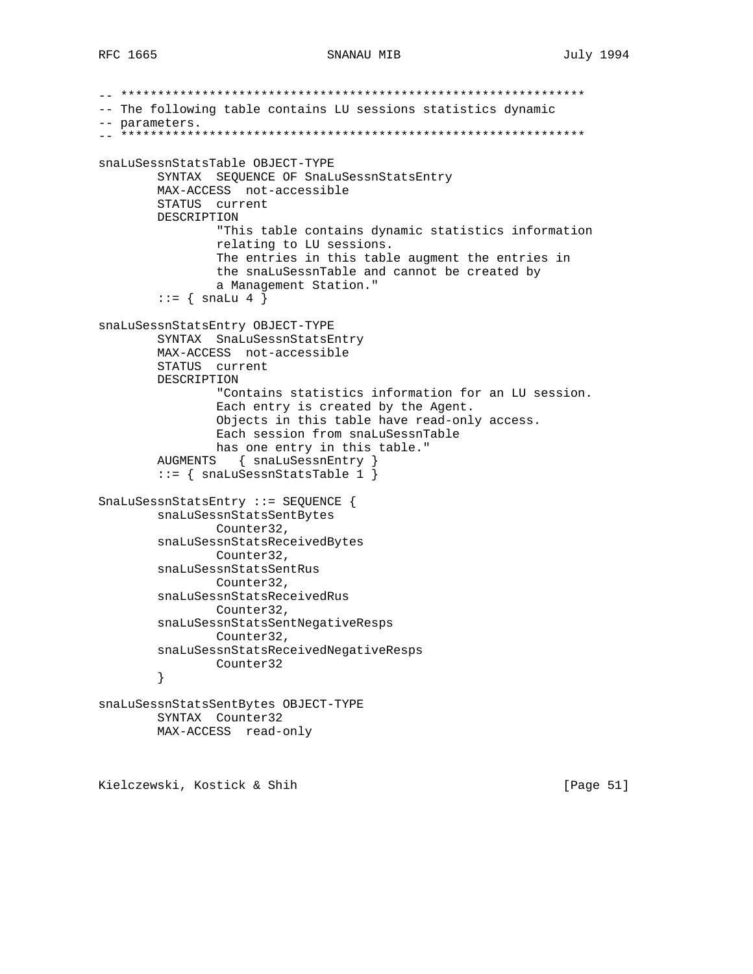```
-- ***************************************************************
-- The following table contains LU sessions statistics dynamic
-- parameters.
-- ***************************************************************
snaLuSessnStatsTable OBJECT-TYPE
         SYNTAX SEQUENCE OF SnaLuSessnStatsEntry
         MAX-ACCESS not-accessible
         STATUS current
         DESCRIPTION
                 "This table contains dynamic statistics information
                 relating to LU sessions.
                 The entries in this table augment the entries in
                 the snaLuSessnTable and cannot be created by
                 a Management Station."
        \cdot \cdot = \{ \text{snalu 4 } \}snaLuSessnStatsEntry OBJECT-TYPE
         SYNTAX SnaLuSessnStatsEntry
         MAX-ACCESS not-accessible
         STATUS current
         DESCRIPTION
                 "Contains statistics information for an LU session.
                 Each entry is created by the Agent.
                 Objects in this table have read-only access.
                 Each session from snaLuSessnTable
                has one entry in this table."
         AUGMENTS { snaLuSessnEntry }
         ::= { snaLuSessnStatsTable 1 }
SnaLuSessnStatsEntry ::= SEQUENCE {
         snaLuSessnStatsSentBytes
                Counter32,
         snaLuSessnStatsReceivedBytes
                Counter32,
         snaLuSessnStatsSentRus
                Counter32,
         snaLuSessnStatsReceivedRus
                Counter32,
         snaLuSessnStatsSentNegativeResps
                Counter32,
         snaLuSessnStatsReceivedNegativeResps
                Counter32
         }
snaLuSessnStatsSentBytes OBJECT-TYPE
         SYNTAX Counter32
         MAX-ACCESS read-only
```
Kielczewski, Kostick & Shih [Page 51]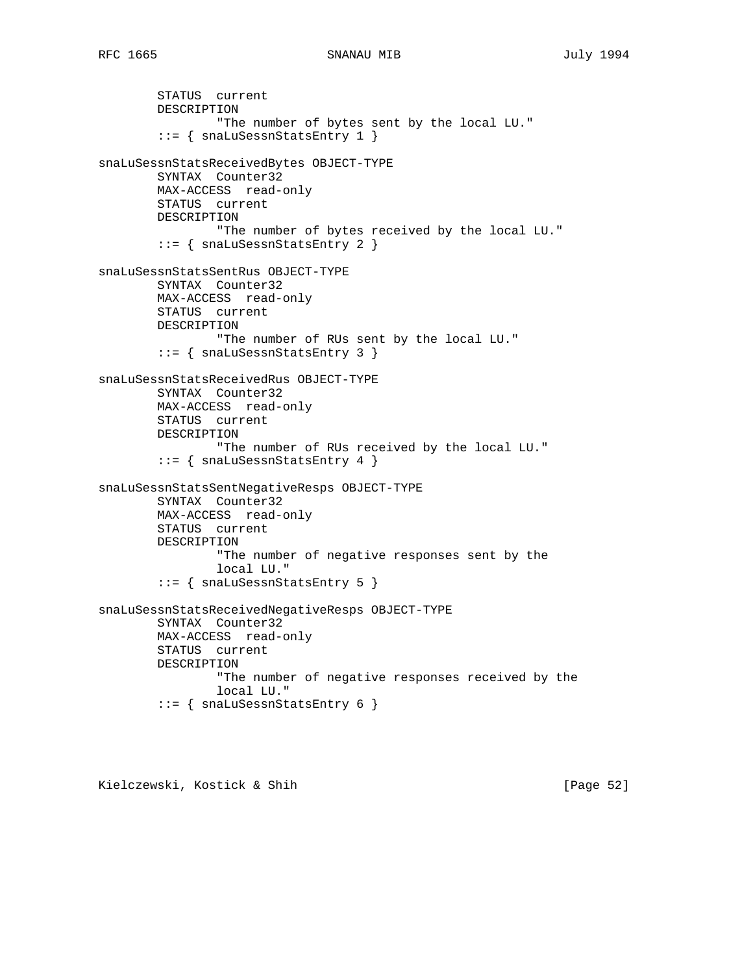STATUS current DESCRIPTION "The number of bytes sent by the local LU." ::= { snaLuSessnStatsEntry 1 } snaLuSessnStatsReceivedBytes OBJECT-TYPE SYNTAX Counter32 MAX-ACCESS read-only STATUS current DESCRIPTION "The number of bytes received by the local LU." ::= { snaLuSessnStatsEntry 2 } snaLuSessnStatsSentRus OBJECT-TYPE SYNTAX Counter32 MAX-ACCESS read-only STATUS current DESCRIPTION "The number of RUs sent by the local LU." ::= { snaLuSessnStatsEntry 3 } snaLuSessnStatsReceivedRus OBJECT-TYPE SYNTAX Counter32 MAX-ACCESS read-only STATUS current DESCRIPTION "The number of RUs received by the local LU."  $::=$  { snaLuSessnStatsEntry 4 } snaLuSessnStatsSentNegativeResps OBJECT-TYPE SYNTAX Counter32 MAX-ACCESS read-only STATUS current DESCRIPTION "The number of negative responses sent by the local LU." ::= { snaLuSessnStatsEntry 5 } snaLuSessnStatsReceivedNegativeResps OBJECT-TYPE SYNTAX Counter32 MAX-ACCESS read-only STATUS current DESCRIPTION "The number of negative responses received by the local LU." ::= { snaLuSessnStatsEntry 6 }

Kielczewski, Kostick & Shih [Page 52]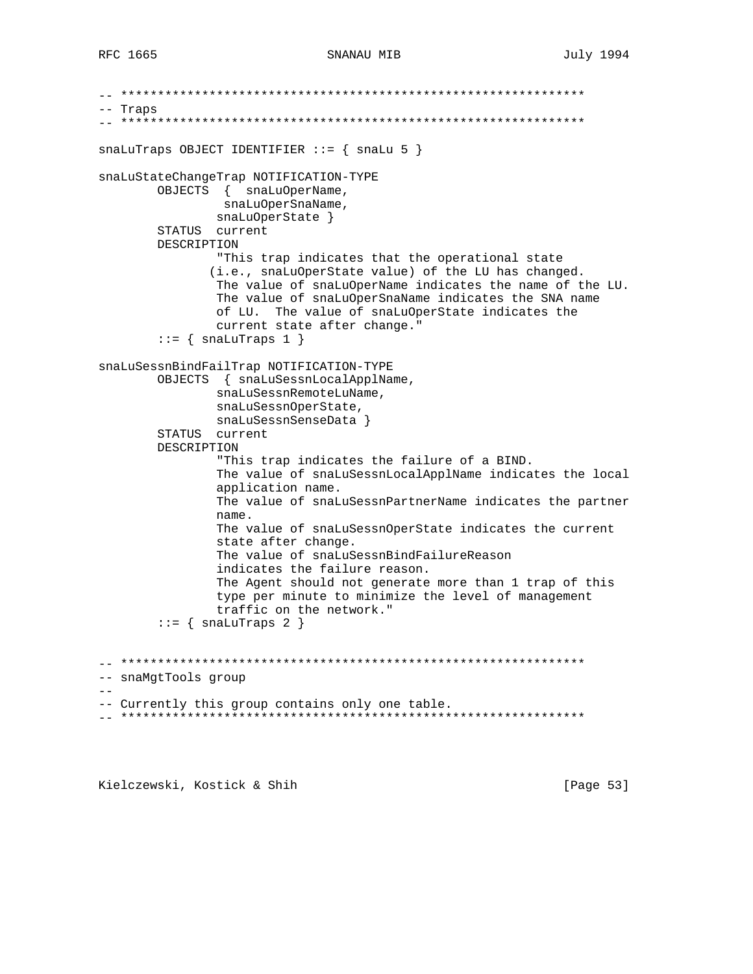```
-- ***************************************************************
-- Traps
-- ***************************************************************
snaluTraps OBJECT IDENTIFIER ::= \{ snalu 5 \}snaLuStateChangeTrap NOTIFICATION-TYPE
         OBJECTS { snaLuOperName,
                 snaLuOperSnaName,
                 snaLuOperState }
         STATUS current
         DESCRIPTION
                 "This trap indicates that the operational state
                (i.e., snaLuOperState value) of the LU has changed.
                 The value of snaLuOperName indicates the name of the LU.
                 The value of snaLuOperSnaName indicates the SNA name
                 of LU. The value of snaLuOperState indicates the
                 current state after change."
        ::= { snaLuTraps 1 }
snaLuSessnBindFailTrap NOTIFICATION-TYPE
         OBJECTS { snaLuSessnLocalApplName,
                 snaLuSessnRemoteLuName,
                 snaLuSessnOperState,
                 snaLuSessnSenseData }
         STATUS current
         DESCRIPTION
                 "This trap indicates the failure of a BIND.
                 The value of snaLuSessnLocalApplName indicates the local
                 application name.
                 The value of snaLuSessnPartnerName indicates the partner
                 name.
                 The value of snaLuSessnOperState indicates the current
                 state after change.
                 The value of snaLuSessnBindFailureReason
                 indicates the failure reason.
                 The Agent should not generate more than 1 trap of this
                 type per minute to minimize the level of management
                 traffic on the network."
        ::= { snaLuTraps 2 }
-- ***************************************************************
-- snaMgtTools group
- --- Currently this group contains only one table.
-- ***************************************************************
```
Kielczewski, Kostick & Shih [Page 53]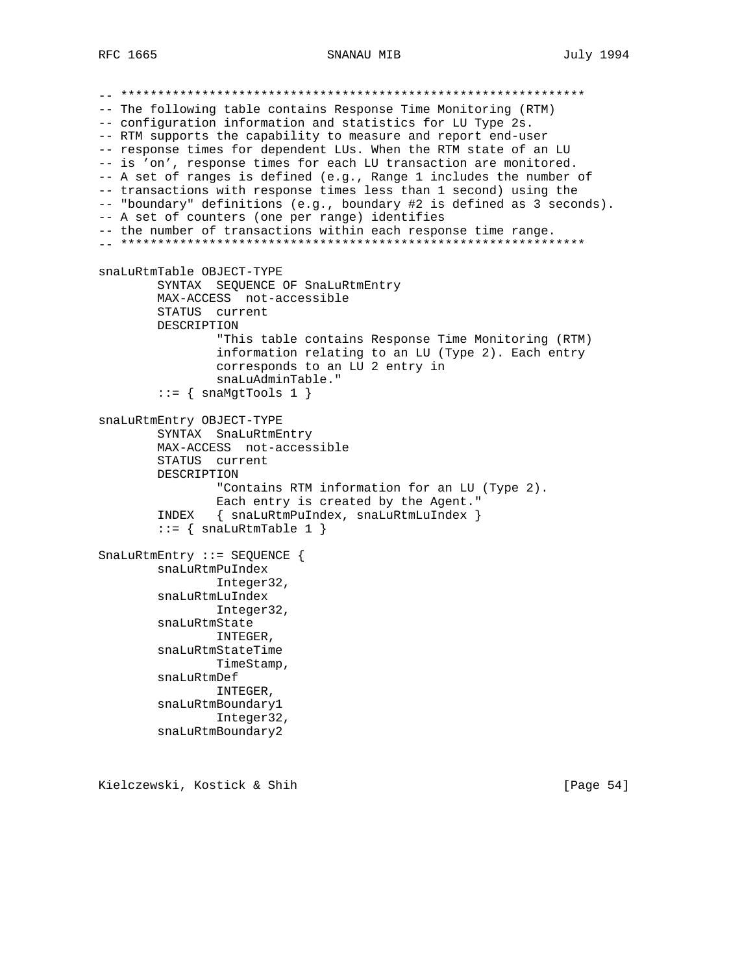SNANAU MIB

-- The following table contains Response Time Monitoring (RTM) -- configuration information and statistics for LU Type 2s. -- RTM supports the capability to measure and report end-user -- response times for dependent LUs. When the RTM state of an LU -- is 'on', response times for each LU transaction are monitored. -- A set of ranges is defined (e.g., Range 1 includes the number of -- transactions with response times less than 1 second) using the -- "boundary" definitions (e.g., boundary #2 is defined as 3 seconds). -- A set of counters (one per range) identifies -- the number of transactions within each response time range. snaLuRtmTable OBJECT-TYPE SYNTAX SEQUENCE OF SnaLuRtmEntry MAX-ACCESS not-accessible STATUS current DESCRIPTION "This table contains Response Time Monitoring (RTM) information relating to an LU (Type 2). Each entry corresponds to an LU 2 entry in snaLuAdminTable."  $::=$  { snaMgtTools 1 } snaLuRtmEntry OBJECT-TYPE SYNTAX SnaLuRtmEntry MAX-ACCESS not-accessible STATUS current DESCRIPTION "Contains RTM information for an LU (Type 2). Each entry is created by the Agent."  $INDEX \{ snaluktmPulndex, snaluktmLulndex \}$  $::=$  { snaLuRtmTable 1 } SnaLuRtmEntry ::= SEQUENCE  $\{$ snaLuRtmPuIndex Integer32, snaLuRtmLuIndex Integer32, snaLuRtmState INTEGER, snaLuRtmStateTime TimeStamp, snaLuRtmDef INTEGER, snaLuRtmBoundary1 Integer32, snaLuRtmBoundary2

Kielczewski, Kostick & Shih

[Page  $54$ ]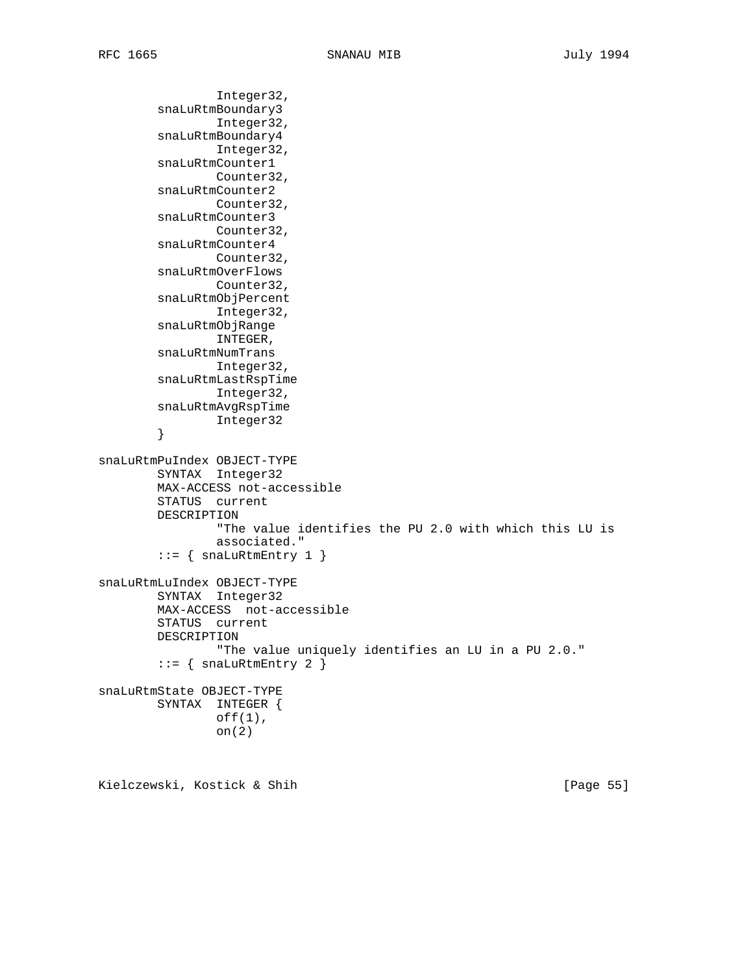```
 Integer32,
         snaLuRtmBoundary3
                 Integer32,
         snaLuRtmBoundary4
                 Integer32,
         snaLuRtmCounter1
                 Counter32,
         snaLuRtmCounter2
                 Counter32,
         snaLuRtmCounter3
                 Counter32,
         snaLuRtmCounter4
                Counter32,
         snaLuRtmOverFlows
                 Counter32,
         snaLuRtmObjPercent
                 Integer32,
         snaLuRtmObjRange
                 INTEGER,
         snaLuRtmNumTrans
                 Integer32,
         snaLuRtmLastRspTime
                 Integer32,
         snaLuRtmAvgRspTime
                Integer32
         }
snaLuRtmPuIndex OBJECT-TYPE
         SYNTAX Integer32
         MAX-ACCESS not-accessible
         STATUS current
         DESCRIPTION
                  "The value identifies the PU 2.0 with which this LU is
                 associated."
        ::= { snaLuRtmEntry 1 }
snaLuRtmLuIndex OBJECT-TYPE
         SYNTAX Integer32
         MAX-ACCESS not-accessible
         STATUS current
         DESCRIPTION
                  "The value uniquely identifies an LU in a PU 2.0."
        ::= { snaLuRtmEntry 2 }
snaLuRtmState OBJECT-TYPE
         SYNTAX INTEGER {
                 off(1),
                 on(2)
```
Kielczewski, Kostick & Shih [Page 55]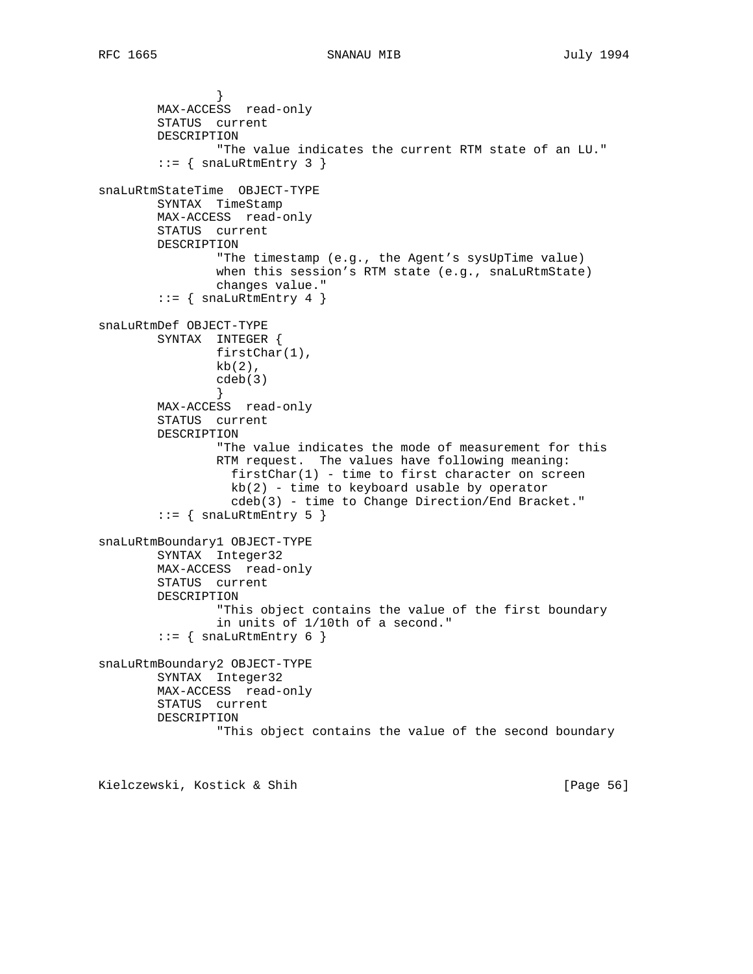} MAX-ACCESS read-only STATUS current DESCRIPTION "The value indicates the current RTM state of an LU."  $::=$  { snaLuRtmEntry 3 } snaLuRtmStateTime OBJECT-TYPE SYNTAX TimeStamp MAX-ACCESS read-only STATUS current DESCRIPTION "The timestamp (e.g., the Agent's sysUpTime value) when this session's RTM state (e.g., snaLuRtmState) changes value."  $::=$  { snaLuRtmEntry 4 } snaLuRtmDef OBJECT-TYPE SYNTAX INTEGER { firstChar(1),  $kb(2)$ , cdeb(3) } MAX-ACCESS read-only STATUS current DESCRIPTION "The value indicates the mode of measurement for this RTM request. The values have following meaning: firstChar(1) - time to first character on screen  $kb(2)$  - time to keyboard usable by operator cdeb(3) - time to Change Direction/End Bracket."  $::=$  { snaLuRtmEntry 5 } snaLuRtmBoundary1 OBJECT-TYPE SYNTAX Integer32 MAX-ACCESS read-only STATUS current DESCRIPTION "This object contains the value of the first boundary in units of 1/10th of a second."  $::=$  { snaLuRtmEntry 6 } snaLuRtmBoundary2 OBJECT-TYPE SYNTAX Integer32 MAX-ACCESS read-only STATUS current DESCRIPTION "This object contains the value of the second boundary

Kielczewski, Kostick & Shih [Page 56]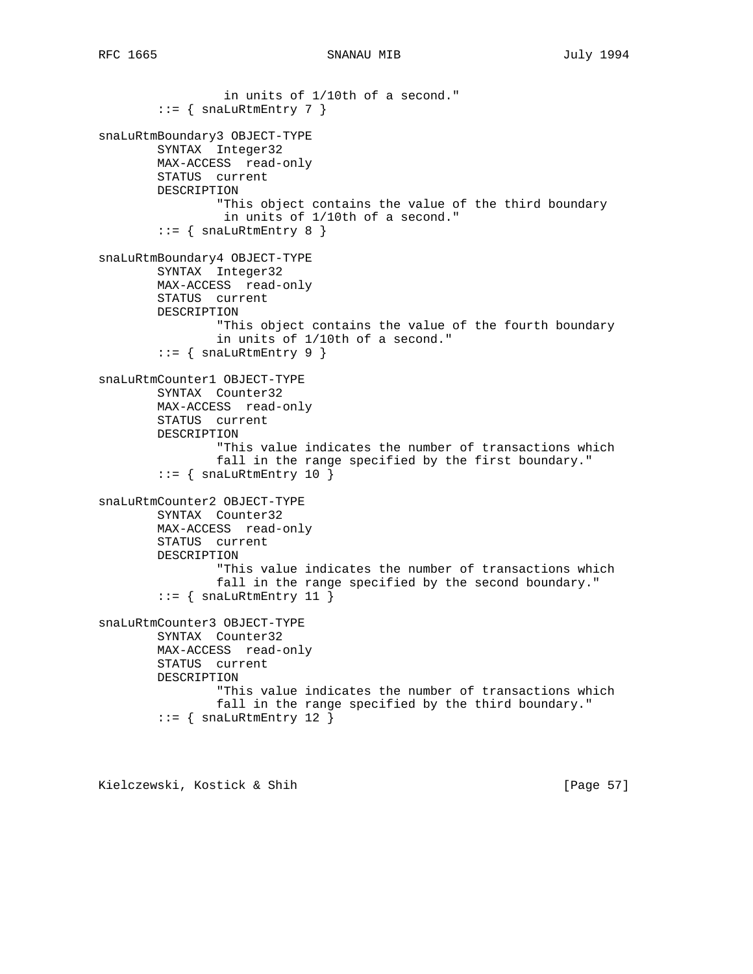```
 in units of 1/10th of a second."
        ::= { snaLuRtmEntry 7 }
snaLuRtmBoundary3 OBJECT-TYPE
         SYNTAX Integer32
        MAX-ACCESS read-only
        STATUS current
        DESCRIPTION
                 "This object contains the value of the third boundary
                 in units of 1/10th of a second."
        ::= { snaLuRtmEntry 8 }
snaLuRtmBoundary4 OBJECT-TYPE
        SYNTAX Integer32
        MAX-ACCESS read-only
         STATUS current
        DESCRIPTION
                 "This object contains the value of the fourth boundary
                 in units of 1/10th of a second."
        ::= { snaLuRtmEntry 9 }
snaLuRtmCounter1 OBJECT-TYPE
        SYNTAX Counter32
        MAX-ACCESS read-only
        STATUS current
        DESCRIPTION
                 "This value indicates the number of transactions which
                 fall in the range specified by the first boundary."
        ::= { snaLuRtmEntry 10 }
snaLuRtmCounter2 OBJECT-TYPE
        SYNTAX Counter32
        MAX-ACCESS read-only
        STATUS current
        DESCRIPTION
                 "This value indicates the number of transactions which
                 fall in the range specified by the second boundary."
        ::= { snaLuRtmEntry 11 }
snaLuRtmCounter3 OBJECT-TYPE
        SYNTAX Counter32
        MAX-ACCESS read-only
        STATUS current
        DESCRIPTION
                 "This value indicates the number of transactions which
                 fall in the range specified by the third boundary."
        ::= { snaLuRtmEntry 12 }
```
Kielczewski, Kostick & Shih [Page 57]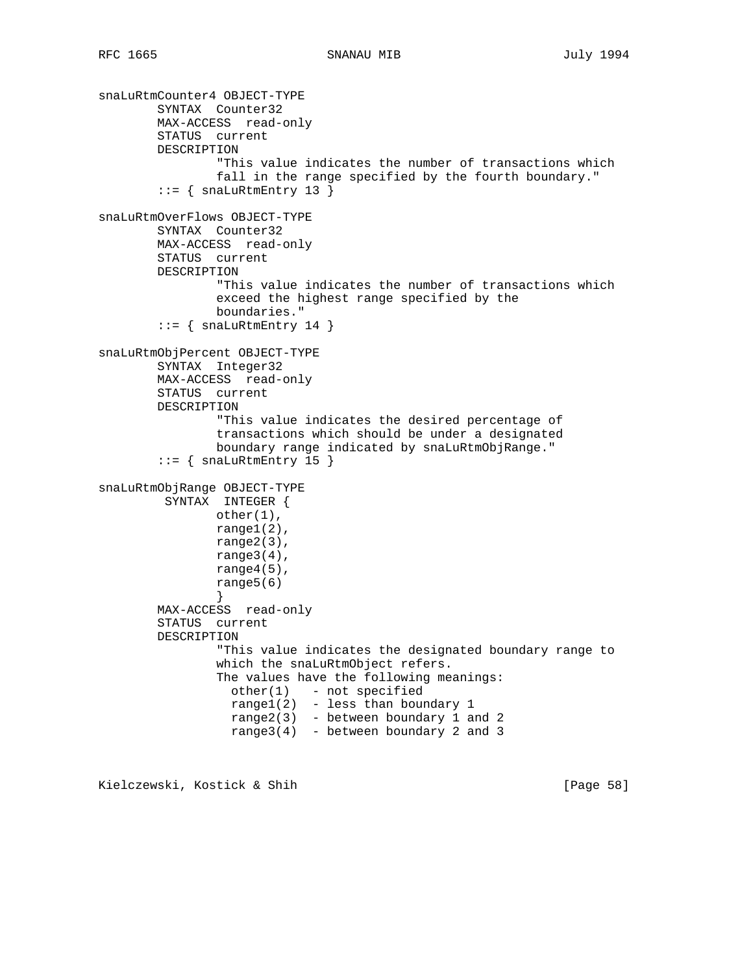```
snaLuRtmCounter4 OBJECT-TYPE
         SYNTAX Counter32
        MAX-ACCESS read-only
         STATUS current
        DESCRIPTION
                 "This value indicates the number of transactions which
                 fall in the range specified by the fourth boundary."
        ::= { snaLuRtmEntry 13 }
snaLuRtmOverFlows OBJECT-TYPE
        SYNTAX Counter32
        MAX-ACCESS read-only
         STATUS current
        DESCRIPTION
                 "This value indicates the number of transactions which
                 exceed the highest range specified by the
                 boundaries."
        ::= { snaLuRtmEntry 14 }
snaLuRtmObjPercent OBJECT-TYPE
         SYNTAX Integer32
        MAX-ACCESS read-only
        STATUS current
        DESCRIPTION
                 "This value indicates the desired percentage of
                 transactions which should be under a designated
                 boundary range indicated by snaLuRtmObjRange."
        ::= { snaLuRtmEntry 15 }
snaLuRtmObjRange OBJECT-TYPE
         SYNTAX INTEGER {
                other(1),
                range1(2),
                range2(3),
                range3(4),
                range4(5),
                 range5(6)
 }
         MAX-ACCESS read-only
         STATUS current
        DESCRIPTION
                 "This value indicates the designated boundary range to
                 which the snaLuRtmObject refers.
                 The values have the following meanings:
                 other(1) - not specified
                  range1(2) - less than boundary 1
                  range2(3) - between boundary 1 and 2
                 range3(4) - between boundary 2 and 3
```
Kielczewski, Kostick & Shih [Page 58]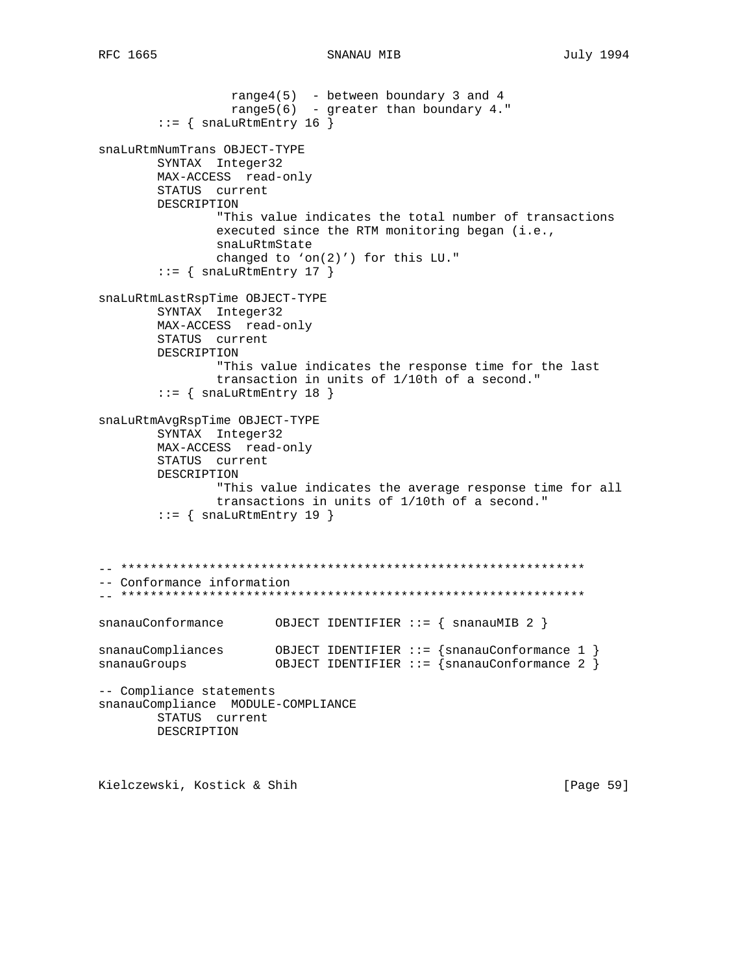range $4(5)$  - between boundary 3 and 4 range5(6) - greater than boundary 4."  $::=$  { snaLuRtmEntry 16 } snaLuRtmNumTrans OBJECT-TYPE SYNTAX Integer32 MAX-ACCESS read-only STATUS current DESCRIPTION "This value indicates the total number of transactions executed since the RTM monitoring began (i.e., snaLuRtmState changed to 'on(2)') for this  $LU.$ "  $::=$  { snaLuRtmEntry 17 } snaLuRtmLastRspTime OBJECT-TYPE SYNTAX Integer32 MAX-ACCESS read-only STATUS current DESCRIPTION "This value indicates the response time for the last transaction in units of 1/10th of a second."  $::=$  { snaLuRtmEntry 18 } snaLuRtmAvgRspTime OBJECT-TYPE SYNTAX Integer32 MAX-ACCESS read-only STATUS current DESCRIPTION "This value indicates the average response time for all transactions in units of 1/10th of a second."  $::=$  { snaLuRtmEntry 19 } -- Conformance information snanauConformance OBJECT IDENTIFIER ::=  $\{$  snanauMIB 2  $\}$  $\verb|snanauCompliances|0\verb|BJECT IDENTIFYER|:: {snanauConformance 1 }$ OBJECT IDENTIFIER ::= {snanauConformance 2 } snanauGroups -- Compliance statements snanauCompliance MODULE-COMPLIANCE STATUS current DESCRIPTION

Kielczewski, Kostick & Shih

[Page 59]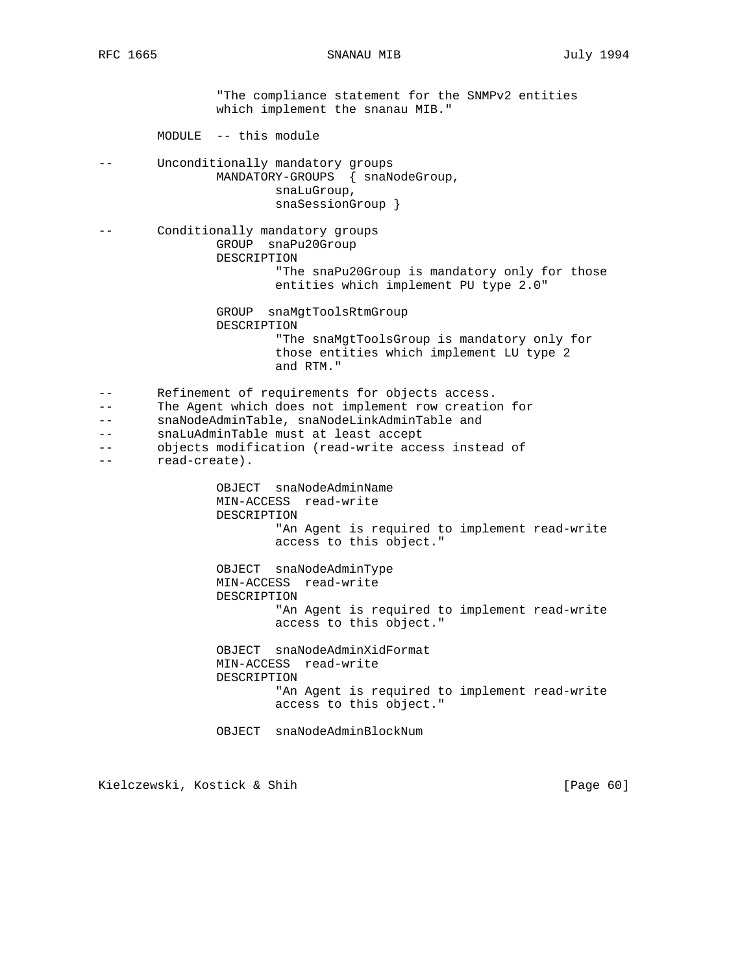"The compliance statement for the SNMPv2 entities which implement the snanau MIB." MODULE -- this module -- Unconditionally mandatory groups MANDATORY-GROUPS { snaNodeGroup, snaLuGroup, snaSessionGroup } -- Conditionally mandatory groups GROUP snaPu20Group DESCRIPTION "The snaPu20Group is mandatory only for those entities which implement PU type 2.0" GROUP snaMgtToolsRtmGroup DESCRIPTION "The snaMgtToolsGroup is mandatory only for those entities which implement LU type 2 and RTM." -- Refinement of requirements for objects access. -- The Agent which does not implement row creation for -- snaNodeAdminTable, snaNodeLinkAdminTable and -- snaLuAdminTable must at least accept -- objects modification (read-write access instead of -- read-create). OBJECT snaNodeAdminName MIN-ACCESS read-write DESCRIPTION "An Agent is required to implement read-write access to this object." OBJECT snaNodeAdminType MIN-ACCESS read-write DESCRIPTION "An Agent is required to implement read-write access to this object." OBJECT snaNodeAdminXidFormat MIN-ACCESS read-write DESCRIPTION "An Agent is required to implement read-write access to this object." OBJECT snaNodeAdminBlockNum

Kielczewski, Kostick & Shih [Page 60]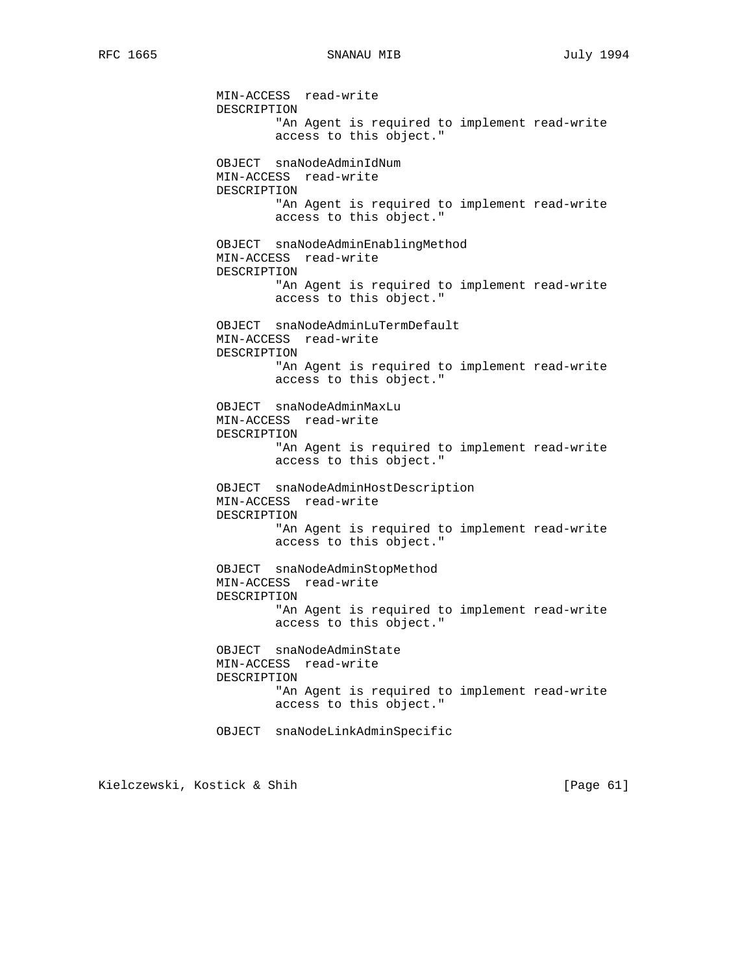MIN-ACCESS read-write DESCRIPTION "An Agent is required to implement read-write access to this object." OBJECT snaNodeAdminIdNum MIN-ACCESS read-write DESCRIPTION "An Agent is required to implement read-write access to this object." OBJECT snaNodeAdminEnablingMethod MIN-ACCESS read-write DESCRIPTION "An Agent is required to implement read-write access to this object." OBJECT snaNodeAdminLuTermDefault MIN-ACCESS read-write DESCRIPTION "An Agent is required to implement read-write access to this object." OBJECT snaNodeAdminMaxLu MIN-ACCESS read-write DESCRIPTION "An Agent is required to implement read-write access to this object." OBJECT snaNodeAdminHostDescription MIN-ACCESS read-write DESCRIPTION "An Agent is required to implement read-write access to this object." OBJECT snaNodeAdminStopMethod MIN-ACCESS read-write DESCRIPTION "An Agent is required to implement read-write access to this object." OBJECT snaNodeAdminState MIN-ACCESS read-write DESCRIPTION "An Agent is required to implement read-write access to this object." OBJECT snaNodeLinkAdminSpecific

Kielczewski, Kostick & Shih [Page 61]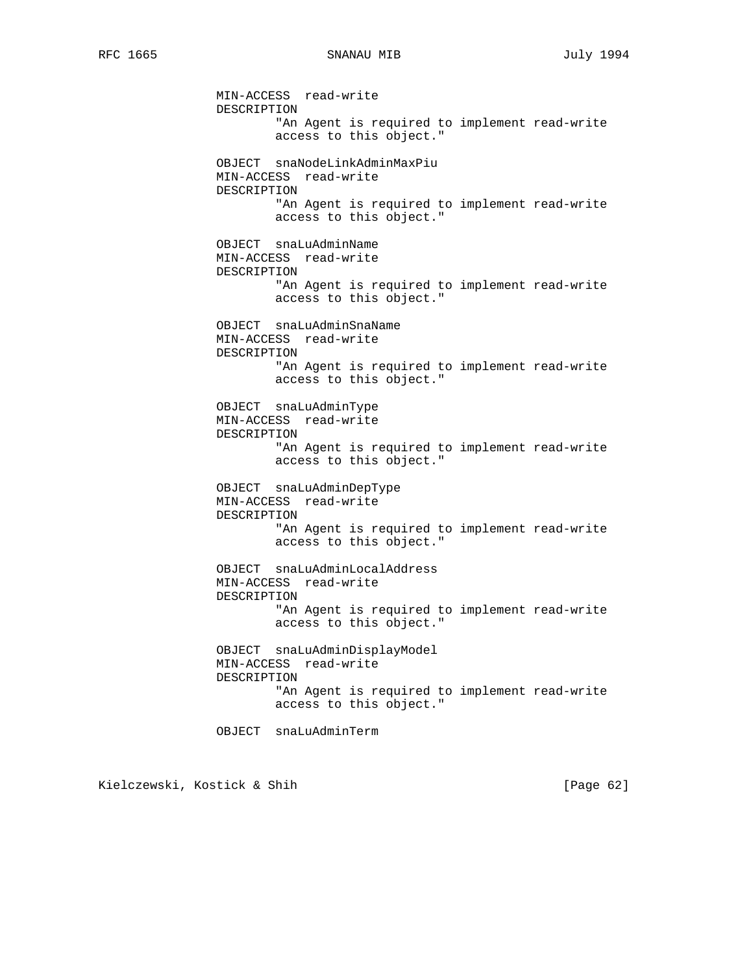MIN-ACCESS read-write DESCRIPTION "An Agent is required to implement read-write access to this object." OBJECT snaNodeLinkAdminMaxPiu MIN-ACCESS read-write DESCRIPTION "An Agent is required to implement read-write access to this object." OBJECT snaLuAdminName MIN-ACCESS read-write DESCRIPTION "An Agent is required to implement read-write access to this object." OBJECT snaLuAdminSnaName MIN-ACCESS read-write DESCRIPTION "An Agent is required to implement read-write access to this object." OBJECT snaLuAdminType MIN-ACCESS read-write DESCRIPTION "An Agent is required to implement read-write access to this object." OBJECT snaLuAdminDepType MIN-ACCESS read-write DESCRIPTION "An Agent is required to implement read-write access to this object." OBJECT snaLuAdminLocalAddress MIN-ACCESS read-write DESCRIPTION "An Agent is required to implement read-write access to this object." OBJECT snaLuAdminDisplayModel MIN-ACCESS read-write DESCRIPTION "An Agent is required to implement read-write access to this object." OBJECT snaLuAdminTerm

Kielczewski, Kostick & Shih [Page 62]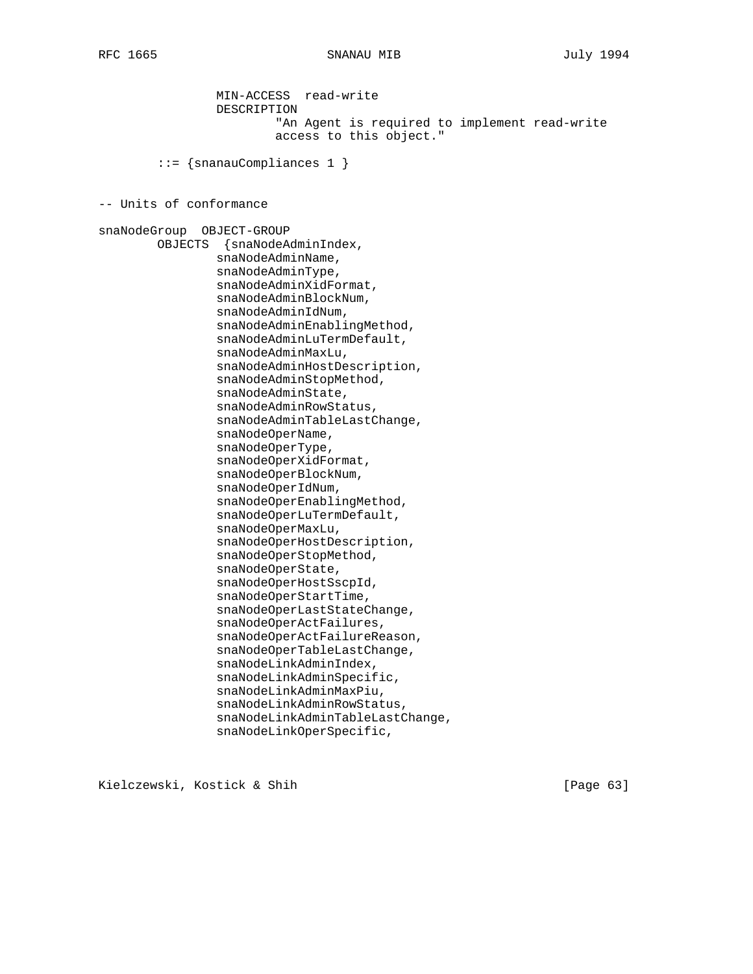MIN-ACCESS read-write DESCRIPTION "An Agent is required to implement read-write access to this object." ::= {snanauCompliances 1 } -- Units of conformance snaNodeGroup OBJECT-GROUP OBJECTS {snaNodeAdminIndex, snaNodeAdminName, snaNodeAdminType, snaNodeAdminXidFormat, snaNodeAdminBlockNum, snaNodeAdminIdNum, snaNodeAdminEnablingMethod, snaNodeAdminLuTermDefault, snaNodeAdminMaxLu, snaNodeAdminHostDescription, snaNodeAdminStopMethod, snaNodeAdminState, snaNodeAdminRowStatus, snaNodeAdminTableLastChange, snaNodeOperName, snaNodeOperType, snaNodeOperXidFormat, snaNodeOperBlockNum, snaNodeOperIdNum, snaNodeOperEnablingMethod, snaNodeOperLuTermDefault, snaNodeOperMaxLu, snaNodeOperHostDescription, snaNodeOperStopMethod, snaNodeOperState, snaNodeOperHostSscpId, snaNodeOperStartTime, snaNodeOperLastStateChange, snaNodeOperActFailures, snaNodeOperActFailureReason, snaNodeOperTableLastChange, snaNodeLinkAdminIndex, snaNodeLinkAdminSpecific, snaNodeLinkAdminMaxPiu, snaNodeLinkAdminRowStatus, snaNodeLinkAdminTableLastChange, snaNodeLinkOperSpecific,

Kielczewski, Kostick & Shih [Page 63]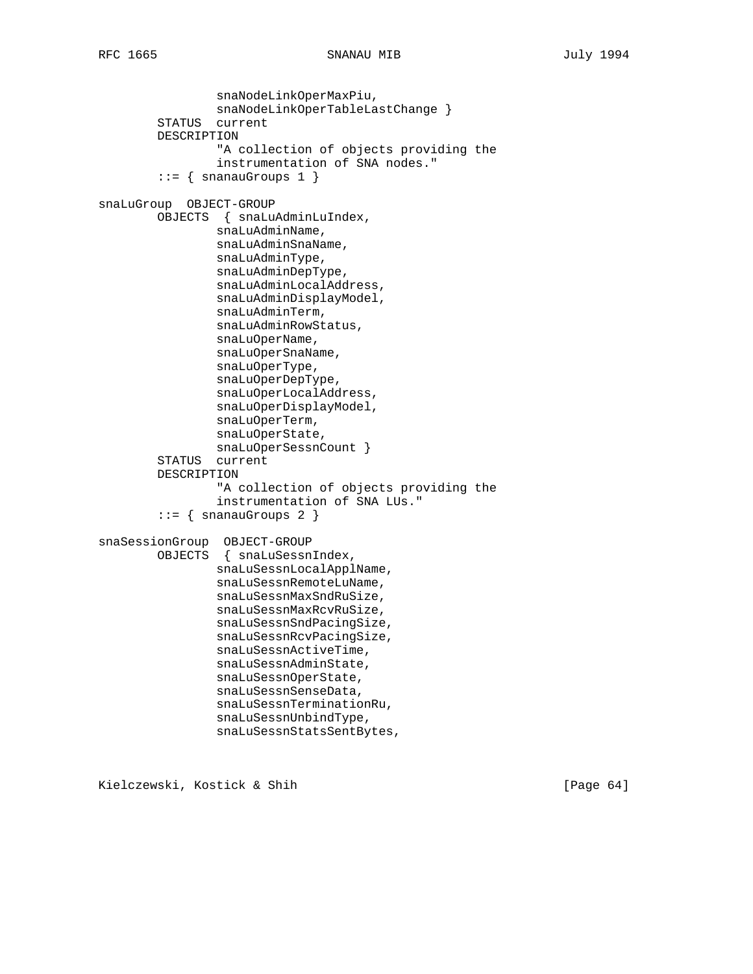```
RFC 1665 SNANAU MIB July 1994
```

```
 snaNodeLinkOperMaxPiu,
                 snaNodeLinkOperTableLastChange }
         STATUS current
         DESCRIPTION
                  "A collection of objects providing the
                  instrumentation of SNA nodes."
        ::= { snanauGroups 1 }
snaLuGroup OBJECT-GROUP
         OBJECTS { snaLuAdminLuIndex,
                 snaLuAdminName,
                 snaLuAdminSnaName,
                 snaLuAdminType,
                  snaLuAdminDepType,
                  snaLuAdminLocalAddress,
                  snaLuAdminDisplayModel,
                 snaLuAdminTerm,
                 snaLuAdminRowStatus,
                 snaLuOperName,
                  snaLuOperSnaName,
                 snaLuOperType,
                 snaLuOperDepType,
                 snaLuOperLocalAddress,
                 snaLuOperDisplayModel,
                  snaLuOperTerm,
                  snaLuOperState,
                  snaLuOperSessnCount }
         STATUS current
         DESCRIPTION
                  "A collection of objects providing the
                  instrumentation of SNA LUs."
        ::= { snanauGroups 2 }
snaSessionGroup OBJECT-GROUP
         OBJECTS { snaLuSessnIndex,
                 snaLuSessnLocalApplName,
                  snaLuSessnRemoteLuName,
                  snaLuSessnMaxSndRuSize,
                  snaLuSessnMaxRcvRuSize,
                  snaLuSessnSndPacingSize,
                 snaLuSessnRcvPacingSize,
                 snaLuSessnActiveTime,
                 snaLuSessnAdminState,
                 snaLuSessnOperState,
                 snaLuSessnSenseData,
                 snaLuSessnTerminationRu,
                 snaLuSessnUnbindType,
                 snaLuSessnStatsSentBytes,
```
Kielczewski, Kostick & Shih [Page 64]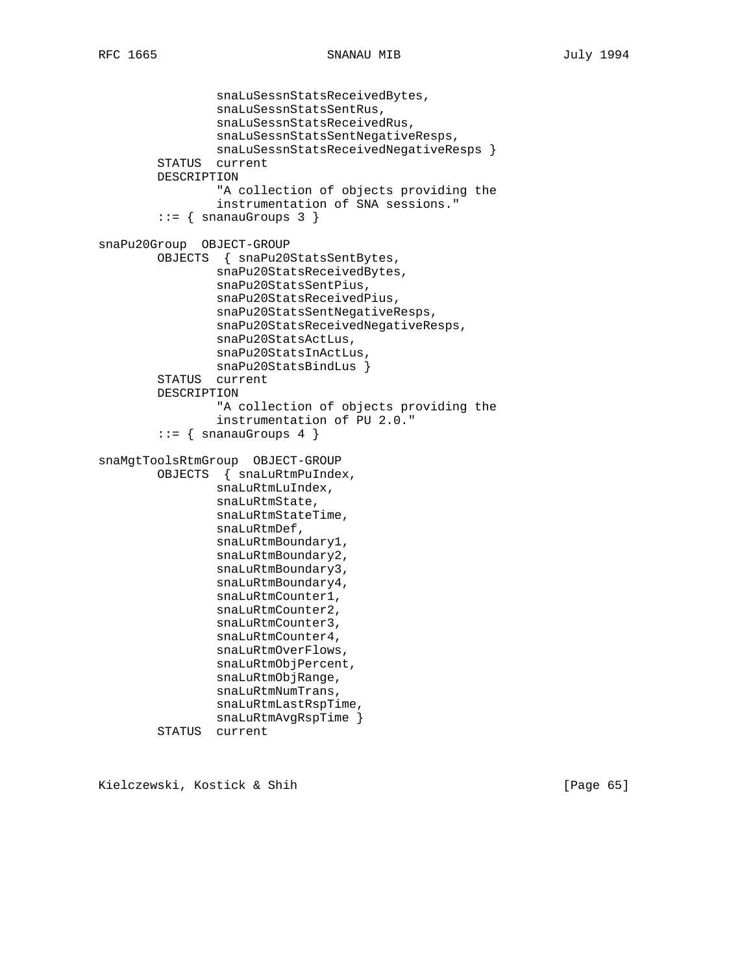```
 snaLuSessnStatsReceivedBytes,
                  snaLuSessnStatsSentRus,
                  snaLuSessnStatsReceivedRus,
                  snaLuSessnStatsSentNegativeResps,
                 snaLuSessnStatsReceivedNegativeResps }
         STATUS current
         DESCRIPTION
                  "A collection of objects providing the
                  instrumentation of SNA sessions."
        ::= { snanauGroups 3 }
snaPu20Group OBJECT-GROUP
         OBJECTS { snaPu20StatsSentBytes,
                 snaPu20StatsReceivedBytes,
                  snaPu20StatsSentPius,
                  snaPu20StatsReceivedPius,
                 snaPu20StatsSentNegativeResps,
                 snaPu20StatsReceivedNegativeResps,
                 snaPu20StatsActLus,
                 snaPu20StatsInActLus,
                 snaPu20StatsBindLus }
         STATUS current
         DESCRIPTION
                  "A collection of objects providing the
                  instrumentation of PU 2.0."
        ::= { snanauGroups 4 }
snaMgtToolsRtmGroup OBJECT-GROUP
         OBJECTS { snaLuRtmPuIndex,
                 snaLuRtmLuIndex,
                 snaLuRtmState,
                 snaLuRtmStateTime,
                 snaLuRtmDef,
                 snaLuRtmBoundary1,
                 snaLuRtmBoundary2,
                 snaLuRtmBoundary3,
                 snaLuRtmBoundary4,
                 snaLuRtmCounter1,
                 snaLuRtmCounter2,
                 snaLuRtmCounter3,
                 snaLuRtmCounter4,
                 snaLuRtmOverFlows,
                 snaLuRtmObjPercent,
                 snaLuRtmObjRange,
                 snaLuRtmNumTrans,
                 snaLuRtmLastRspTime,
                 snaLuRtmAvgRspTime }
```
STATUS current

Kielczewski, Kostick & Shih [Page 65]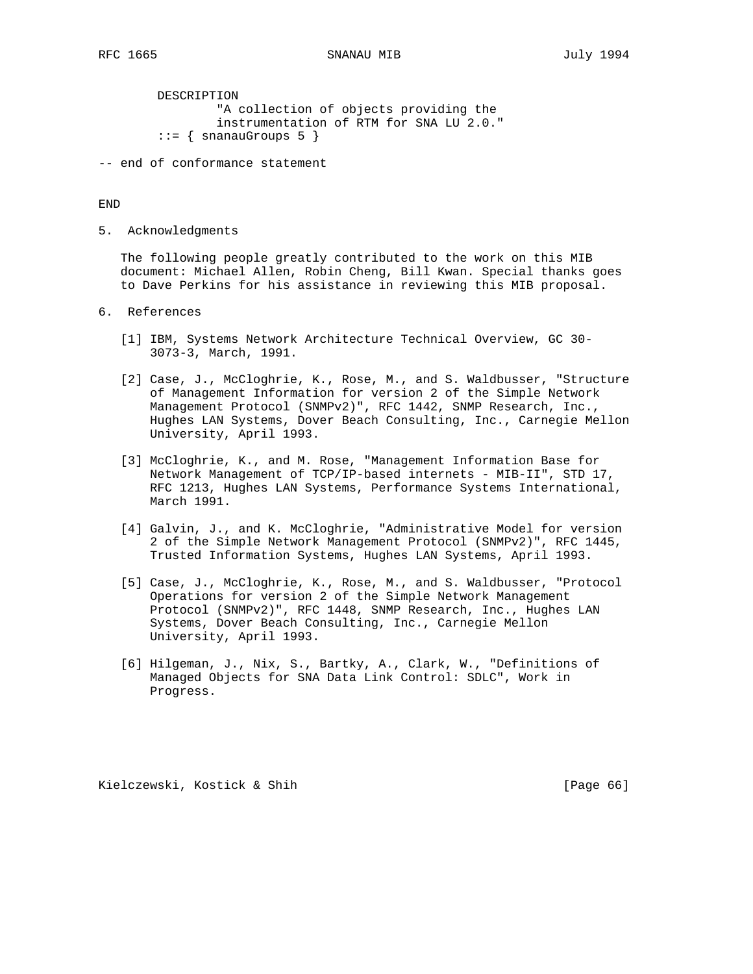DESCRIPTION "A collection of objects providing the instrumentation of RTM for SNA LU 2.0."  $::=$  { snanauGroups 5 }

-- end of conformance statement

#### END

5. Acknowledgments

 The following people greatly contributed to the work on this MIB document: Michael Allen, Robin Cheng, Bill Kwan. Special thanks goes to Dave Perkins for his assistance in reviewing this MIB proposal.

- 6. References
	- [1] IBM, Systems Network Architecture Technical Overview, GC 30- 3073-3, March, 1991.
	- [2] Case, J., McCloghrie, K., Rose, M., and S. Waldbusser, "Structure of Management Information for version 2 of the Simple Network Management Protocol (SNMPv2)", RFC 1442, SNMP Research, Inc., Hughes LAN Systems, Dover Beach Consulting, Inc., Carnegie Mellon University, April 1993.
	- [3] McCloghrie, K., and M. Rose, "Management Information Base for Network Management of TCP/IP-based internets - MIB-II", STD 17, RFC 1213, Hughes LAN Systems, Performance Systems International, March 1991.
	- [4] Galvin, J., and K. McCloghrie, "Administrative Model for version 2 of the Simple Network Management Protocol (SNMPv2)", RFC 1445, Trusted Information Systems, Hughes LAN Systems, April 1993.
	- [5] Case, J., McCloghrie, K., Rose, M., and S. Waldbusser, "Protocol Operations for version 2 of the Simple Network Management Protocol (SNMPv2)", RFC 1448, SNMP Research, Inc., Hughes LAN Systems, Dover Beach Consulting, Inc., Carnegie Mellon University, April 1993.
	- [6] Hilgeman, J., Nix, S., Bartky, A., Clark, W., "Definitions of Managed Objects for SNA Data Link Control: SDLC", Work in Progress.

Kielczewski, Kostick & Shih [Page 66]